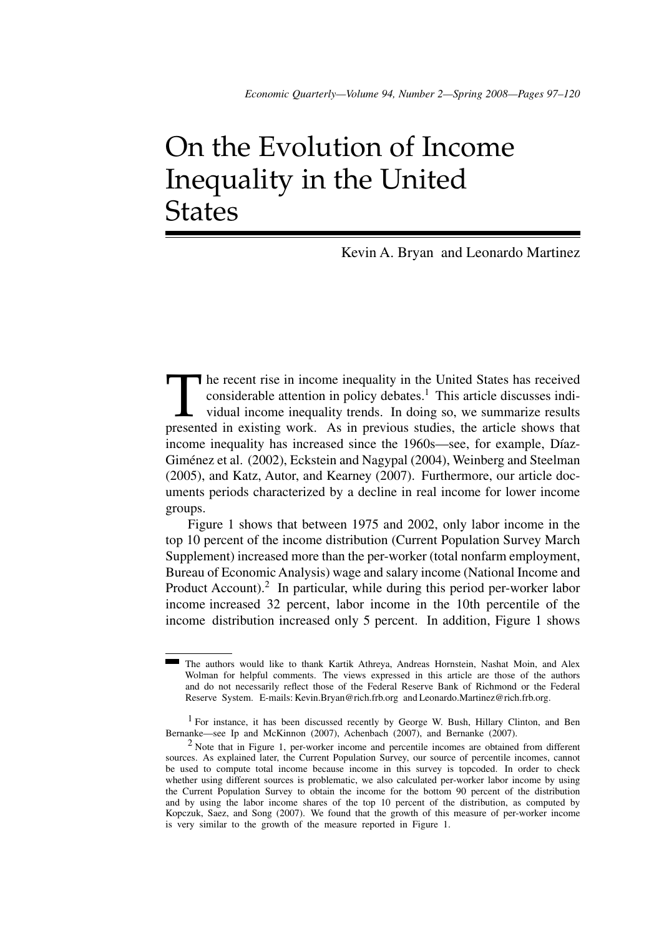## On the Evolution of Income Inequality in the United **States**

Kevin A. Bryan and Leonardo Martinez

The recent rise in income inequality in the United States has received considerable attention in policy debates.<sup>1</sup> This article discusses individual income inequality trends. In doing so, we summarize results presented in considerable attention in policy debates.<sup>1</sup> This article discusses individual income inequality trends. In doing so, we summarize results presented in existing work. As in previous studies, the article shows that income inequality has increased since the 1960s—see, for example, Díaz-Giménez et al. (2002), Eckstein and Nagypal (2004), Weinberg and Steelman (2005), and Katz, Autor, and Kearney (2007). Furthermore, our article documents periods characterized by a decline in real income for lower income groups.

Figure 1 shows that between 1975 and 2002, only labor income in the top 10 percent of the income distribution (Current Population Survey March Supplement) increased more than the per-worker (total nonfarm employment, Bureau of Economic Analysis) wage and salary income (National Income and Product Account).<sup>2</sup> In particular, while during this period per-worker labor income increased 32 percent, labor income in the 10th percentile of the income distribution increased only 5 percent. In addition, Figure 1 shows

The authors would like to thank Kartik Athreya, Andreas Hornstein, Nashat Moin, and Alex Wolman for helpful comments. The views expressed in this article are those of the authors and do not necessarily reflect those of the Federal Reserve Bank of Richmond or the Federal Reserve System. E-mails: Kevin.Bryan@rich.frb.org and Leonardo.Martinez@rich.frb.org.

<sup>1</sup> For instance, it has been discussed recently by George W. Bush, Hillary Clinton, and Ben Bernanke—see Ip and McKinnon (2007), Achenbach (2007), and Bernanke (2007).

<sup>2</sup> Note that in Figure 1, per-worker income and percentile incomes are obtained from different sources. As explained later, the Current Population Survey, our source of percentile incomes, cannot be used to compute total income because income in this survey is topcoded. In order to check whether using different sources is problematic, we also calculated per-worker labor income by using the Current Population Survey to obtain the income for the bottom 90 percent of the distribution and by using the labor income shares of the top 10 percent of the distribution, as computed by Kopczuk, Saez, and Song (2007). We found that the growth of this measure of per-worker income is very similar to the growth of the measure reported in Figure 1.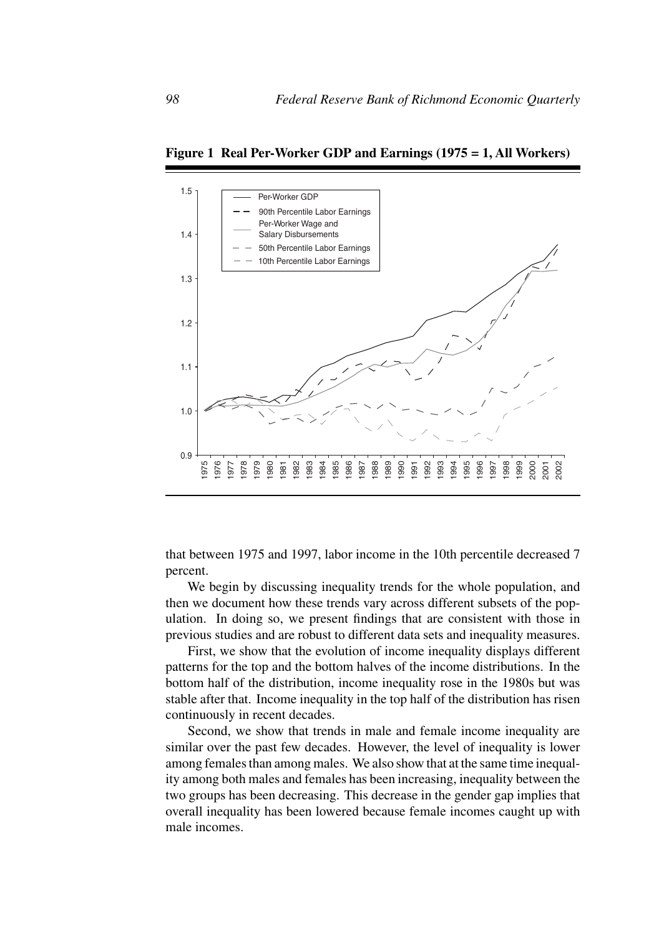

**Figure 1 Real Per-Worker GDP and Earnings (1975 = 1, All Workers)**

that between 1975 and 1997, labor income in the 10th percentile decreased 7 percent.

We begin by discussing inequality trends for the whole population, and then we document how these trends vary across different subsets of the population. In doing so, we present findings that are consistent with those in previous studies and are robust to different data sets and inequality measures.

First, we show that the evolution of income inequality displays different patterns for the top and the bottom halves of the income distributions. In the bottom half of the distribution, income inequality rose in the 1980s but was stable after that. Income inequality in the top half of the distribution has risen continuously in recent decades.

Second, we show that trends in male and female income inequality are similar over the past few decades. However, the level of inequality is lower among females than among males. We also show that at the same time inequality among both males and females has been increasing, inequality between the two groups has been decreasing. This decrease in the gender gap implies that overall inequality has been lowered because female incomes caught up with male incomes.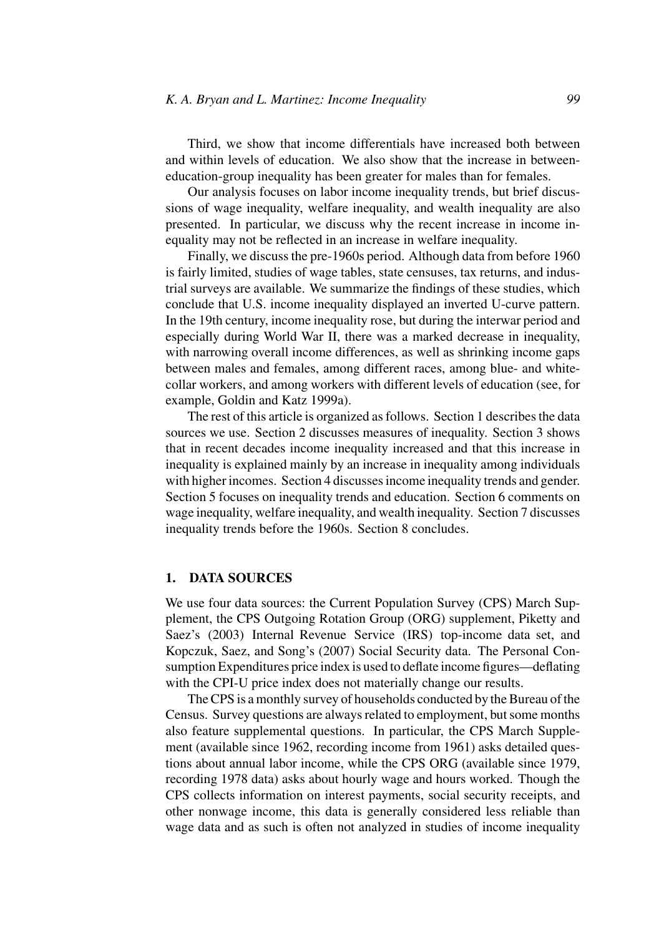Third, we show that income differentials have increased both between and within levels of education. We also show that the increase in betweeneducation-group inequality has been greater for males than for females.

Our analysis focuses on labor income inequality trends, but brief discussions of wage inequality, welfare inequality, and wealth inequality are also presented. In particular, we discuss why the recent increase in income inequality may not be reflected in an increase in welfare inequality.

Finally, we discuss the pre-1960s period. Although data from before 1960 is fairly limited, studies of wage tables, state censuses, tax returns, and industrial surveys are available. We summarize the findings of these studies, which conclude that U.S. income inequality displayed an inverted U-curve pattern. In the 19th century, income inequality rose, but during the interwar period and especially during World War II, there was a marked decrease in inequality, with narrowing overall income differences, as well as shrinking income gaps between males and females, among different races, among blue- and whitecollar workers, and among workers with different levels of education (see, for example, Goldin and Katz 1999a).

The rest of this article is organized as follows. Section 1 describes the data sources we use. Section 2 discusses measures of inequality. Section 3 shows that in recent decades income inequality increased and that this increase in inequality is explained mainly by an increase in inequality among individuals with higher incomes. Section 4 discusses income inequality trends and gender. Section 5 focuses on inequality trends and education. Section 6 comments on wage inequality, welfare inequality, and wealth inequality. Section 7 discusses inequality trends before the 1960s. Section 8 concludes.

## **1. DATA SOURCES**

We use four data sources: the Current Population Survey (CPS) March Supplement, the CPS Outgoing Rotation Group (ORG) supplement, Piketty and Saez's (2003) Internal Revenue Service (IRS) top-income data set, and Kopczuk, Saez, and Song's (2007) Social Security data. The Personal Consumption Expenditures price index is used to deflate income figures—deflating with the CPI-U price index does not materially change our results.

The CPS is a monthly survey of households conducted by the Bureau of the Census. Survey questions are always related to employment, but some months also feature supplemental questions. In particular, the CPS March Supplement (available since 1962, recording income from 1961) asks detailed questions about annual labor income, while the CPS ORG (available since 1979, recording 1978 data) asks about hourly wage and hours worked. Though the CPS collects information on interest payments, social security receipts, and other nonwage income, this data is generally considered less reliable than wage data and as such is often not analyzed in studies of income inequality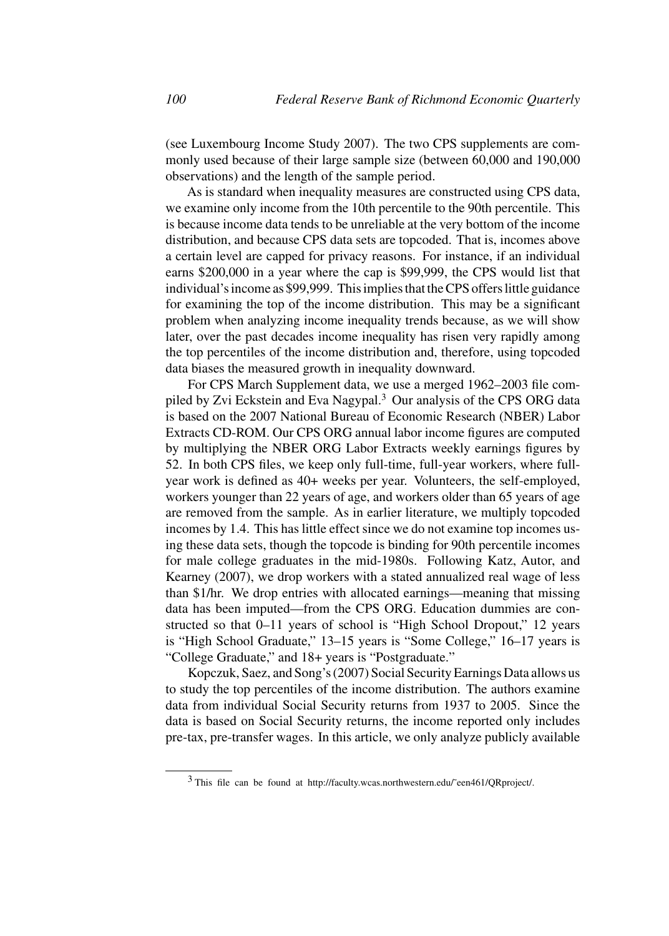(see Luxembourg Income Study 2007). The two CPS supplements are commonly used because of their large sample size (between 60,000 and 190,000 observations) and the length of the sample period.

As is standard when inequality measures are constructed using CPS data, we examine only income from the 10th percentile to the 90th percentile. This is because income data tends to be unreliable at the very bottom of the income distribution, and because CPS data sets are topcoded. That is, incomes above a certain level are capped for privacy reasons. For instance, if an individual earns \$200,000 in a year where the cap is \$99,999, the CPS would list that individual's income as \$99,999. This implies that the CPS offers little guidance for examining the top of the income distribution. This may be a significant problem when analyzing income inequality trends because, as we will show later, over the past decades income inequality has risen very rapidly among the top percentiles of the income distribution and, therefore, using topcoded data biases the measured growth in inequality downward.

For CPS March Supplement data, we use a merged 1962–2003 file compiled by Zvi Eckstein and Eva Nagypal.3 Our analysis of the CPS ORG data is based on the 2007 National Bureau of Economic Research (NBER) Labor Extracts CD-ROM. Our CPS ORG annual labor income figures are computed by multiplying the NBER ORG Labor Extracts weekly earnings figures by 52. In both CPS files, we keep only full-time, full-year workers, where fullyear work is defined as 40+ weeks per year. Volunteers, the self-employed, workers younger than 22 years of age, and workers older than 65 years of age are removed from the sample. As in earlier literature, we multiply topcoded incomes by 1.4. This has little effect since we do not examine top incomes using these data sets, though the topcode is binding for 90th percentile incomes for male college graduates in the mid-1980s. Following Katz, Autor, and Kearney (2007), we drop workers with a stated annualized real wage of less than \$1/hr. We drop entries with allocated earnings—meaning that missing data has been imputed—from the CPS ORG. Education dummies are constructed so that 0–11 years of school is "High School Dropout," 12 years is "High School Graduate," 13–15 years is "Some College," 16–17 years is "College Graduate," and 18+ years is "Postgraduate."

Kopczuk, Saez, and Song's (2007) Social Security Earnings Data allows us to study the top percentiles of the income distribution. The authors examine data from individual Social Security returns from 1937 to 2005. Since the data is based on Social Security returns, the income reported only includes pre-tax, pre-transfer wages. In this article, we only analyze publicly available

 $3$  This file can be found at http://faculty.wcas.northwestern.edu/~een461/QRproject/.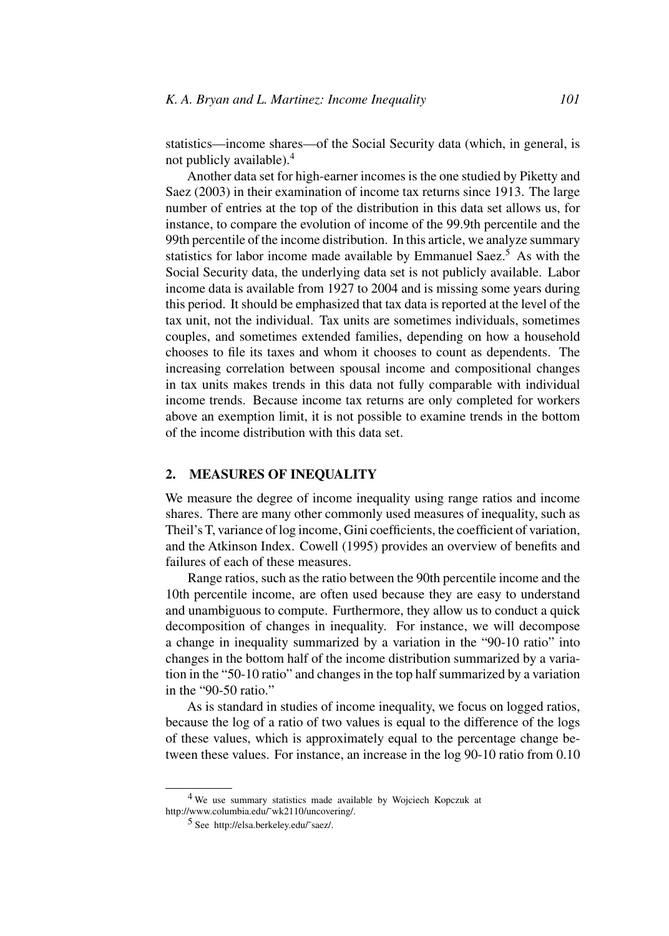statistics—income shares—of the Social Security data (which, in general, is not publicly available).4

Another data set for high-earner incomes is the one studied by Piketty and Saez (2003) in their examination of income tax returns since 1913. The large number of entries at the top of the distribution in this data set allows us, for instance, to compare the evolution of income of the 99.9th percentile and the 99th percentile of the income distribution. In this article, we analyze summary statistics for labor income made available by Emmanuel Saez.<sup>5</sup> As with the Social Security data, the underlying data set is not publicly available. Labor income data is available from 1927 to 2004 and is missing some years during this period. It should be emphasized that tax data is reported at the level of the tax unit, not the individual. Tax units are sometimes individuals, sometimes couples, and sometimes extended families, depending on how a household chooses to file its taxes and whom it chooses to count as dependents. The increasing correlation between spousal income and compositional changes in tax units makes trends in this data not fully comparable with individual income trends. Because income tax returns are only completed for workers above an exemption limit, it is not possible to examine trends in the bottom of the income distribution with this data set.

## **2. MEASURES OF INEQUALITY**

We measure the degree of income inequality using range ratios and income shares. There are many other commonly used measures of inequality, such as Theil's T, variance of log income, Gini coefficients, the coefficient of variation, and the Atkinson Index. Cowell (1995) provides an overview of benefits and failures of each of these measures.

Range ratios, such as the ratio between the 90th percentile income and the 10th percentile income, are often used because they are easy to understand and unambiguous to compute. Furthermore, they allow us to conduct a quick decomposition of changes in inequality. For instance, we will decompose a change in inequality summarized by a variation in the "90-10 ratio" into changes in the bottom half of the income distribution summarized by a variation in the "50-10 ratio" and changes in the top half summarized by a variation in the "90-50 ratio."

As is standard in studies of income inequality, we focus on logged ratios, because the log of a ratio of two values is equal to the difference of the logs of these values, which is approximately equal to the percentage change between these values. For instance, an increase in the log 90-10 ratio from 0.10

<sup>4</sup> We use summary statistics made available by Wojciech Kopczuk at http://www.columbia.edu/˜wk2110/uncovering/.

<sup>5</sup> See http://elsa.berkeley.edu/˜saez/.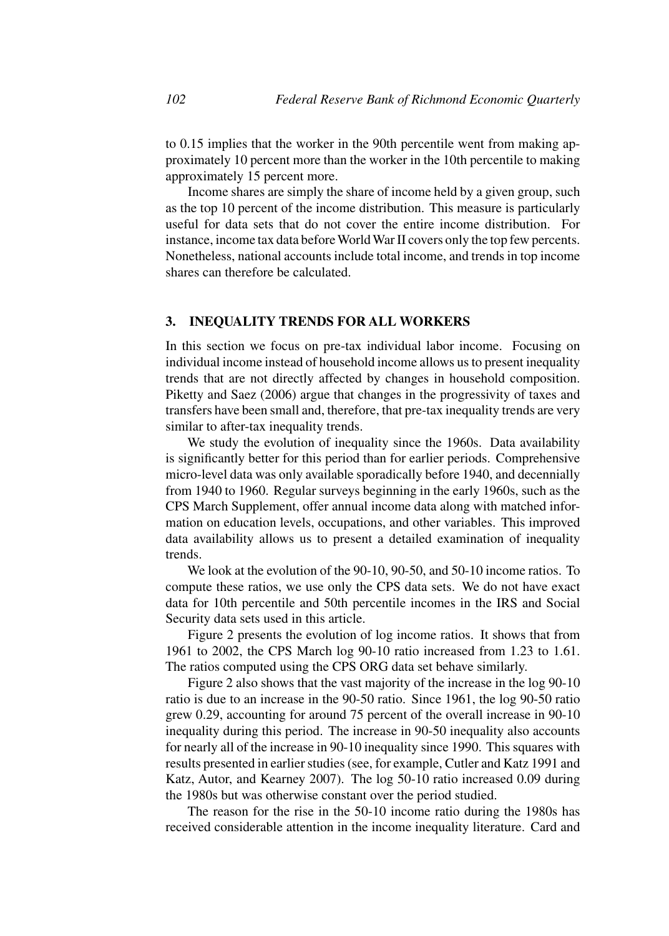to 0.15 implies that the worker in the 90th percentile went from making approximately 10 percent more than the worker in the 10th percentile to making approximately 15 percent more.

Income shares are simply the share of income held by a given group, such as the top 10 percent of the income distribution. This measure is particularly useful for data sets that do not cover the entire income distribution. For instance, income tax data before World War II covers only the top few percents. Nonetheless, national accounts include total income, and trends in top income shares can therefore be calculated.

#### **3. INEQUALITY TRENDS FOR ALL WORKERS**

In this section we focus on pre-tax individual labor income. Focusing on individual income instead of household income allows us to present inequality trends that are not directly affected by changes in household composition. Piketty and Saez (2006) argue that changes in the progressivity of taxes and transfers have been small and, therefore, that pre-tax inequality trends are very similar to after-tax inequality trends.

We study the evolution of inequality since the 1960s. Data availability is significantly better for this period than for earlier periods. Comprehensive micro-level data was only available sporadically before 1940, and decennially from 1940 to 1960. Regular surveys beginning in the early 1960s, such as the CPS March Supplement, offer annual income data along with matched information on education levels, occupations, and other variables. This improved data availability allows us to present a detailed examination of inequality trends.

We look at the evolution of the 90-10, 90-50, and 50-10 income ratios. To compute these ratios, we use only the CPS data sets. We do not have exact data for 10th percentile and 50th percentile incomes in the IRS and Social Security data sets used in this article.

Figure 2 presents the evolution of log income ratios. It shows that from 1961 to 2002, the CPS March log 90-10 ratio increased from 1.23 to 1.61. The ratios computed using the CPS ORG data set behave similarly.

Figure 2 also shows that the vast majority of the increase in the log 90-10 ratio is due to an increase in the 90-50 ratio. Since 1961, the log 90-50 ratio grew 0.29, accounting for around 75 percent of the overall increase in 90-10 inequality during this period. The increase in 90-50 inequality also accounts for nearly all of the increase in 90-10 inequality since 1990. This squares with results presented in earlier studies (see, for example, Cutler and Katz 1991 and Katz, Autor, and Kearney 2007). The log 50-10 ratio increased 0.09 during the 1980s but was otherwise constant over the period studied.

The reason for the rise in the 50-10 income ratio during the 1980s has received considerable attention in the income inequality literature. Card and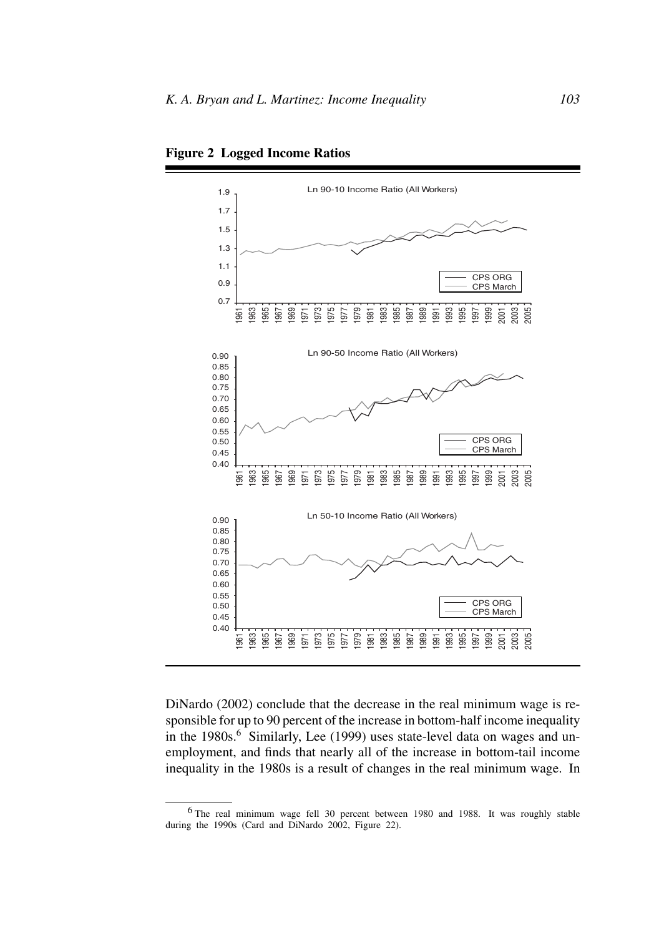

**Figure 2 Logged Income Ratios**

DiNardo (2002) conclude that the decrease in the real minimum wage is responsible for up to 90 percent of the increase in bottom-half income inequality in the 1980s.<sup>6</sup> Similarly, Lee (1999) uses state-level data on wages and unemployment, and finds that nearly all of the increase in bottom-tail income inequality in the 1980s is a result of changes in the real minimum wage. In

<sup>6</sup> The real minimum wage fell 30 percent between 1980 and 1988. It was roughly stable during the 1990s (Card and DiNardo 2002, Figure 22).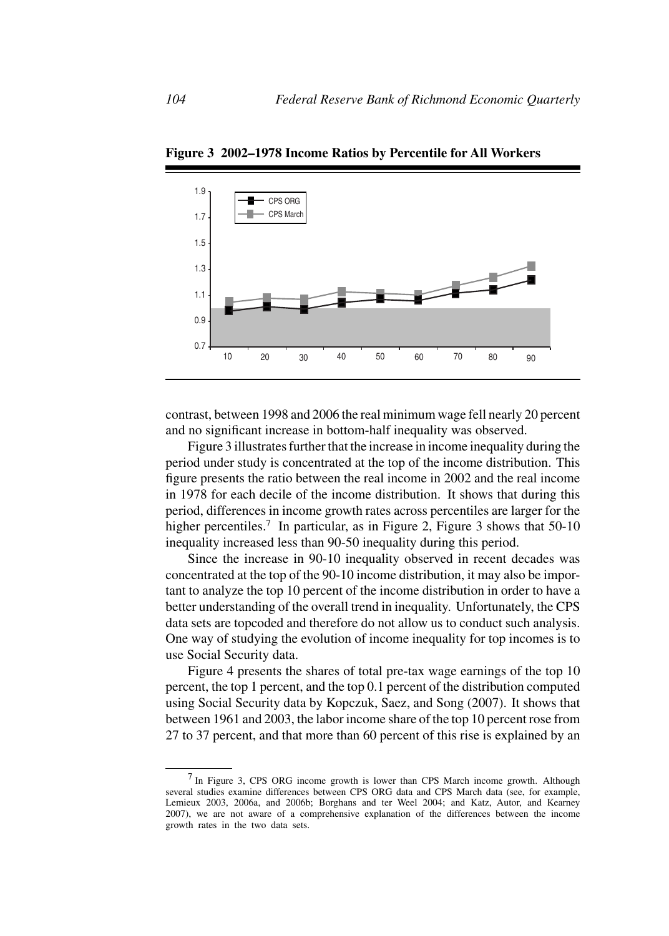

**Figure 3 2002–1978 Income Ratios by Percentile for All Workers**

contrast, between 1998 and 2006 the real minimum wage fell nearly 20 percent and no significant increase in bottom-half inequality was observed.

Figure 3 illustrates further that the increase in income inequality during the period under study is concentrated at the top of the income distribution. This figure presents the ratio between the real income in 2002 and the real income in 1978 for each decile of the income distribution. It shows that during this period, differences in income growth rates across percentiles are larger for the higher percentiles.<sup>7</sup> In particular, as in Figure 2, Figure 3 shows that  $50-10$ inequality increased less than 90-50 inequality during this period.

Since the increase in 90-10 inequality observed in recent decades was concentrated at the top of the 90-10 income distribution, it may also be important to analyze the top 10 percent of the income distribution in order to have a better understanding of the overall trend in inequality. Unfortunately, the CPS data sets are topcoded and therefore do not allow us to conduct such analysis. One way of studying the evolution of income inequality for top incomes is to use Social Security data.

Figure 4 presents the shares of total pre-tax wage earnings of the top 10 percent, the top 1 percent, and the top 0.1 percent of the distribution computed using Social Security data by Kopczuk, Saez, and Song (2007). It shows that between 1961 and 2003, the labor income share of the top 10 percent rose from 27 to 37 percent, and that more than 60 percent of this rise is explained by an

<sup>7</sup> In Figure 3, CPS ORG income growth is lower than CPS March income growth. Although several studies examine differences between CPS ORG data and CPS March data (see, for example, Lemieux 2003, 2006a, and 2006b; Borghans and ter Weel 2004; and Katz, Autor, and Kearney 2007), we are not aware of a comprehensive explanation of the differences between the income growth rates in the two data sets.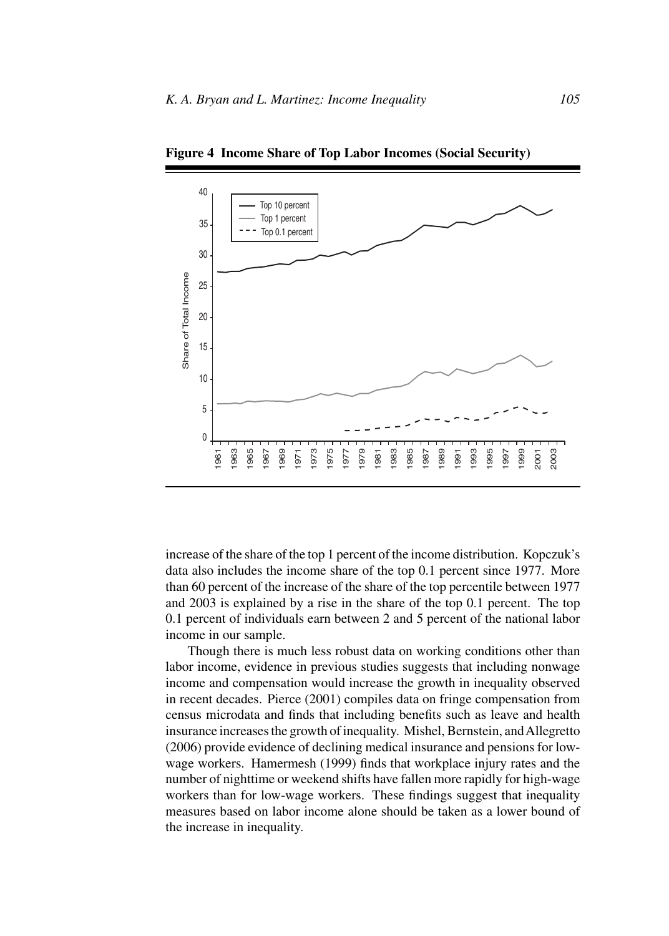

**Figure 4 Income Share of Top Labor Incomes (Social Security)**

increase of the share of the top 1 percent of the income distribution. Kopczuk's data also includes the income share of the top 0.1 percent since 1977. More than 60 percent of the increase of the share of the top percentile between 1977 and 2003 is explained by a rise in the share of the top 0.1 percent. The top 0.1 percent of individuals earn between 2 and 5 percent of the national labor income in our sample.

Though there is much less robust data on working conditions other than labor income, evidence in previous studies suggests that including nonwage income and compensation would increase the growth in inequality observed in recent decades. Pierce (2001) compiles data on fringe compensation from census microdata and finds that including benefits such as leave and health insurance increases the growth of inequality. Mishel, Bernstein, andAllegretto (2006) provide evidence of declining medical insurance and pensions for lowwage workers. Hamermesh (1999) finds that workplace injury rates and the number of nighttime or weekend shifts have fallen more rapidly for high-wage workers than for low-wage workers. These findings suggest that inequality measures based on labor income alone should be taken as a lower bound of the increase in inequality.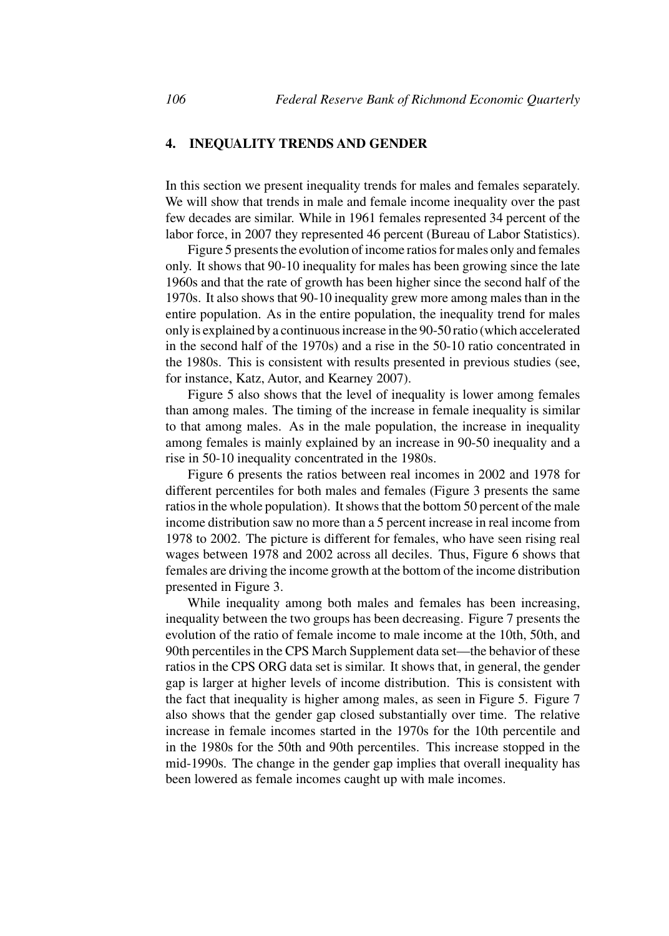## **4. INEQUALITY TRENDS AND GENDER**

In this section we present inequality trends for males and females separately. We will show that trends in male and female income inequality over the past few decades are similar. While in 1961 females represented 34 percent of the labor force, in 2007 they represented 46 percent (Bureau of Labor Statistics).

Figure 5 presents the evolution of income ratios for males only and females only. It shows that 90-10 inequality for males has been growing since the late 1960s and that the rate of growth has been higher since the second half of the 1970s. It also shows that 90-10 inequality grew more among males than in the entire population. As in the entire population, the inequality trend for males only is explained by a continuous increase in the 90-50 ratio (which accelerated in the second half of the 1970s) and a rise in the 50-10 ratio concentrated in the 1980s. This is consistent with results presented in previous studies (see, for instance, Katz, Autor, and Kearney 2007).

Figure 5 also shows that the level of inequality is lower among females than among males. The timing of the increase in female inequality is similar to that among males. As in the male population, the increase in inequality among females is mainly explained by an increase in 90-50 inequality and a rise in 50-10 inequality concentrated in the 1980s.

Figure 6 presents the ratios between real incomes in 2002 and 1978 for different percentiles for both males and females (Figure 3 presents the same ratios in the whole population). It shows that the bottom 50 percent of the male income distribution saw no more than a 5 percent increase in real income from 1978 to 2002. The picture is different for females, who have seen rising real wages between 1978 and 2002 across all deciles. Thus, Figure 6 shows that females are driving the income growth at the bottom of the income distribution presented in Figure 3.

While inequality among both males and females has been increasing, inequality between the two groups has been decreasing. Figure 7 presents the evolution of the ratio of female income to male income at the 10th, 50th, and 90th percentiles in the CPS March Supplement data set—the behavior of these ratios in the CPS ORG data set is similar. It shows that, in general, the gender gap is larger at higher levels of income distribution. This is consistent with the fact that inequality is higher among males, as seen in Figure 5. Figure 7 also shows that the gender gap closed substantially over time. The relative increase in female incomes started in the 1970s for the 10th percentile and in the 1980s for the 50th and 90th percentiles. This increase stopped in the mid-1990s. The change in the gender gap implies that overall inequality has been lowered as female incomes caught up with male incomes.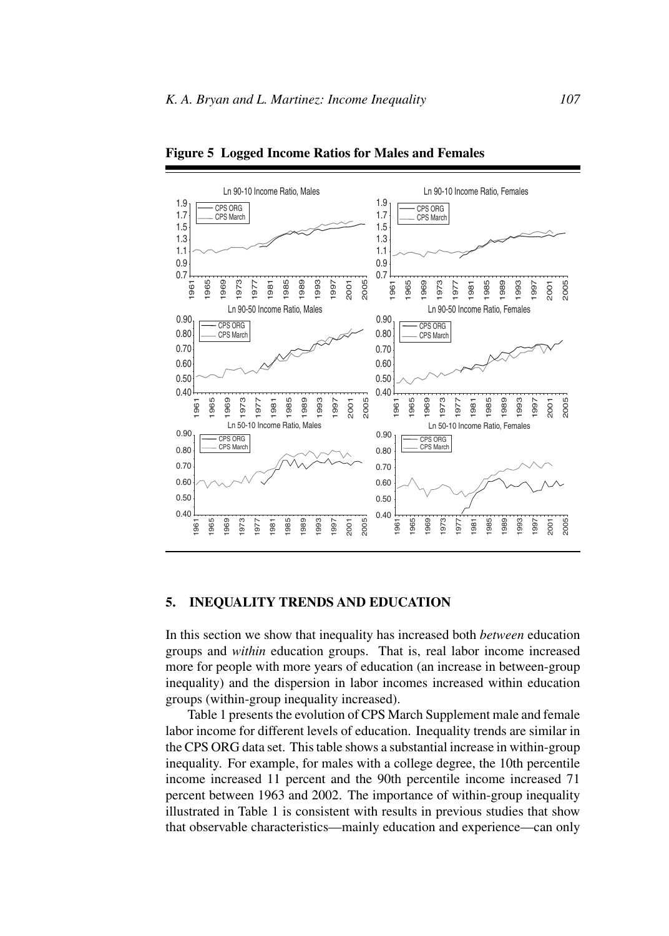

**Figure 5 Logged Income Ratios for Males and Females**

## **5. INEQUALITY TRENDS AND EDUCATION**

In this section we show that inequality has increased both *between* education groups and *within* education groups. That is, real labor income increased more for people with more years of education (an increase in between-group inequality) and the dispersion in labor incomes increased within education groups (within-group inequality increased).

Table 1 presents the evolution of CPS March Supplement male and female labor income for different levels of education. Inequality trends are similar in the CPS ORG data set. This table shows a substantial increase in within-group inequality. For example, for males with a college degree, the 10th percentile income increased 11 percent and the 90th percentile income increased 71 percent between 1963 and 2002. The importance of within-group inequality illustrated in Table 1 is consistent with results in previous studies that show that observable characteristics—mainly education and experience—can only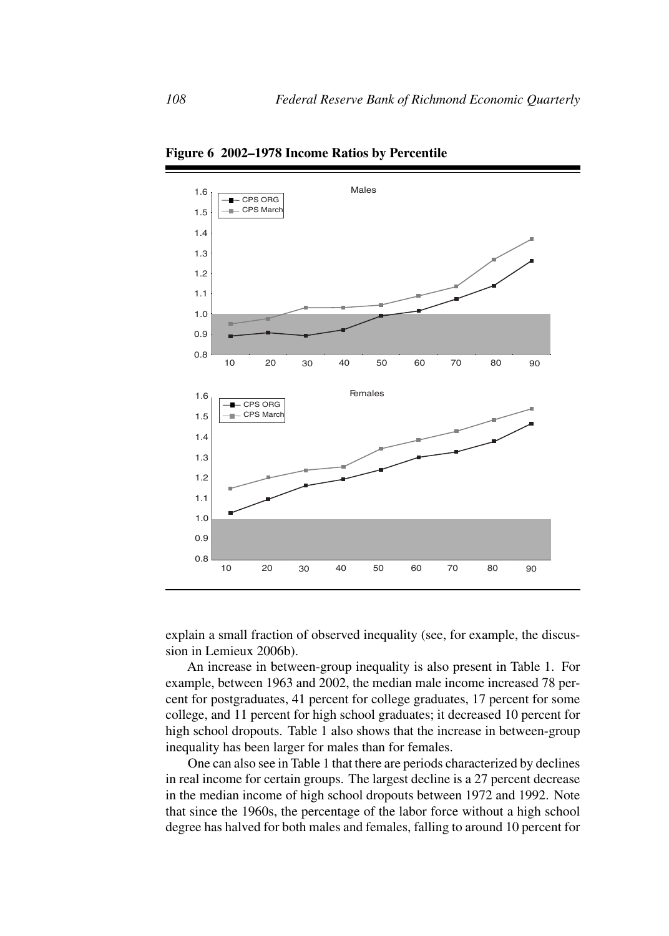

**Figure 6 2002–1978 Income Ratios by Percentile**

explain a small fraction of observed inequality (see, for example, the discussion in Lemieux 2006b).

An increase in between-group inequality is also present in Table 1. For example, between 1963 and 2002, the median male income increased 78 percent for postgraduates, 41 percent for college graduates, 17 percent for some college, and 11 percent for high school graduates; it decreased 10 percent for high school dropouts. Table 1 also shows that the increase in between-group inequality has been larger for males than for females.

One can also see in Table 1 that there are periods characterized by declines in real income for certain groups. The largest decline is a 27 percent decrease in the median income of high school dropouts between 1972 and 1992. Note that since the 1960s, the percentage of the labor force without a high school degree has halved for both males and females, falling to around 10 percent for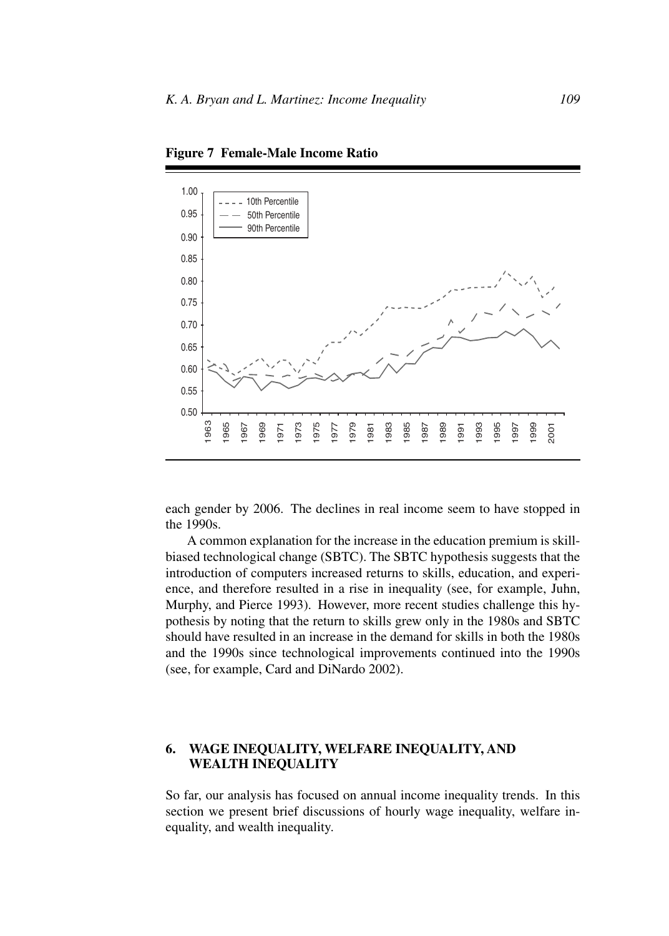

**Figure 7 Female-Male Income Ratio**

each gender by 2006. The declines in real income seem to have stopped in the 1990s.

A common explanation for the increase in the education premium is skillbiased technological change (SBTC). The SBTC hypothesis suggests that the introduction of computers increased returns to skills, education, and experience, and therefore resulted in a rise in inequality (see, for example, Juhn, Murphy, and Pierce 1993). However, more recent studies challenge this hypothesis by noting that the return to skills grew only in the 1980s and SBTC should have resulted in an increase in the demand for skills in both the 1980s and the 1990s since technological improvements continued into the 1990s (see, for example, Card and DiNardo 2002).

## **6. WAGE INEQUALITY, WELFARE INEQUALITY, AND WEALTH INEQUALITY**

So far, our analysis has focused on annual income inequality trends. In this section we present brief discussions of hourly wage inequality, welfare inequality, and wealth inequality.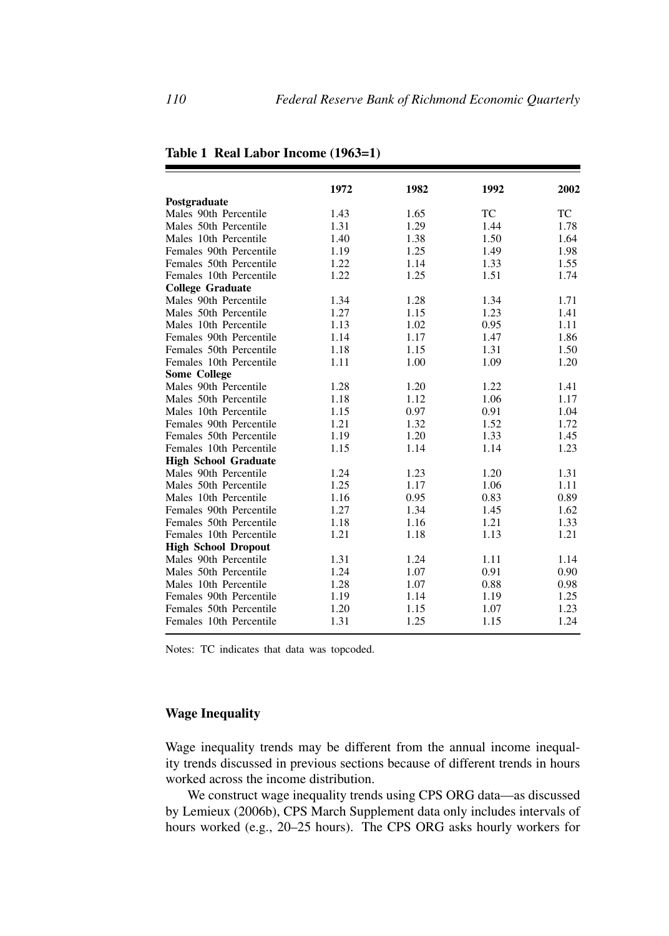| Postgraduate                | 1972 | 1982 | 1992 | 2002 |
|-----------------------------|------|------|------|------|
| Males 90th Percentile       | 1.43 | 1.65 | ТC   | TC   |
| Males 50th Percentile       | 1.31 | 1.29 | 1.44 | 1.78 |
| Males 10th Percentile       | 1.40 | 1.38 | 1.50 | 1.64 |
| Females 90th Percentile     | 1.19 | 1.25 | 1.49 | 1.98 |
| Females 50th Percentile     | 1.22 | 1.14 | 1.33 | 1.55 |
| Females 10th Percentile     | 1.22 | 1.25 | 1.51 | 1.74 |
| <b>College Graduate</b>     |      |      |      |      |
| Males 90th Percentile       | 1.34 | 1.28 | 1.34 | 1.71 |
| Males 50th Percentile       | 1.27 | 1.15 | 1.23 | 1.41 |
| Males 10th Percentile       | 1.13 | 1.02 | 0.95 | 1.11 |
| Females 90th Percentile     | 1.14 | 1.17 | 1.47 | 1.86 |
| Females 50th Percentile     | 1.18 | 1.15 | 1.31 | 1.50 |
| Females 10th Percentile     | 1.11 | 1.00 | 1.09 | 1.20 |
| <b>Some College</b>         |      |      |      |      |
| Males 90th Percentile       | 1.28 | 1.20 | 1.22 | 1.41 |
| Males 50th Percentile       | 1.18 | 1.12 | 1.06 | 1.17 |
| Males 10th Percentile       | 1.15 | 0.97 | 0.91 | 1.04 |
| Females 90th Percentile     | 1.21 | 1.32 | 1.52 | 1.72 |
| Females 50th Percentile     | 1.19 | 1.20 | 1.33 | 1.45 |
| Females 10th Percentile     | 1.15 | 1.14 | 1.14 | 1.23 |
| <b>High School Graduate</b> |      |      |      |      |
| Males 90th Percentile       | 1.24 | 1.23 | 1.20 | 1.31 |
| Males 50th Percentile       | 1.25 | 1.17 | 1.06 | 1.11 |
| Males 10th Percentile       | 1.16 | 0.95 | 0.83 | 0.89 |
| Females 90th Percentile     | 1.27 | 1.34 | 1.45 | 1.62 |
| Females 50th Percentile     | 1.18 | 1.16 | 1.21 | 1.33 |
| Females 10th Percentile     | 1.21 | 1.18 | 1.13 | 1.21 |
| <b>High School Dropout</b>  |      |      |      |      |
| Males 90th Percentile       | 1.31 | 1.24 | 1.11 | 1.14 |
| Males 50th Percentile       | 1.24 | 1.07 | 0.91 | 0.90 |
| Males 10th Percentile       | 1.28 | 1.07 | 0.88 | 0.98 |
| Females 90th Percentile     | 1.19 | 1.14 | 1.19 | 1.25 |
| Females 50th Percentile     | 1.20 | 1.15 | 1.07 | 1.23 |
| Females 10th Percentile     | 1.31 | 1.25 | 1.15 | 1.24 |
|                             |      |      |      |      |

**Table 1 Real Labor Income (1963=1)**

Notes: TC indicates that data was topcoded.

## **Wage Inequality**

Wage inequality trends may be different from the annual income inequality trends discussed in previous sections because of different trends in hours worked across the income distribution.

We construct wage inequality trends using CPS ORG data—as discussed by Lemieux (2006b), CPS March Supplement data only includes intervals of hours worked (e.g., 20–25 hours). The CPS ORG asks hourly workers for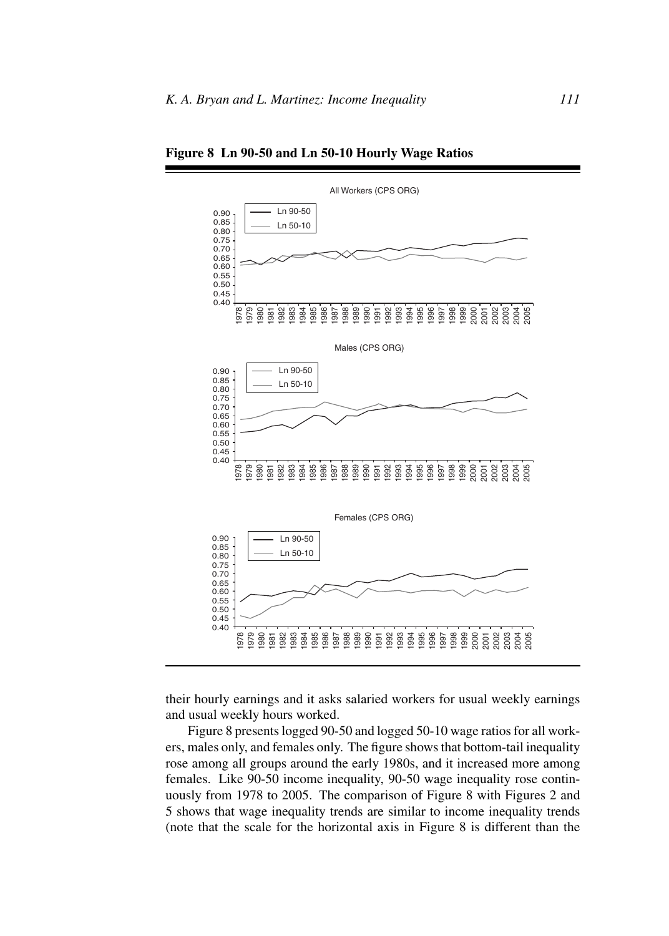

**Figure 8 Ln 90-50 and Ln 50-10 Hourly Wage Ratios**

their hourly earnings and it asks salaried workers for usual weekly earnings and usual weekly hours worked.

Figure 8 presents logged 90-50 and logged 50-10 wage ratios for all workers, males only, and females only. The figure shows that bottom-tail inequality rose among all groups around the early 1980s, and it increased more among females. Like 90-50 income inequality, 90-50 wage inequality rose continuously from 1978 to 2005. The comparison of Figure 8 with Figures 2 and 5 shows that wage inequality trends are similar to income inequality trends (note that the scale for the horizontal axis in Figure 8 is different than the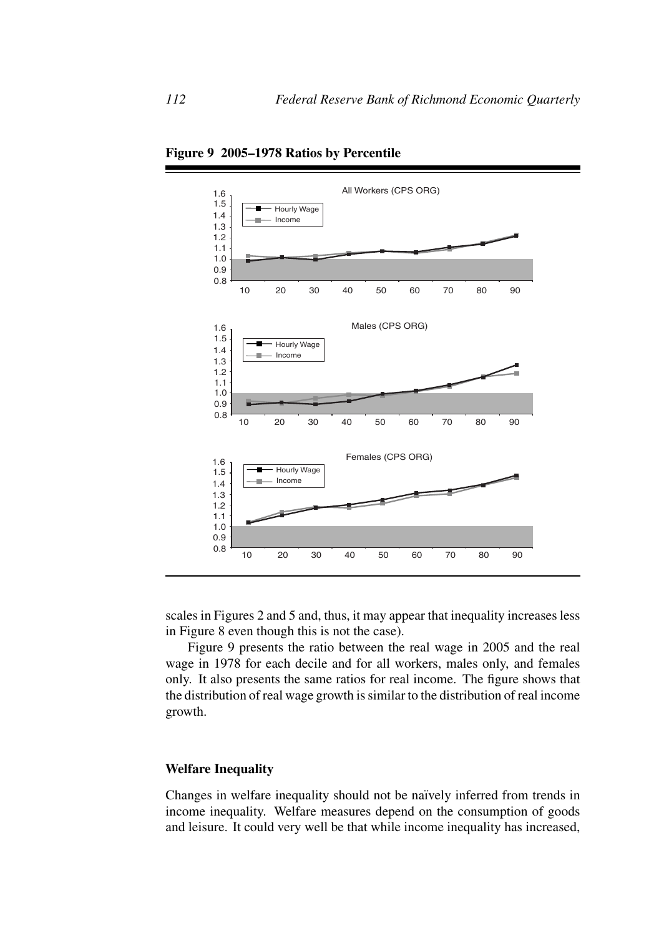

**Figure 9 2005–1978 Ratios by Percentile**

scales in Figures 2 and 5 and, thus, it may appear that inequality increases less in Figure 8 even though this is not the case).

Figure 9 presents the ratio between the real wage in 2005 and the real wage in 1978 for each decile and for all workers, males only, and females only. It also presents the same ratios for real income. The figure shows that the distribution of real wage growth is similar to the distribution of real income growth.

## **Welfare Inequality**

Changes in welfare inequality should not be naïvely inferred from trends in income inequality. Welfare measures depend on the consumption of goods and leisure. It could very well be that while income inequality has increased,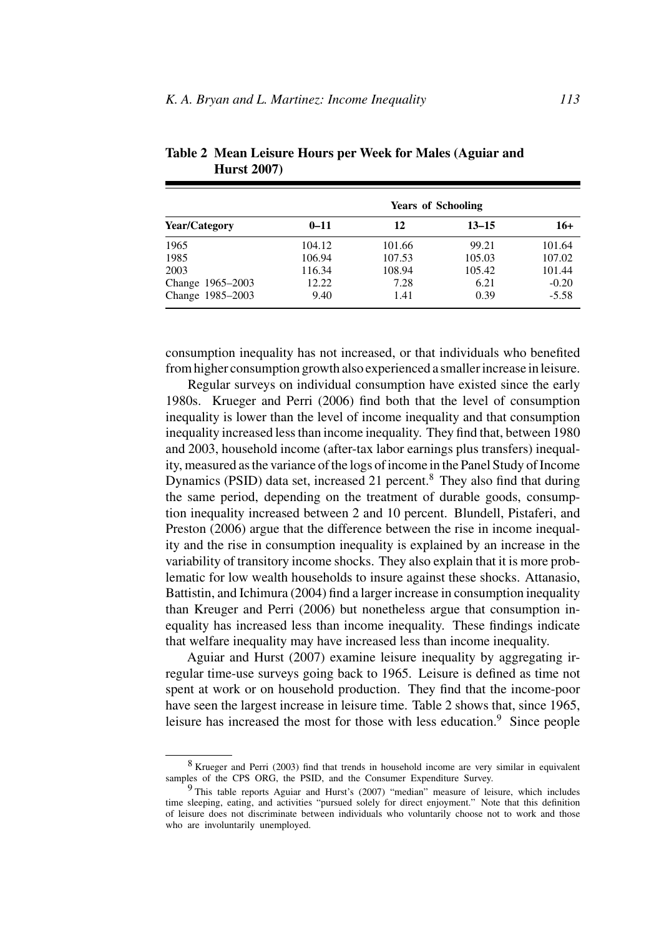|                      | <b>Years of Schooling</b> |        |           |         |
|----------------------|---------------------------|--------|-----------|---------|
| <b>Year/Category</b> | $0 - 11$                  | 12     | $13 - 15$ | $16+$   |
| 1965                 | 104.12                    | 101.66 | 99.21     | 101.64  |
| 1985                 | 106.94                    | 107.53 | 105.03    | 107.02  |
| 2003                 | 116.34                    | 108.94 | 105.42    | 101.44  |
| Change 1965-2003     | 12.22                     | 7.28   | 6.21      | $-0.20$ |
| Change 1985-2003     | 9.40                      | 1.41   | 0.39      | $-5.58$ |

**Table 2 Mean Leisure Hours per Week for Males (Aguiar and Hurst 2007)**

consumption inequality has not increased, or that individuals who benefited from higher consumption growth also experienced a smaller increase in leisure.

Regular surveys on individual consumption have existed since the early 1980s. Krueger and Perri (2006) find both that the level of consumption inequality is lower than the level of income inequality and that consumption inequality increased less than income inequality. They find that, between 1980 and 2003, household income (after-tax labor earnings plus transfers) inequality, measured as the variance of the logs of income in the Panel Study of Income Dynamics (PSID) data set, increased 21 percent.<sup>8</sup> They also find that during the same period, depending on the treatment of durable goods, consumption inequality increased between 2 and 10 percent. Blundell, Pistaferi, and Preston (2006) argue that the difference between the rise in income inequality and the rise in consumption inequality is explained by an increase in the variability of transitory income shocks. They also explain that it is more problematic for low wealth households to insure against these shocks. Attanasio, Battistin, and Ichimura (2004) find a larger increase in consumption inequality than Kreuger and Perri (2006) but nonetheless argue that consumption inequality has increased less than income inequality. These findings indicate that welfare inequality may have increased less than income inequality.

Aguiar and Hurst (2007) examine leisure inequality by aggregating irregular time-use surveys going back to 1965. Leisure is defined as time not spent at work or on household production. They find that the income-poor have seen the largest increase in leisure time. Table 2 shows that, since 1965, leisure has increased the most for those with less education.<sup>9</sup> Since people

<sup>8</sup> Krueger and Perri (2003) find that trends in household income are very similar in equivalent samples of the CPS ORG, the PSID, and the Consumer Expenditure Survey.

<sup>9</sup> This table reports Aguiar and Hurst's (2007) "median" measure of leisure, which includes time sleeping, eating, and activities "pursued solely for direct enjoyment." Note that this definition of leisure does not discriminate between individuals who voluntarily choose not to work and those who are involuntarily unemployed.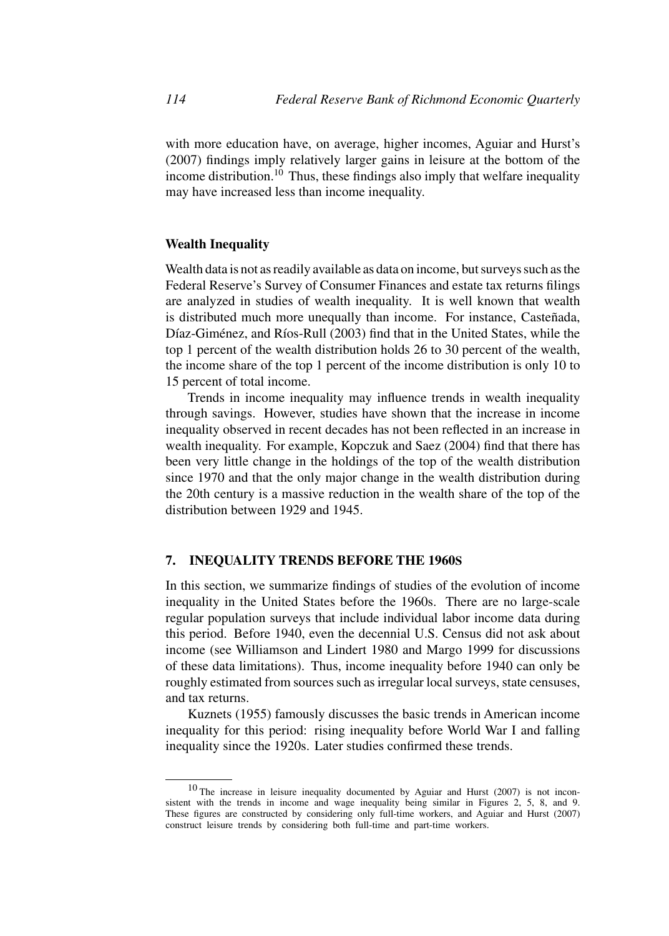with more education have, on average, higher incomes, Aguiar and Hurst's (2007) findings imply relatively larger gains in leisure at the bottom of the income distribution.<sup>10</sup> Thus, these findings also imply that welfare inequality may have increased less than income inequality.

## **Wealth Inequality**

Wealth data is not as readily available as data on income, but surveys such as the Federal Reserve's Survey of Consumer Finances and estate tax returns filings are analyzed in studies of wealth inequality. It is well known that wealth is distributed much more unequally than income. For instance, Casteñada, Díaz-Giménez, and Ríos-Rull (2003) find that in the United States, while the top 1 percent of the wealth distribution holds 26 to 30 percent of the wealth, the income share of the top 1 percent of the income distribution is only 10 to 15 percent of total income.

Trends in income inequality may influence trends in wealth inequality through savings. However, studies have shown that the increase in income inequality observed in recent decades has not been reflected in an increase in wealth inequality. For example, Kopczuk and Saez (2004) find that there has been very little change in the holdings of the top of the wealth distribution since 1970 and that the only major change in the wealth distribution during the 20th century is a massive reduction in the wealth share of the top of the distribution between 1929 and 1945.

## **7. INEQUALITY TRENDS BEFORE THE 1960S**

In this section, we summarize findings of studies of the evolution of income inequality in the United States before the 1960s. There are no large-scale regular population surveys that include individual labor income data during this period. Before 1940, even the decennial U.S. Census did not ask about income (see Williamson and Lindert 1980 and Margo 1999 for discussions of these data limitations). Thus, income inequality before 1940 can only be roughly estimated from sources such as irregular local surveys, state censuses, and tax returns.

Kuznets (1955) famously discusses the basic trends in American income inequality for this period: rising inequality before World War I and falling inequality since the 1920s. Later studies confirmed these trends.

<sup>10</sup> The increase in leisure inequality documented by Aguiar and Hurst (2007) is not inconsistent with the trends in income and wage inequality being similar in Figures 2, 5, 8, and 9. These figures are constructed by considering only full-time workers, and Aguiar and Hurst (2007) construct leisure trends by considering both full-time and part-time workers.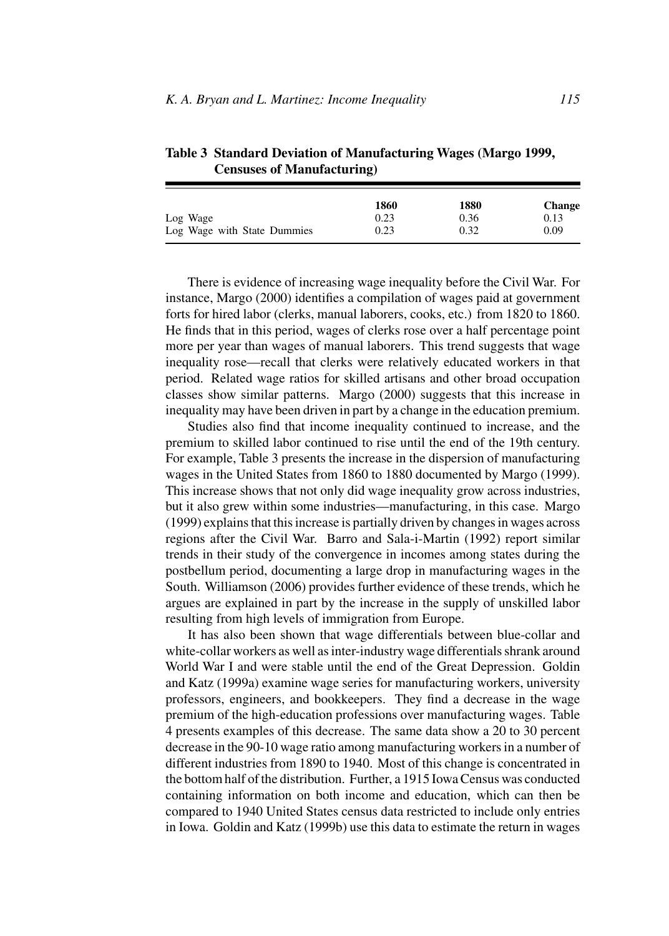| Table 3 Standard Deviation of Manufacturing Wages (Margo 1999, |
|----------------------------------------------------------------|
| <b>Censuses of Manufacturing</b> )                             |
|                                                                |

|                             | 1860 | 1880 | <b>Change</b> |  |
|-----------------------------|------|------|---------------|--|
| Log Wage                    | 0.23 | 0.36 | 0.13          |  |
| Log Wage with State Dummies | 0.23 | 0.32 | 0.09          |  |

There is evidence of increasing wage inequality before the Civil War. For instance, Margo (2000) identifies a compilation of wages paid at government forts for hired labor (clerks, manual laborers, cooks, etc.) from 1820 to 1860. He finds that in this period, wages of clerks rose over a half percentage point more per year than wages of manual laborers. This trend suggests that wage inequality rose—recall that clerks were relatively educated workers in that period. Related wage ratios for skilled artisans and other broad occupation classes show similar patterns. Margo (2000) suggests that this increase in inequality may have been driven in part by a change in the education premium.

Studies also find that income inequality continued to increase, and the premium to skilled labor continued to rise until the end of the 19th century. For example, Table 3 presents the increase in the dispersion of manufacturing wages in the United States from 1860 to 1880 documented by Margo (1999). This increase shows that not only did wage inequality grow across industries, but it also grew within some industries—manufacturing, in this case. Margo (1999) explains that this increase is partially driven by changes in wages across regions after the Civil War. Barro and Sala-i-Martin (1992) report similar trends in their study of the convergence in incomes among states during the postbellum period, documenting a large drop in manufacturing wages in the South. Williamson (2006) provides further evidence of these trends, which he argues are explained in part by the increase in the supply of unskilled labor resulting from high levels of immigration from Europe.

It has also been shown that wage differentials between blue-collar and white-collar workers as well as inter-industry wage differentials shrank around World War I and were stable until the end of the Great Depression. Goldin and Katz (1999a) examine wage series for manufacturing workers, university professors, engineers, and bookkeepers. They find a decrease in the wage premium of the high-education professions over manufacturing wages. Table 4 presents examples of this decrease. The same data show a 20 to 30 percent decrease in the 90-10 wage ratio among manufacturing workers in a number of different industries from 1890 to 1940. Most of this change is concentrated in the bottom half of the distribution. Further, a 1915 Iowa Census was conducted containing information on both income and education, which can then be compared to 1940 United States census data restricted to include only entries in Iowa. Goldin and Katz (1999b) use this data to estimate the return in wages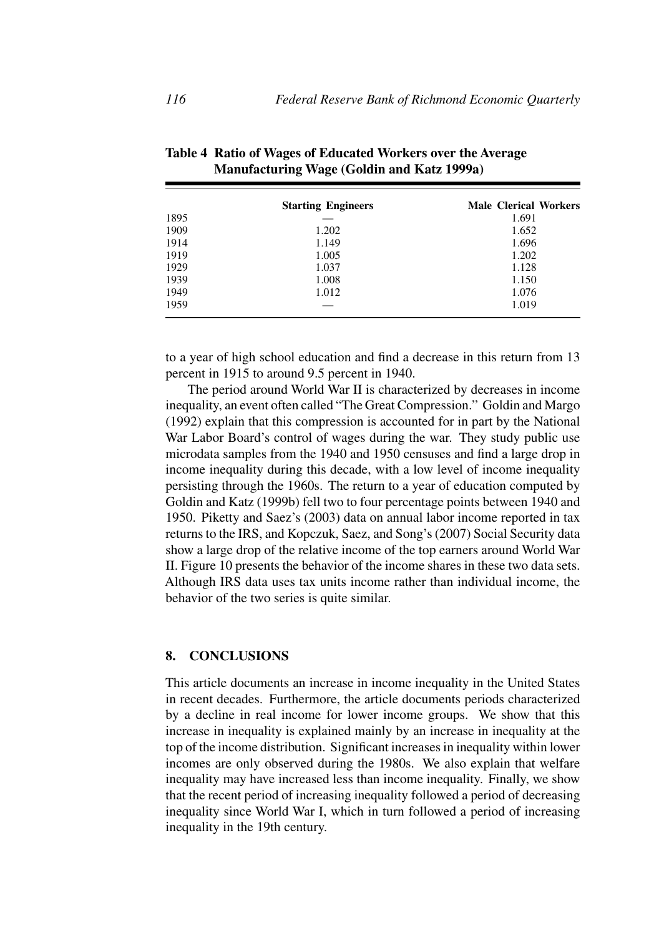|      | <b>Starting Engineers</b> | <b>Male Clerical Workers</b> |  |
|------|---------------------------|------------------------------|--|
| 1895 |                           | 1.691                        |  |
| 1909 | 1.202                     | 1.652                        |  |
| 1914 | 1.149                     | 1.696                        |  |
| 1919 | 1.005                     | 1.202                        |  |
| 1929 | 1.037                     | 1.128                        |  |
| 1939 | 1.008                     | 1.150                        |  |
| 1949 | 1.012                     | 1.076                        |  |
| 1959 |                           | 1.019                        |  |

**Table 4 Ratio of Wages of Educated Workers over the Average Manufacturing Wage (Goldin and Katz 1999a)**

to a year of high school education and find a decrease in this return from 13 percent in 1915 to around 9.5 percent in 1940.

The period around World War II is characterized by decreases in income inequality, an event often called "The Great Compression." Goldin and Margo (1992) explain that this compression is accounted for in part by the National War Labor Board's control of wages during the war. They study public use microdata samples from the 1940 and 1950 censuses and find a large drop in income inequality during this decade, with a low level of income inequality persisting through the 1960s. The return to a year of education computed by Goldin and Katz (1999b) fell two to four percentage points between 1940 and 1950. Piketty and Saez's (2003) data on annual labor income reported in tax returns to the IRS, and Kopczuk, Saez, and Song's (2007) Social Security data show a large drop of the relative income of the top earners around World War II. Figure 10 presents the behavior of the income shares in these two data sets. Although IRS data uses tax units income rather than individual income, the behavior of the two series is quite similar.

## **8. CONCLUSIONS**

This article documents an increase in income inequality in the United States in recent decades. Furthermore, the article documents periods characterized by a decline in real income for lower income groups. We show that this increase in inequality is explained mainly by an increase in inequality at the top of the income distribution. Significant increases in inequality within lower incomes are only observed during the 1980s. We also explain that welfare inequality may have increased less than income inequality. Finally, we show that the recent period of increasing inequality followed a period of decreasing inequality since World War I, which in turn followed a period of increasing inequality in the 19th century.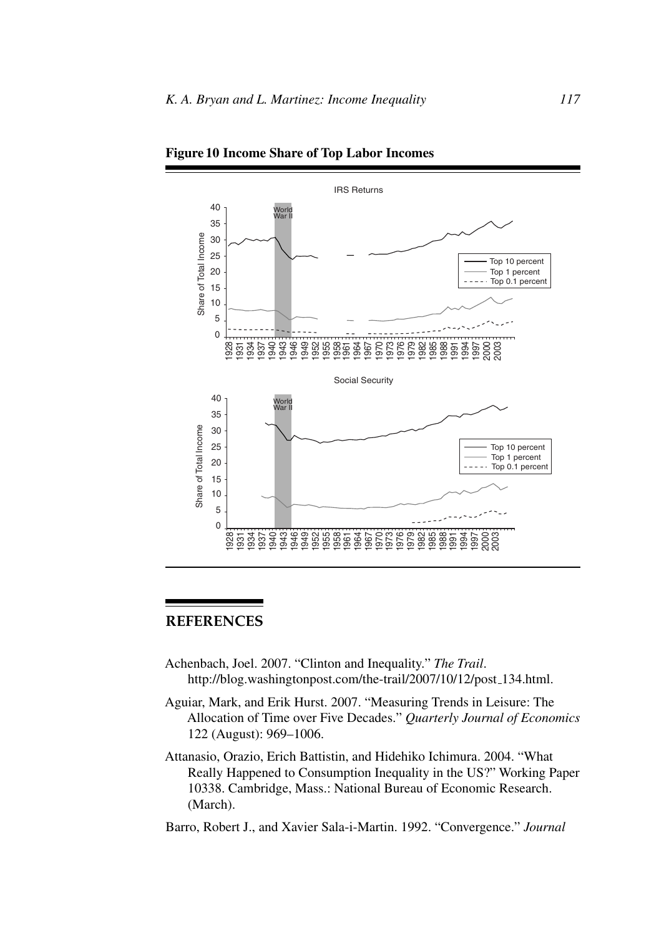

**Figure 10 Income Share of Top Labor Incomes**

## **REFERENCES**

- Achenbach, Joel. 2007. "Clinton and Inequality." *The Trail*. http://blog.washingtonpost.com/the-trail/2007/10/12/post 134.html.
- Aguiar, Mark, and Erik Hurst. 2007. "Measuring Trends in Leisure: The Allocation of Time over Five Decades." *Quarterly Journal of Economics* 122 (August): 969–1006.
- Attanasio, Orazio, Erich Battistin, and Hidehiko Ichimura. 2004. "What Really Happened to Consumption Inequality in the US?" Working Paper 10338. Cambridge, Mass.: National Bureau of Economic Research. (March).

Barro, Robert J., and Xavier Sala-i-Martin. 1992. "Convergence." *Journal*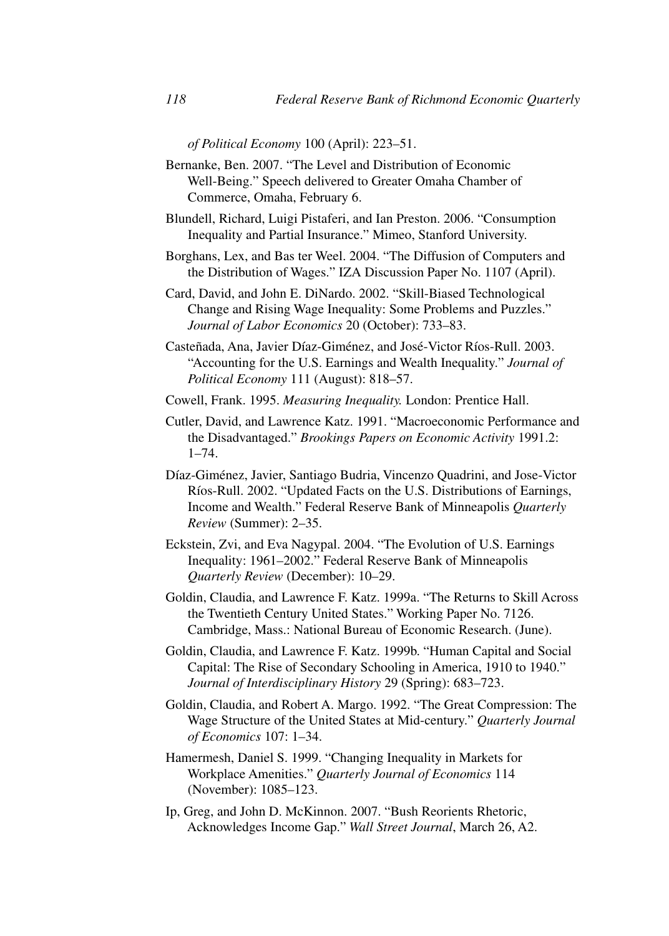*of Political Economy* 100 (April): 223–51.

- Bernanke, Ben. 2007. "The Level and Distribution of Economic Well-Being." Speech delivered to Greater Omaha Chamber of Commerce, Omaha, February 6.
- Blundell, Richard, Luigi Pistaferi, and Ian Preston. 2006. "Consumption Inequality and Partial Insurance." Mimeo, Stanford University.
- Borghans, Lex, and Bas ter Weel. 2004. "The Diffusion of Computers and the Distribution of Wages." IZA Discussion Paper No. 1107 (April).
- Card, David, and John E. DiNardo. 2002. "Skill-Biased Technological Change and Rising Wage Inequality: Some Problems and Puzzles." *Journal of Labor Economics* 20 (October): 733–83.
- Casteñada, Ana, Javier Díaz-Giménez, and José-Victor Ríos-Rull. 2003. "Accounting for the U.S. Earnings and Wealth Inequality." *Journal of Political Economy* 111 (August): 818–57.
- Cowell, Frank. 1995. *Measuring Inequality.* London: Prentice Hall.
- Cutler, David, and Lawrence Katz. 1991. "Macroeconomic Performance and the Disadvantaged." *Brookings Papers on Economic Activity* 1991.2: 1–74.
- Díaz-Giménez, Javier, Santiago Budria, Vincenzo Quadrini, and Jose-Victor Ríos-Rull. 2002. "Updated Facts on the U.S. Distributions of Earnings, Income and Wealth." Federal Reserve Bank of Minneapolis *Quarterly Review* (Summer): 2–35.
- Eckstein, Zvi, and Eva Nagypal. 2004. "The Evolution of U.S. Earnings Inequality: 1961–2002." Federal Reserve Bank of Minneapolis *Quarterly Review* (December): 10–29.
- Goldin, Claudia, and Lawrence F. Katz. 1999a. "The Returns to Skill Across the Twentieth Century United States." Working Paper No. 7126. Cambridge, Mass.: National Bureau of Economic Research. (June).
- Goldin, Claudia, and Lawrence F. Katz. 1999b. "Human Capital and Social Capital: The Rise of Secondary Schooling in America, 1910 to 1940." *Journal of Interdisciplinary History* 29 (Spring): 683–723.
- Goldin, Claudia, and Robert A. Margo. 1992. "The Great Compression: The Wage Structure of the United States at Mid-century." *Quarterly Journal of Economics* 107: 1–34.
- Hamermesh, Daniel S. 1999. "Changing Inequality in Markets for Workplace Amenities." *Quarterly Journal of Economics* 114 (November): 1085–123.
- Ip, Greg, and John D. McKinnon. 2007. "Bush Reorients Rhetoric, Acknowledges Income Gap." *Wall Street Journal*, March 26, A2.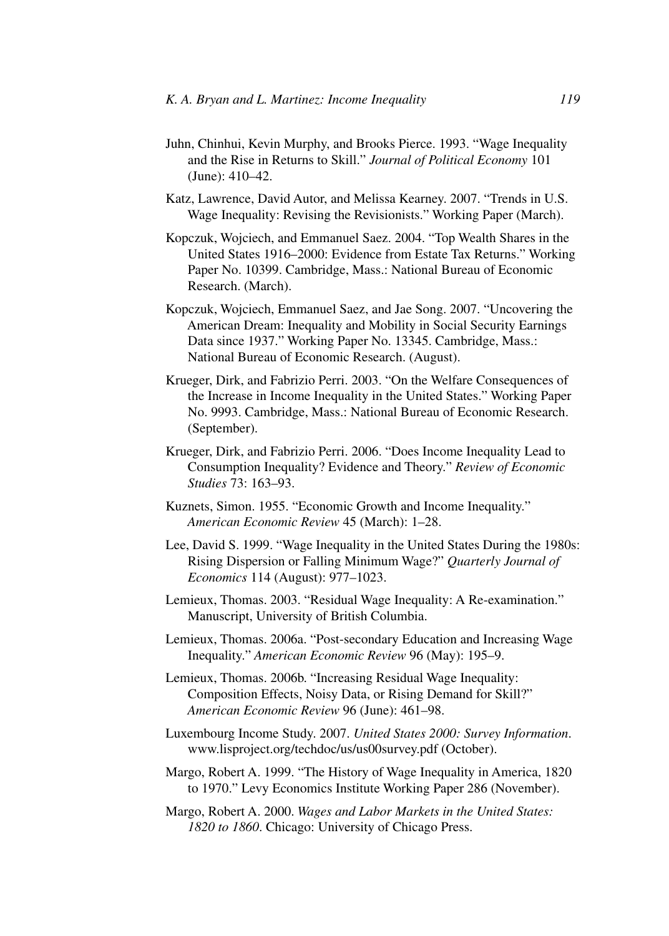- Juhn, Chinhui, Kevin Murphy, and Brooks Pierce. 1993. "Wage Inequality and the Rise in Returns to Skill." *Journal of Political Economy* 101 (June): 410–42.
- Katz, Lawrence, David Autor, and Melissa Kearney. 2007. "Trends in U.S. Wage Inequality: Revising the Revisionists." Working Paper (March).
- Kopczuk, Wojciech, and Emmanuel Saez. 2004. "Top Wealth Shares in the United States 1916–2000: Evidence from Estate Tax Returns." Working Paper No. 10399. Cambridge, Mass.: National Bureau of Economic Research. (March).
- Kopczuk, Wojciech, Emmanuel Saez, and Jae Song. 2007. "Uncovering the American Dream: Inequality and Mobility in Social Security Earnings Data since 1937." Working Paper No. 13345. Cambridge, Mass.: National Bureau of Economic Research. (August).
- Krueger, Dirk, and Fabrizio Perri. 2003. "On the Welfare Consequences of the Increase in Income Inequality in the United States." Working Paper No. 9993. Cambridge, Mass.: National Bureau of Economic Research. (September).
- Krueger, Dirk, and Fabrizio Perri. 2006. "Does Income Inequality Lead to Consumption Inequality? Evidence and Theory." *Review of Economic Studies* 73: 163–93.
- Kuznets, Simon. 1955. "Economic Growth and Income Inequality." *American Economic Review* 45 (March): 1–28.
- Lee, David S. 1999. "Wage Inequality in the United States During the 1980s: Rising Dispersion or Falling Minimum Wage?" *Quarterly Journal of Economics* 114 (August): 977–1023.
- Lemieux, Thomas. 2003. "Residual Wage Inequality: A Re-examination." Manuscript, University of British Columbia.
- Lemieux, Thomas. 2006a. "Post-secondary Education and Increasing Wage Inequality." *American Economic Review* 96 (May): 195–9.
- Lemieux, Thomas. 2006b. "Increasing Residual Wage Inequality: Composition Effects, Noisy Data, or Rising Demand for Skill?" *American Economic Review* 96 (June): 461–98.
- Luxembourg Income Study. 2007. *United States 2000: Survey Information*. www.lisproject.org/techdoc/us/us00survey.pdf (October).
- Margo, Robert A. 1999. "The History of Wage Inequality in America, 1820 to 1970." Levy Economics Institute Working Paper 286 (November).
- Margo, Robert A. 2000. *Wages and Labor Markets in the United States: 1820 to 1860*. Chicago: University of Chicago Press.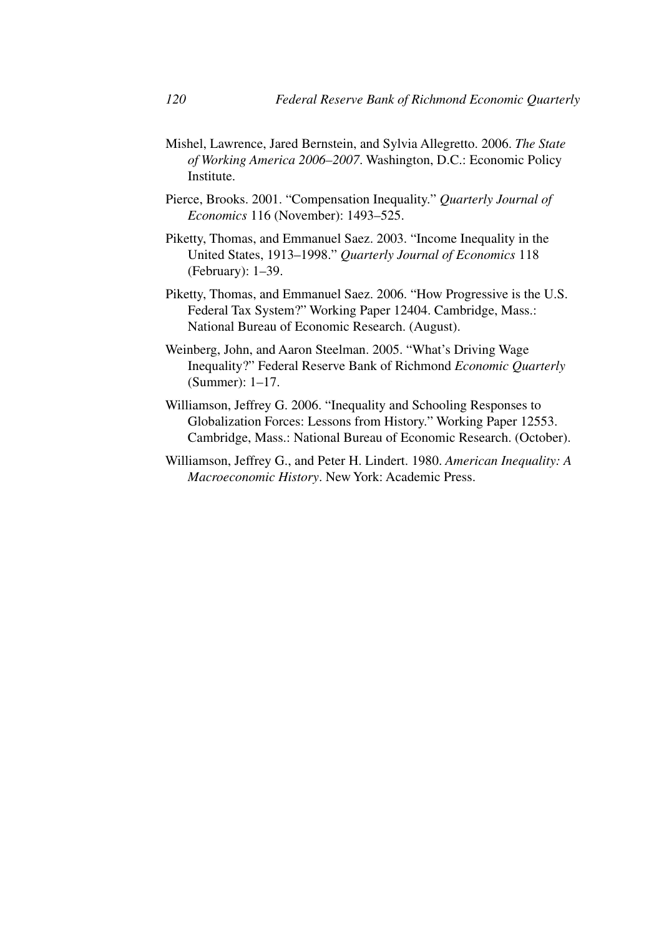- Mishel, Lawrence, Jared Bernstein, and Sylvia Allegretto. 2006. *The State of Working America 2006–2007*. Washington, D.C.: Economic Policy Institute.
- Pierce, Brooks. 2001. "Compensation Inequality." *Quarterly Journal of Economics* 116 (November): 1493–525.
- Piketty, Thomas, and Emmanuel Saez. 2003. "Income Inequality in the United States, 1913–1998." *Quarterly Journal of Economics* 118 (February): 1–39.
- Piketty, Thomas, and Emmanuel Saez. 2006. "How Progressive is the U.S. Federal Tax System?" Working Paper 12404. Cambridge, Mass.: National Bureau of Economic Research. (August).
- Weinberg, John, and Aaron Steelman. 2005. "What's Driving Wage Inequality?" Federal Reserve Bank of Richmond *Economic Quarterly* (Summer): 1–17.
- Williamson, Jeffrey G. 2006. "Inequality and Schooling Responses to Globalization Forces: Lessons from History." Working Paper 12553. Cambridge, Mass.: National Bureau of Economic Research. (October).
- Williamson, Jeffrey G., and Peter H. Lindert. 1980. *American Inequality: A Macroeconomic History*. New York: Academic Press.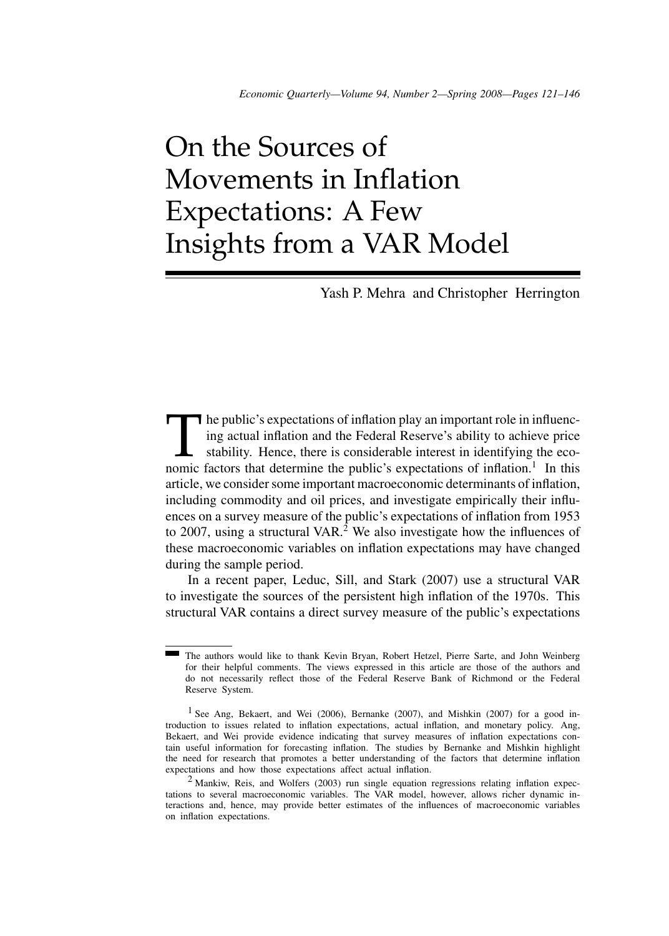# On the Sources of Movements in Inflation Expectations: A Few Insights from a VAR Model

Yash P. Mehra and Christopher Herrington

The public's expectations of inflation play an important role in influencing actual inflation and the Federal Reserve's ability to achieve price stability. Hence, there is considerable interest in identifying the economic ing actual inflation and the Federal Reserve's ability to achieve price stability. Hence, there is considerable interest in identifying the economic factors that determine the public's expectations of inflation.<sup>1</sup> In this article, we consider some important macroeconomic determinants of inflation, including commodity and oil prices, and investigate empirically their influences on a survey measure of the public's expectations of inflation from 1953 to 2007, using a structural VAR.<sup>2</sup> We also investigate how the influences of these macroeconomic variables on inflation expectations may have changed during the sample period.

In a recent paper, Leduc, Sill, and Stark (2007) use a structural VAR to investigate the sources of the persistent high inflation of the 1970s. This structural VAR contains a direct survey measure of the public's expectations

The authors would like to thank Kevin Bryan, Robert Hetzel, Pierre Sarte, and John Weinberg for their helpful comments. The views expressed in this article are those of the authors and do not necessarily reflect those of the Federal Reserve Bank of Richmond or the Federal Reserve System.

<sup>&</sup>lt;sup>1</sup> See Ang, Bekaert, and Wei (2006), Bernanke (2007), and Mishkin (2007) for a good introduction to issues related to inflation expectations, actual inflation, and monetary policy. Ang, Bekaert, and Wei provide evidence indicating that survey measures of inflation expectations contain useful information for forecasting inflation. The studies by Bernanke and Mishkin highlight the need for research that promotes a better understanding of the factors that determine inflation expectations and how those expectations affect actual inflation.

 $2$  Mankiw, Reis, and Wolfers (2003) run single equation regressions relating inflation expectations to several macroeconomic variables. The VAR model, however, allows richer dynamic interactions and, hence, may provide better estimates of the influences of macroeconomic variables on inflation expectations.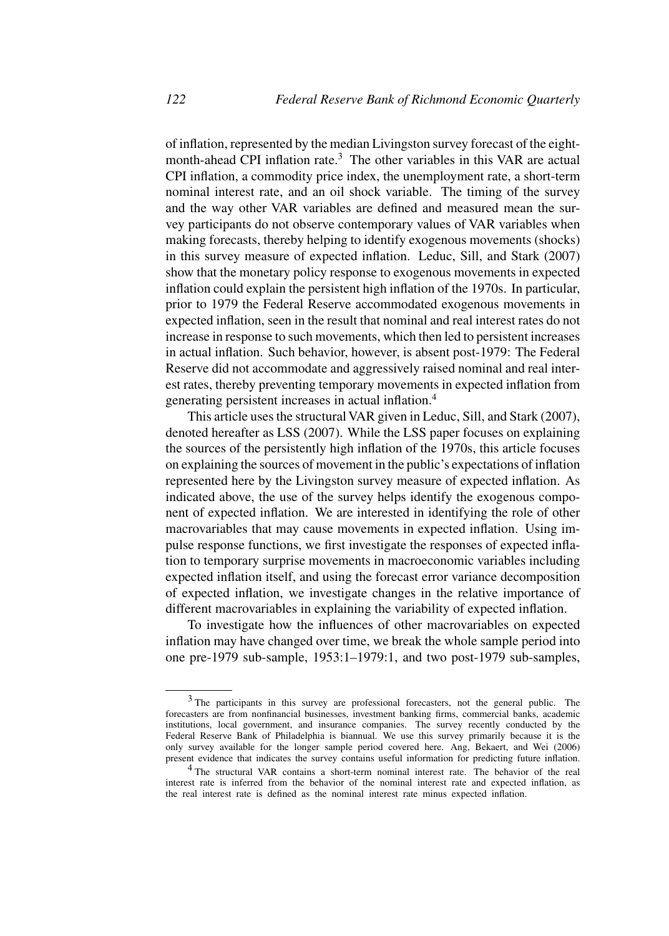of inflation, represented by the median Livingston survey forecast of the eightmonth-ahead CPI inflation rate.<sup>3</sup> The other variables in this VAR are actual CPI inflation, a commodity price index, the unemployment rate, a short-term nominal interest rate, and an oil shock variable. The timing of the survey and the way other VAR variables are defined and measured mean the survey participants do not observe contemporary values of VAR variables when making forecasts, thereby helping to identify exogenous movements (shocks) in this survey measure of expected inflation. Leduc, Sill, and Stark (2007) show that the monetary policy response to exogenous movements in expected inflation could explain the persistent high inflation of the 1970s. In particular, prior to 1979 the Federal Reserve accommodated exogenous movements in expected inflation, seen in the result that nominal and real interest rates do not increase in response to such movements, which then led to persistent increases in actual inflation. Such behavior, however, is absent post-1979: The Federal Reserve did not accommodate and aggressively raised nominal and real interest rates, thereby preventing temporary movements in expected inflation from generating persistent increases in actual inflation.4

This article uses the structural VAR given in Leduc, Sill, and Stark (2007), denoted hereafter as LSS (2007). While the LSS paper focuses on explaining the sources of the persistently high inflation of the 1970s, this article focuses on explaining the sources of movement in the public's expectations of inflation represented here by the Livingston survey measure of expected inflation. As indicated above, the use of the survey helps identify the exogenous component of expected inflation. We are interested in identifying the role of other macrovariables that may cause movements in expected inflation. Using impulse response functions, we first investigate the responses of expected inflation to temporary surprise movements in macroeconomic variables including expected inflation itself, and using the forecast error variance decomposition of expected inflation, we investigate changes in the relative importance of different macrovariables in explaining the variability of expected inflation.

To investigate how the influences of other macrovariables on expected inflation may have changed over time, we break the whole sample period into one pre-1979 sub-sample, 1953:1–1979:1, and two post-1979 sub-samples,

<sup>&</sup>lt;sup>3</sup> The participants in this survey are professional forecasters, not the general public. The forecasters are from nonfinancial businesses, investment banking firms, commercial banks, academic institutions, local government, and insurance companies. The survey recently conducted by the Federal Reserve Bank of Philadelphia is biannual. We use this survey primarily because it is the only survey available for the longer sample period covered here. Ang, Bekaert, and Wei (2006) present evidence that indicates the survey contains useful information for predicting future inflation.

<sup>4</sup> The structural VAR contains a short-term nominal interest rate. The behavior of the real interest rate is inferred from the behavior of the nominal interest rate and expected inflation, as the real interest rate is defined as the nominal interest rate minus expected inflation.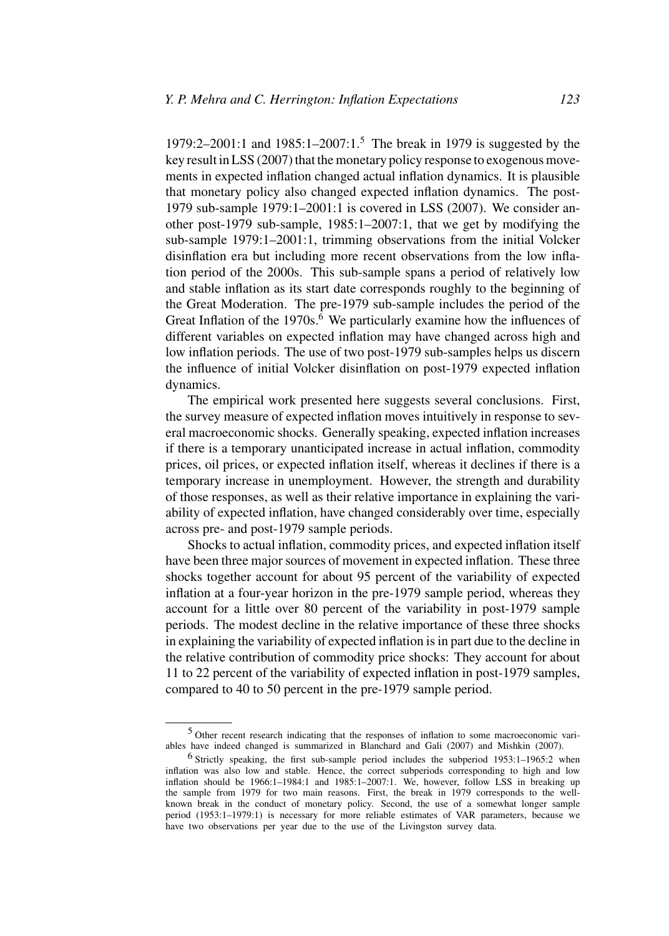1979:2–2001:1 and 1985:1–2007:1.5 The break in 1979 is suggested by the key result in LSS (2007) that the monetary policy response to exogenous movements in expected inflation changed actual inflation dynamics. It is plausible that monetary policy also changed expected inflation dynamics. The post-1979 sub-sample 1979:1–2001:1 is covered in LSS (2007). We consider another post-1979 sub-sample, 1985:1–2007:1, that we get by modifying the sub-sample 1979:1–2001:1, trimming observations from the initial Volcker disinflation era but including more recent observations from the low inflation period of the 2000s. This sub-sample spans a period of relatively low and stable inflation as its start date corresponds roughly to the beginning of the Great Moderation. The pre-1979 sub-sample includes the period of the Great Inflation of the  $1970s<sup>6</sup>$  We particularly examine how the influences of different variables on expected inflation may have changed across high and low inflation periods. The use of two post-1979 sub-samples helps us discern the influence of initial Volcker disinflation on post-1979 expected inflation dynamics.

The empirical work presented here suggests several conclusions. First, the survey measure of expected inflation moves intuitively in response to several macroeconomic shocks. Generally speaking, expected inflation increases if there is a temporary unanticipated increase in actual inflation, commodity prices, oil prices, or expected inflation itself, whereas it declines if there is a temporary increase in unemployment. However, the strength and durability of those responses, as well as their relative importance in explaining the variability of expected inflation, have changed considerably over time, especially across pre- and post-1979 sample periods.

Shocks to actual inflation, commodity prices, and expected inflation itself have been three major sources of movement in expected inflation. These three shocks together account for about 95 percent of the variability of expected inflation at a four-year horizon in the pre-1979 sample period, whereas they account for a little over 80 percent of the variability in post-1979 sample periods. The modest decline in the relative importance of these three shocks in explaining the variability of expected inflation is in part due to the decline in the relative contribution of commodity price shocks: They account for about 11 to 22 percent of the variability of expected inflation in post-1979 samples, compared to 40 to 50 percent in the pre-1979 sample period.

<sup>5</sup> Other recent research indicating that the responses of inflation to some macroeconomic variables have indeed changed is summarized in Blanchard and Gali (2007) and Mishkin (2007).

<sup>6</sup> Strictly speaking, the first sub-sample period includes the subperiod 1953:1–1965:2 when inflation was also low and stable. Hence, the correct subperiods corresponding to high and low inflation should be 1966:1–1984:1 and 1985:1–2007:1. We, however, follow LSS in breaking up the sample from 1979 for two main reasons. First, the break in 1979 corresponds to the wellknown break in the conduct of monetary policy. Second, the use of a somewhat longer sample period (1953:1–1979:1) is necessary for more reliable estimates of VAR parameters, because we have two observations per year due to the use of the Livingston survey data.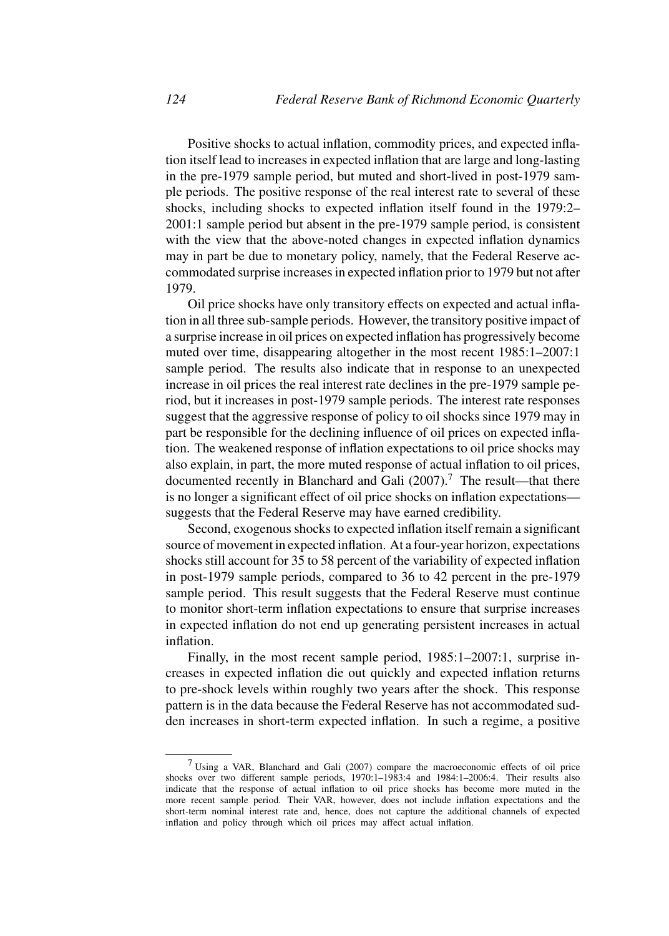Positive shocks to actual inflation, commodity prices, and expected inflation itself lead to increases in expected inflation that are large and long-lasting in the pre-1979 sample period, but muted and short-lived in post-1979 sample periods. The positive response of the real interest rate to several of these shocks, including shocks to expected inflation itself found in the 1979:2– 2001:1 sample period but absent in the pre-1979 sample period, is consistent with the view that the above-noted changes in expected inflation dynamics may in part be due to monetary policy, namely, that the Federal Reserve accommodated surprise increases in expected inflation prior to 1979 but not after 1979.

Oil price shocks have only transitory effects on expected and actual inflation in all three sub-sample periods. However, the transitory positive impact of a surprise increase in oil prices on expected inflation has progressively become muted over time, disappearing altogether in the most recent 1985:1–2007:1 sample period. The results also indicate that in response to an unexpected increase in oil prices the real interest rate declines in the pre-1979 sample period, but it increases in post-1979 sample periods. The interest rate responses suggest that the aggressive response of policy to oil shocks since 1979 may in part be responsible for the declining influence of oil prices on expected inflation. The weakened response of inflation expectations to oil price shocks may also explain, in part, the more muted response of actual inflation to oil prices, documented recently in Blanchard and Gali  $(2007)$ .<sup>7</sup> The result—that there is no longer a significant effect of oil price shocks on inflation expectations suggests that the Federal Reserve may have earned credibility.

Second, exogenous shocks to expected inflation itself remain a significant source of movement in expected inflation. At a four-year horizon, expectations shocks still account for 35 to 58 percent of the variability of expected inflation in post-1979 sample periods, compared to 36 to 42 percent in the pre-1979 sample period. This result suggests that the Federal Reserve must continue to monitor short-term inflation expectations to ensure that surprise increases in expected inflation do not end up generating persistent increases in actual inflation.

Finally, in the most recent sample period, 1985:1–2007:1, surprise increases in expected inflation die out quickly and expected inflation returns to pre-shock levels within roughly two years after the shock. This response pattern is in the data because the Federal Reserve has not accommodated sudden increases in short-term expected inflation. In such a regime, a positive

<sup>7</sup> Using a VAR, Blanchard and Gali (2007) compare the macroeconomic effects of oil price shocks over two different sample periods, 1970:1–1983:4 and 1984:1–2006:4. Their results also indicate that the response of actual inflation to oil price shocks has become more muted in the more recent sample period. Their VAR, however, does not include inflation expectations and the short-term nominal interest rate and, hence, does not capture the additional channels of expected inflation and policy through which oil prices may affect actual inflation.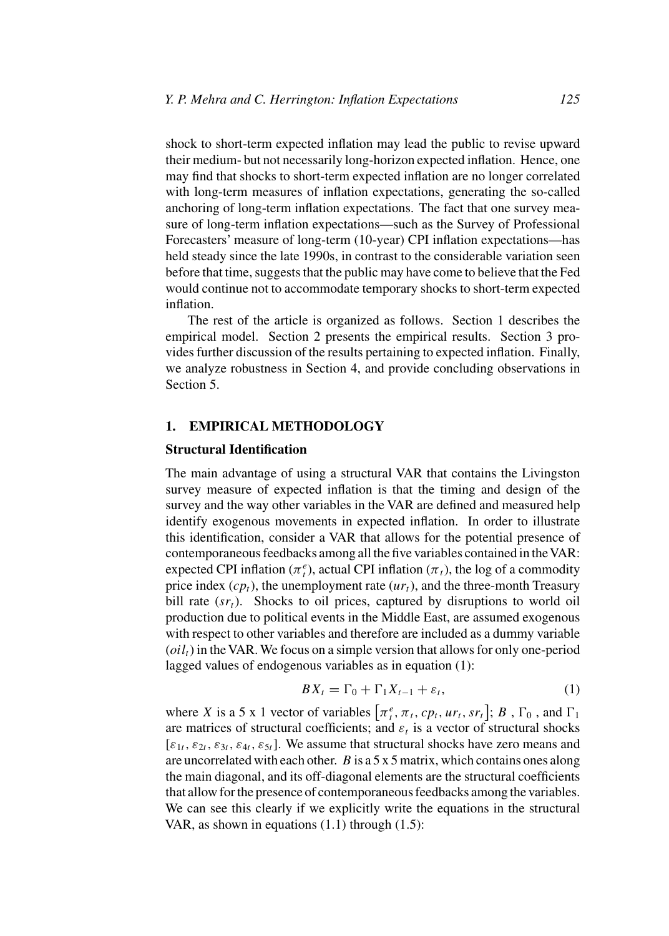shock to short-term expected inflation may lead the public to revise upward their medium- but not necessarily long-horizon expected inflation. Hence, one may find that shocks to short-term expected inflation are no longer correlated with long-term measures of inflation expectations, generating the so-called anchoring of long-term inflation expectations. The fact that one survey measure of long-term inflation expectations—such as the Survey of Professional Forecasters' measure of long-term (10-year) CPI inflation expectations—has held steady since the late 1990s, in contrast to the considerable variation seen before that time, suggests that the public may have come to believe that the Fed would continue not to accommodate temporary shocks to short-term expected inflation.

The rest of the article is organized as follows. Section 1 describes the empirical model. Section 2 presents the empirical results. Section 3 provides further discussion of the results pertaining to expected inflation. Finally, we analyze robustness in Section 4, and provide concluding observations in Section 5.

## **1. EMPIRICAL METHODOLOGY**

## **Structural Identification**

The main advantage of using a structural VAR that contains the Livingston survey measure of expected inflation is that the timing and design of the survey and the way other variables in the VAR are defined and measured help identify exogenous movements in expected inflation. In order to illustrate this identification, consider a VAR that allows for the potential presence of contemporaneous feedbacks among all the five variables contained in the VAR: expected CPI inflation ( $\pi_t^e$ ), actual CPI inflation ( $\pi_t$ ), the log of a commodity price index  $(c p_t)$ , the unemployment rate  $(u r_t)$ , and the three-month Treasury bill rate  $(sr<sub>t</sub>)$ . Shocks to oil prices, captured by disruptions to world oil production due to political events in the Middle East, are assumed exogenous with respect to other variables and therefore are included as a dummy variable  $\left( oil_{t} \right)$  in the VAR. We focus on a simple version that allows for only one-period lagged values of endogenous variables as in equation (1):

$$
BX_t = \Gamma_0 + \Gamma_1 X_{t-1} + \varepsilon_t, \tag{1}
$$

where *X* is a 5 x 1 vector of variables  $[\pi_t^e, \pi_t, cp_t, ur_t, sr_t]$ ; *B*,  $\Gamma_0$ , and  $\Gamma_1$ are matrices of structural coefficients; and  $\varepsilon_t$  is a vector of structural shocks  $[\varepsilon_{1t}, \varepsilon_{2t}, \varepsilon_{3t}, \varepsilon_{4t}, \varepsilon_{5t}]$ . We assume that structural shocks have zero means and are uncorrelated with each other. *B* is a 5 x 5 matrix, which contains ones along the main diagonal, and its off-diagonal elements are the structural coefficients that allow for the presence of contemporaneous feedbacks among the variables. We can see this clearly if we explicitly write the equations in the structural VAR, as shown in equations (1.1) through (1.5):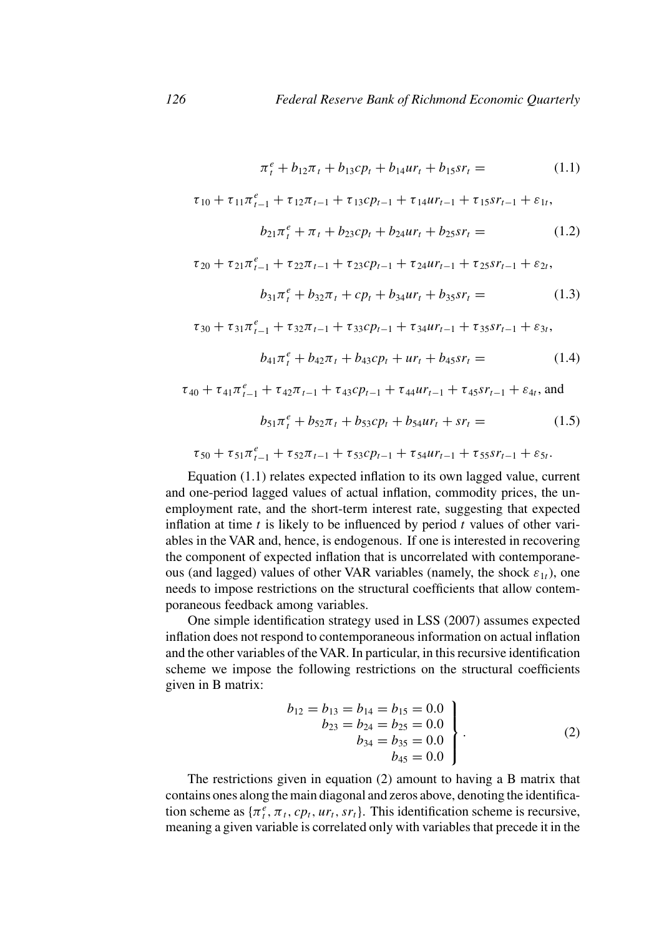$$
\pi_t^e + b_{12}\pi_t + b_{13}cp_t + b_{14}ur_t + b_{15}sr_t = (1.1)
$$

$$
\tau_{10} + \tau_{11}\pi_{t-1}^e + \tau_{12}\pi_{t-1} + \tau_{13}cp_{t-1} + \tau_{14}ur_{t-1} + \tau_{15}sr_{t-1} + \varepsilon_{1t},
$$

$$
b_{21}\pi_t^e + \pi_t + b_{23}cp_t + b_{24}ur_t + b_{25}sr_t = (1.2)
$$

$$
\tau_{20} + \tau_{21}\pi_{t-1}^e + \tau_{22}\pi_{t-1} + \tau_{23}cp_{t-1} + \tau_{24}\mu r_{t-1} + \tau_{25}sr_{t-1} + \varepsilon_{2t},
$$
  
\n
$$
b_{31}\pi_t^e + b_{32}\pi_t + cp_t + b_{34}\mu r_t + b_{35}sr_t = (1.3)
$$

$$
\tau_{30} + \tau_{31}\pi_{t-1}^e + \tau_{32}\pi_{t-1} + \tau_{33}cp_{t-1} + \tau_{34}\mu r_{t-1} + \tau_{35}sr_{t-1} + \varepsilon_{3t},
$$
  
\n
$$
b_{41}\pi_t^e + b_{42}\pi_t + b_{43}cp_t + \mu r_t + b_{45}sr_t = (1.4)
$$

 $\tau_{40} + \tau_{41}\pi_{t-1}^e + \tau_{42}\pi_{t-1} + \tau_{43}c p_{t-1} + \tau_{44}ur_{t-1} + \tau_{45}sr_{t-1} + \varepsilon_{4t}$ , and

$$
b_{51}\pi_t^e + b_{52}\pi_t + b_{53}cp_t + b_{54}ur_t + sr_t = (1.5)
$$

$$
\tau_{50} + \tau_{51}\pi_{t-1}^e + \tau_{52}\pi_{t-1} + \tau_{53}cp_{t-1} + \tau_{54}ur_{t-1} + \tau_{55}sr_{t-1} + \varepsilon_{5t}.
$$

Equation (1.1) relates expected inflation to its own lagged value, current and one-period lagged values of actual inflation, commodity prices, the unemployment rate, and the short-term interest rate, suggesting that expected inflation at time *t* is likely to be influenced by period *t* values of other variables in the VAR and, hence, is endogenous. If one is interested in recovering the component of expected inflation that is uncorrelated with contemporaneous (and lagged) values of other VAR variables (namely, the shock *ε*<sup>1</sup>*t*), one needs to impose restrictions on the structural coefficients that allow contemporaneous feedback among variables.

One simple identification strategy used in LSS (2007) assumes expected inflation does not respond to contemporaneous information on actual inflation and the other variables of the VAR. In particular, in this recursive identification scheme we impose the following restrictions on the structural coefficients given in B matrix:

$$
b_{12} = b_{13} = b_{14} = b_{15} = 0.0
$$
  
\n
$$
b_{23} = b_{24} = b_{25} = 0.0
$$
  
\n
$$
b_{34} = b_{35} = 0.0
$$
  
\n
$$
b_{45} = 0.0
$$
\n(2)

The restrictions given in equation (2) amount to having a B matrix that contains ones along the main diagonal and zeros above, denoting the identification scheme as  $\{\pi_t^e, \pi_t, cp_t, ur_t, sr_t\}$ . This identification scheme is recursive, meaning a given variable is correlated only with variables that precede it in the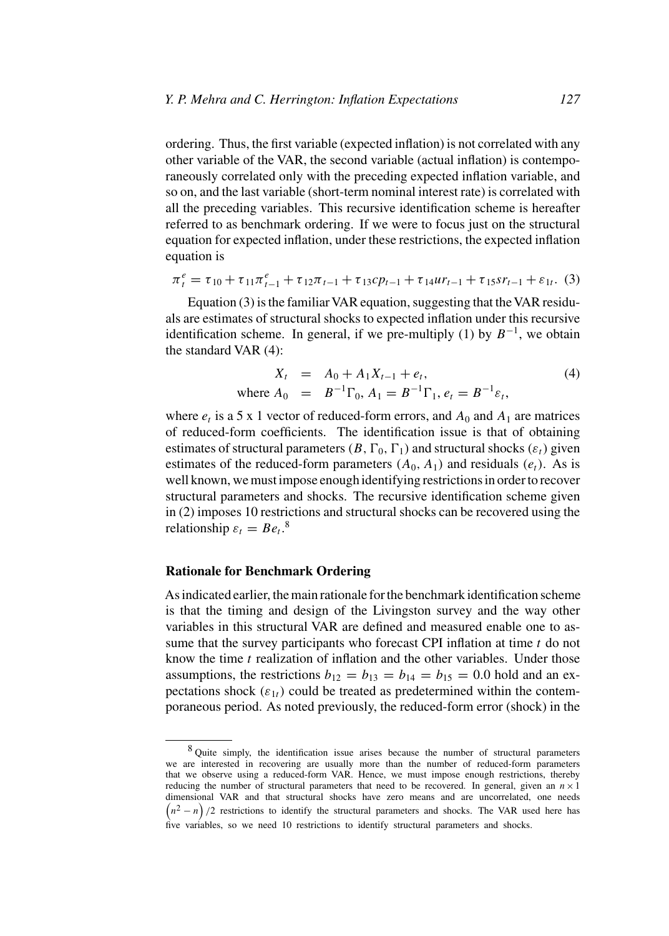ordering. Thus, the first variable (expected inflation) is not correlated with any other variable of the VAR, the second variable (actual inflation) is contemporaneously correlated only with the preceding expected inflation variable, and so on, and the last variable (short-term nominal interest rate) is correlated with all the preceding variables. This recursive identification scheme is hereafter referred to as benchmark ordering. If we were to focus just on the structural equation for expected inflation, under these restrictions, the expected inflation equation is

$$
\pi_t^e = \tau_{10} + \tau_{11}\pi_{t-1}^e + \tau_{12}\pi_{t-1} + \tau_{13}cp_{t-1} + \tau_{14}ur_{t-1} + \tau_{15}sr_{t-1} + \varepsilon_{1t}.
$$
 (3)

Equation  $(3)$  is the familiar VAR equation, suggesting that the VAR residuals are estimates of structural shocks to expected inflation under this recursive identification scheme. In general, if we pre-multiply (1) by  $B^{-1}$ , we obtain the standard VAR (4):

$$
X_t = A_0 + A_1 X_{t-1} + e_t,
$$
  
where  $A_0 = B^{-1} \Gamma_0$ ,  $A_1 = B^{-1} \Gamma_1$ ,  $e_t = B^{-1} \varepsilon_t$ , (4)

where  $e_t$  is a 5 x 1 vector of reduced-form errors, and  $A_0$  and  $A_1$  are matrices of reduced-form coefficients. The identification issue is that of obtaining estimates of structural parameters  $(B, \Gamma_0, \Gamma_1)$  and structural shocks  $(\varepsilon_t)$  given estimates of the reduced-form parameters  $(A_0, A_1)$  and residuals  $(e_t)$ . As is well known, we must impose enough identifying restrictions in order to recover structural parameters and shocks. The recursive identification scheme given in (2) imposes 10 restrictions and structural shocks can be recovered using the relationship  $\varepsilon_t = Be_t$ <sup>8</sup>.

## **Rationale for Benchmark Ordering**

As indicated earlier, the main rationale for the benchmark identification scheme is that the timing and design of the Livingston survey and the way other variables in this structural VAR are defined and measured enable one to assume that the survey participants who forecast CPI inflation at time *t* do not know the time *t* realization of inflation and the other variables. Under those assumptions, the restrictions  $b_{12} = b_{13} = b_{14} = b_{15} = 0.0$  hold and an expectations shock  $(\varepsilon_{1t})$  could be treated as predetermined within the contemporaneous period. As noted previously, the reduced-form error (shock) in the

<sup>&</sup>lt;sup>8</sup> Quite simply, the identification issue arises because the number of structural parameters we are interested in recovering are usually more than the number of reduced-form parameters that we observe using a reduced-form VAR. Hence, we must impose enough restrictions, thereby reducing the number of structural parameters that need to be recovered. In general, given an  $n \times 1$ dimensional VAR and that structural shocks have zero means and are uncorrelated, one needs  $(n^2 - n)/2$  restrictions to identify the structural parameters and shocks. The VAR used here has five variables, so we need 10 restrictions to identify structural parameters and shocks.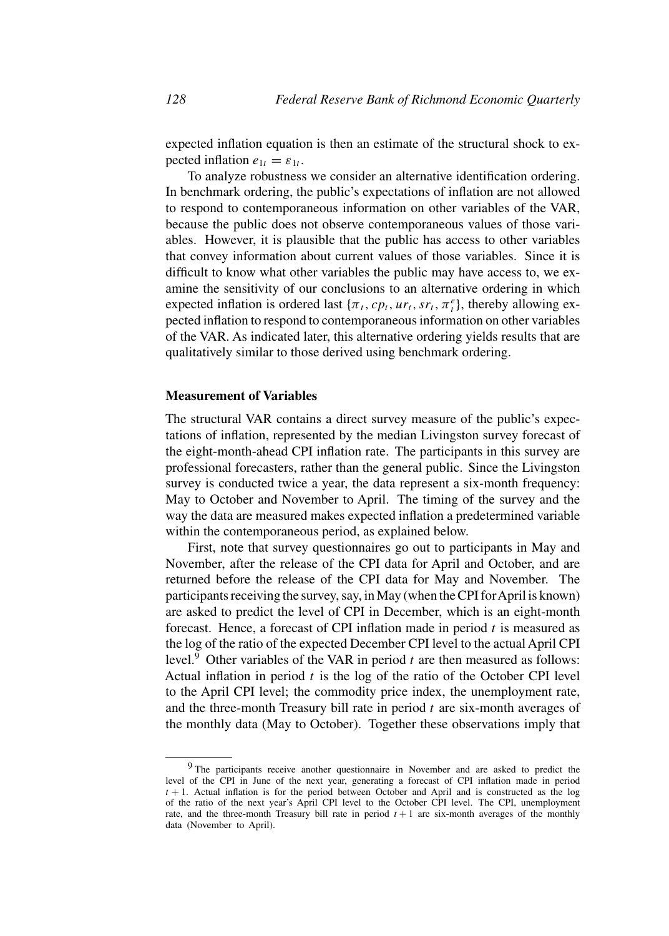expected inflation equation is then an estimate of the structural shock to expected inflation  $e_{1t} = \varepsilon_{1t}$ .

To analyze robustness we consider an alternative identification ordering. In benchmark ordering, the public's expectations of inflation are not allowed to respond to contemporaneous information on other variables of the VAR, because the public does not observe contemporaneous values of those variables. However, it is plausible that the public has access to other variables that convey information about current values of those variables. Since it is difficult to know what other variables the public may have access to, we examine the sensitivity of our conclusions to an alternative ordering in which expected inflation is ordered last  $\{\pi_t, cp_t, ur_t, sr_t, \pi_t^e\}$ , thereby allowing expected inflation to respond to contemporaneous information on other variables of the VAR. As indicated later, this alternative ordering yields results that are qualitatively similar to those derived using benchmark ordering.

## **Measurement of Variables**

The structural VAR contains a direct survey measure of the public's expectations of inflation, represented by the median Livingston survey forecast of the eight-month-ahead CPI inflation rate. The participants in this survey are professional forecasters, rather than the general public. Since the Livingston survey is conducted twice a year, the data represent a six-month frequency: May to October and November to April. The timing of the survey and the way the data are measured makes expected inflation a predetermined variable within the contemporaneous period, as explained below.

First, note that survey questionnaires go out to participants in May and November, after the release of the CPI data for April and October, and are returned before the release of the CPI data for May and November. The participants receiving the survey, say, in May (when the CPI forApril is known) are asked to predict the level of CPI in December, which is an eight-month forecast. Hence, a forecast of CPI inflation made in period *t* is measured as the log of the ratio of the expected December CPI level to the actual April CPI level. $9$  Other variables of the VAR in period  $t$  are then measured as follows: Actual inflation in period *t* is the log of the ratio of the October CPI level to the April CPI level; the commodity price index, the unemployment rate, and the three-month Treasury bill rate in period *t* are six-month averages of the monthly data (May to October). Together these observations imply that

<sup>&</sup>lt;sup>9</sup> The participants receive another questionnaire in November and are asked to predict the level of the CPI in June of the next year, generating a forecast of CPI inflation made in period  $t + 1$ . Actual inflation is for the period between October and April and is constructed as the log of the ratio of the next year's April CPI level to the October CPI level. The CPI, unemployment rate, and the three-month Treasury bill rate in period  $t + 1$  are six-month averages of the monthly data (November to April).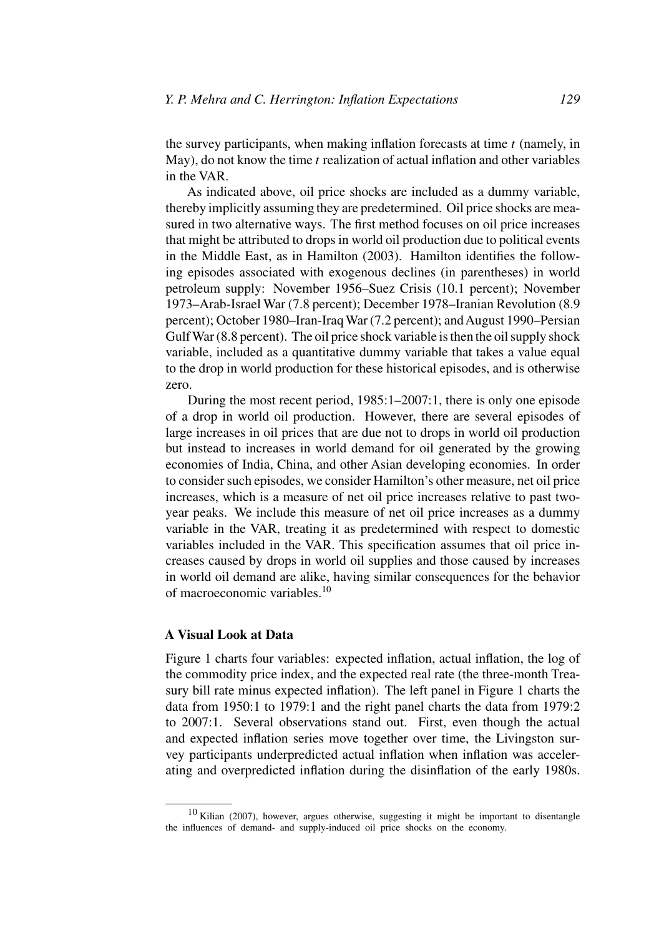the survey participants, when making inflation forecasts at time *t* (namely, in May), do not know the time *t* realization of actual inflation and other variables in the VAR.

As indicated above, oil price shocks are included as a dummy variable, thereby implicitly assuming they are predetermined. Oil price shocks are measured in two alternative ways. The first method focuses on oil price increases that might be attributed to drops in world oil production due to political events in the Middle East, as in Hamilton (2003). Hamilton identifies the following episodes associated with exogenous declines (in parentheses) in world petroleum supply: November 1956–Suez Crisis (10.1 percent); November 1973–Arab-Israel War (7.8 percent); December 1978–Iranian Revolution (8.9 percent); October 1980–Iran-Iraq War (7.2 percent); and August 1990–Persian Gulf War (8.8 percent). The oil price shock variable is then the oil supply shock variable, included as a quantitative dummy variable that takes a value equal to the drop in world production for these historical episodes, and is otherwise zero.

During the most recent period, 1985:1–2007:1, there is only one episode of a drop in world oil production. However, there are several episodes of large increases in oil prices that are due not to drops in world oil production but instead to increases in world demand for oil generated by the growing economies of India, China, and other Asian developing economies. In order to consider such episodes, we consider Hamilton's other measure, net oil price increases, which is a measure of net oil price increases relative to past twoyear peaks. We include this measure of net oil price increases as a dummy variable in the VAR, treating it as predetermined with respect to domestic variables included in the VAR. This specification assumes that oil price increases caused by drops in world oil supplies and those caused by increases in world oil demand are alike, having similar consequences for the behavior of macroeconomic variables.10

## **A Visual Look at Data**

Figure 1 charts four variables: expected inflation, actual inflation, the log of the commodity price index, and the expected real rate (the three-month Treasury bill rate minus expected inflation). The left panel in Figure 1 charts the data from 1950:1 to 1979:1 and the right panel charts the data from 1979:2 to 2007:1. Several observations stand out. First, even though the actual and expected inflation series move together over time, the Livingston survey participants underpredicted actual inflation when inflation was accelerating and overpredicted inflation during the disinflation of the early 1980s.

<sup>10</sup> Kilian (2007), however, argues otherwise, suggesting it might be important to disentangle the influences of demand- and supply-induced oil price shocks on the economy.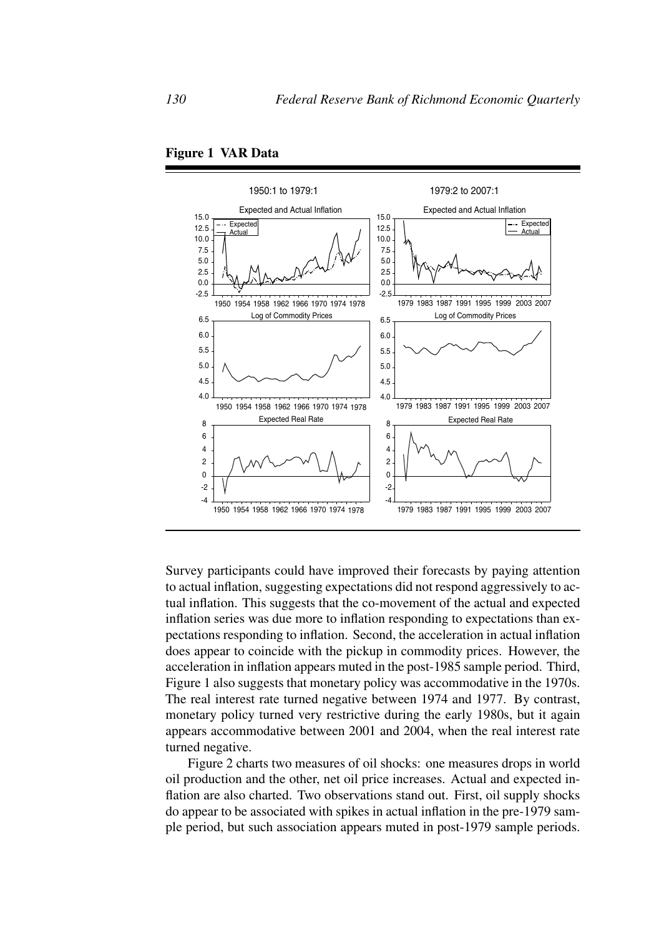



Survey participants could have improved their forecasts by paying attention to actual inflation, suggesting expectations did not respond aggressively to actual inflation. This suggests that the co-movement of the actual and expected inflation series was due more to inflation responding to expectations than expectations responding to inflation. Second, the acceleration in actual inflation does appear to coincide with the pickup in commodity prices. However, the acceleration in inflation appears muted in the post-1985 sample period. Third, Figure 1 also suggests that monetary policy was accommodative in the 1970s. The real interest rate turned negative between 1974 and 1977. By contrast, monetary policy turned very restrictive during the early 1980s, but it again appears accommodative between 2001 and 2004, when the real interest rate turned negative.

Figure 2 charts two measures of oil shocks: one measures drops in world oil production and the other, net oil price increases. Actual and expected inflation are also charted. Two observations stand out. First, oil supply shocks do appear to be associated with spikes in actual inflation in the pre-1979 sample period, but such association appears muted in post-1979 sample periods.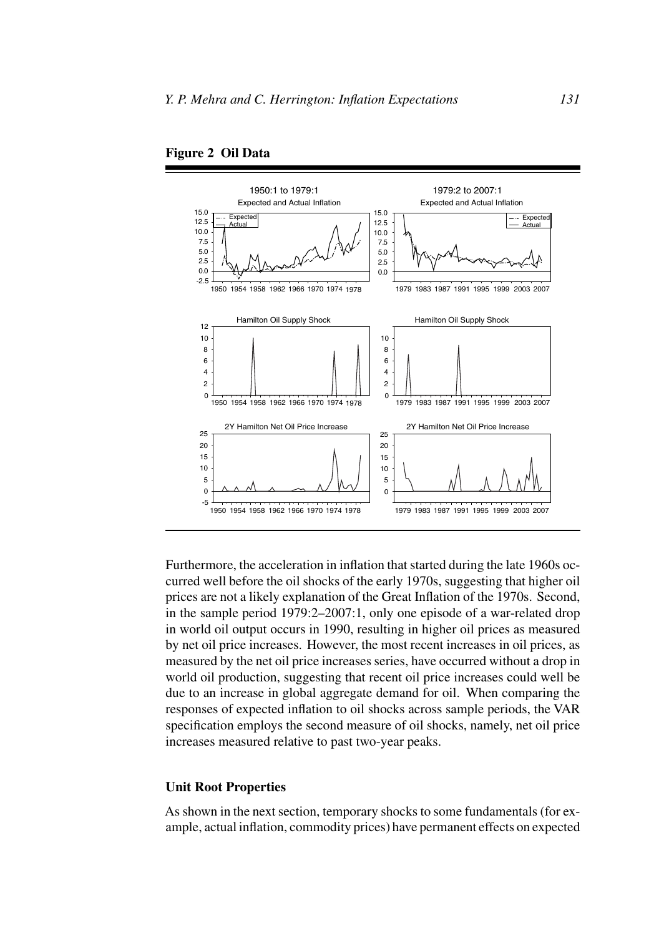



Furthermore, the acceleration in inflation that started during the late 1960s occurred well before the oil shocks of the early 1970s, suggesting that higher oil prices are not a likely explanation of the Great Inflation of the 1970s. Second, in the sample period 1979:2–2007:1, only one episode of a war-related drop in world oil output occurs in 1990, resulting in higher oil prices as measured by net oil price increases. However, the most recent increases in oil prices, as measured by the net oil price increases series, have occurred without a drop in world oil production, suggesting that recent oil price increases could well be due to an increase in global aggregate demand for oil. When comparing the responses of expected inflation to oil shocks across sample periods, the VAR specification employs the second measure of oil shocks, namely, net oil price increases measured relative to past two-year peaks.

## **Unit Root Properties**

As shown in the next section, temporary shocks to some fundamentals (for example, actual inflation, commodity prices) have permanent effects on expected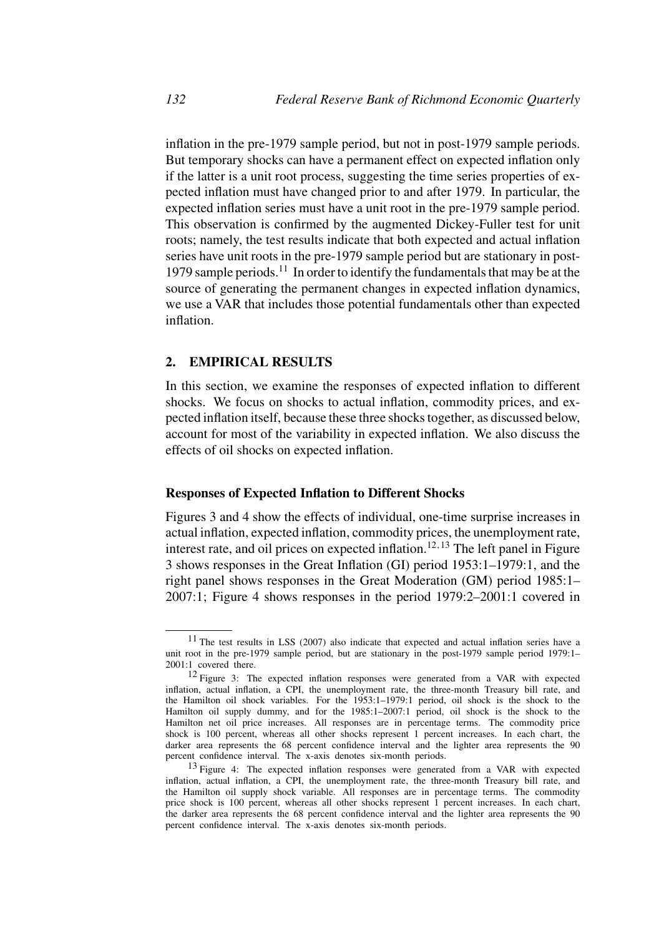inflation in the pre-1979 sample period, but not in post-1979 sample periods. But temporary shocks can have a permanent effect on expected inflation only if the latter is a unit root process, suggesting the time series properties of expected inflation must have changed prior to and after 1979. In particular, the expected inflation series must have a unit root in the pre-1979 sample period. This observation is confirmed by the augmented Dickey-Fuller test for unit roots; namely, the test results indicate that both expected and actual inflation series have unit roots in the pre-1979 sample period but are stationary in post-1979 sample periods.<sup>11</sup> In order to identify the fundamentals that may be at the source of generating the permanent changes in expected inflation dynamics, we use a VAR that includes those potential fundamentals other than expected inflation.

## **2. EMPIRICAL RESULTS**

In this section, we examine the responses of expected inflation to different shocks. We focus on shocks to actual inflation, commodity prices, and expected inflation itself, because these three shocks together, as discussed below, account for most of the variability in expected inflation. We also discuss the effects of oil shocks on expected inflation.

## **Responses of Expected Inflation to Different Shocks**

Figures 3 and 4 show the effects of individual, one-time surprise increases in actual inflation, expected inflation, commodity prices, the unemployment rate, interest rate, and oil prices on expected inflation.<sup>12</sup>*,*<sup>13</sup> The left panel in Figure 3 shows responses in the Great Inflation (GI) period 1953:1–1979:1, and the right panel shows responses in the Great Moderation (GM) period 1985:1– 2007:1; Figure 4 shows responses in the period 1979:2–2001:1 covered in

<sup>11</sup> The test results in LSS (2007) also indicate that expected and actual inflation series have a unit root in the pre-1979 sample period, but are stationary in the post-1979 sample period 1979:1– 2001:1 covered there.

<sup>&</sup>lt;sup>12</sup> Figure 3: The expected inflation responses were generated from a VAR with expected inflation, actual inflation, a CPI, the unemployment rate, the three-month Treasury bill rate, and the Hamilton oil shock variables. For the 1953:1–1979:1 period, oil shock is the shock to the Hamilton oil supply dummy, and for the 1985:1–2007:1 period, oil shock is the shock to the Hamilton net oil price increases. All responses are in percentage terms. The commodity price shock is 100 percent, whereas all other shocks represent 1 percent increases. In each chart, the darker area represents the 68 percent confidence interval and the lighter area represents the 90 percent confidence interval. The x-axis denotes six-month periods.

<sup>&</sup>lt;sup>13</sup> Figure 4: The expected inflation responses were generated from a VAR with expected inflation, actual inflation, a CPI, the unemployment rate, the three-month Treasury bill rate, and the Hamilton oil supply shock variable. All responses are in percentage terms. The commodity price shock is 100 percent, whereas all other shocks represent 1 percent increases. In each chart, the darker area represents the 68 percent confidence interval and the lighter area represents the 90 percent confidence interval. The x-axis denotes six-month periods.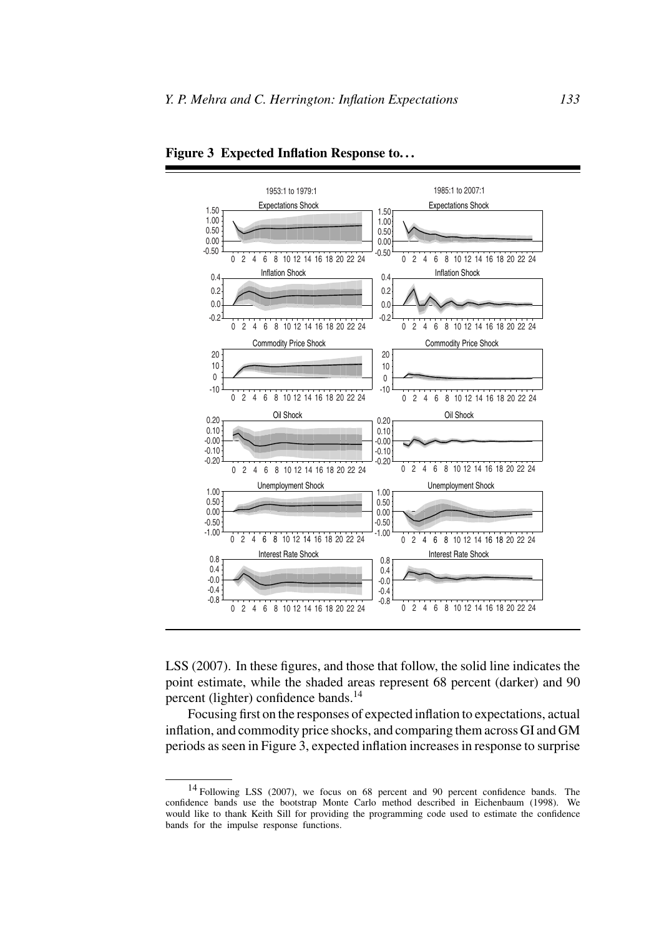

**Figure 3 Expected Inflation Response to. . .**

LSS (2007). In these figures, and those that follow, the solid line indicates the point estimate, while the shaded areas represent 68 percent (darker) and 90 percent (lighter) confidence bands.<sup>14</sup>

Focusing first on the responses of expected inflation to expectations, actual inflation, and commodity price shocks, and comparing them across GI and GM periods as seen in Figure 3, expected inflation increases in response to surprise

<sup>14</sup> Following LSS (2007), we focus on 68 percent and 90 percent confidence bands. The confidence bands use the bootstrap Monte Carlo method described in Eichenbaum (1998). We would like to thank Keith Sill for providing the programming code used to estimate the confidence bands for the impulse response functions.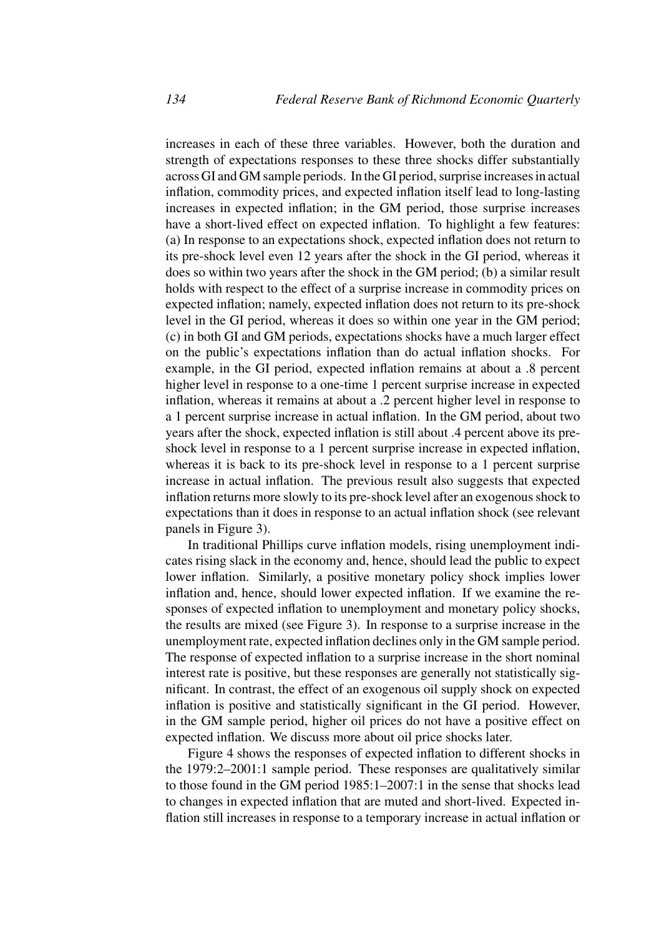increases in each of these three variables. However, both the duration and strength of expectations responses to these three shocks differ substantially across GI and GM sample periods. In the GI period, surprise increases in actual inflation, commodity prices, and expected inflation itself lead to long-lasting increases in expected inflation; in the GM period, those surprise increases have a short-lived effect on expected inflation. To highlight a few features: (a) In response to an expectations shock, expected inflation does not return to its pre-shock level even 12 years after the shock in the GI period, whereas it does so within two years after the shock in the GM period; (b) a similar result holds with respect to the effect of a surprise increase in commodity prices on expected inflation; namely, expected inflation does not return to its pre-shock level in the GI period, whereas it does so within one year in the GM period; (c) in both GI and GM periods, expectations shocks have a much larger effect on the public's expectations inflation than do actual inflation shocks. For example, in the GI period, expected inflation remains at about a .8 percent higher level in response to a one-time 1 percent surprise increase in expected inflation, whereas it remains at about a .2 percent higher level in response to a 1 percent surprise increase in actual inflation. In the GM period, about two years after the shock, expected inflation is still about .4 percent above its preshock level in response to a 1 percent surprise increase in expected inflation, whereas it is back to its pre-shock level in response to a 1 percent surprise increase in actual inflation. The previous result also suggests that expected inflation returns more slowly to its pre-shock level after an exogenous shock to expectations than it does in response to an actual inflation shock (see relevant panels in Figure 3).

In traditional Phillips curve inflation models, rising unemployment indicates rising slack in the economy and, hence, should lead the public to expect lower inflation. Similarly, a positive monetary policy shock implies lower inflation and, hence, should lower expected inflation. If we examine the responses of expected inflation to unemployment and monetary policy shocks, the results are mixed (see Figure 3). In response to a surprise increase in the unemployment rate, expected inflation declines only in the GM sample period. The response of expected inflation to a surprise increase in the short nominal interest rate is positive, but these responses are generally not statistically significant. In contrast, the effect of an exogenous oil supply shock on expected inflation is positive and statistically significant in the GI period. However, in the GM sample period, higher oil prices do not have a positive effect on expected inflation. We discuss more about oil price shocks later.

Figure 4 shows the responses of expected inflation to different shocks in the 1979:2–2001:1 sample period. These responses are qualitatively similar to those found in the GM period 1985:1–2007:1 in the sense that shocks lead to changes in expected inflation that are muted and short-lived. Expected inflation still increases in response to a temporary increase in actual inflation or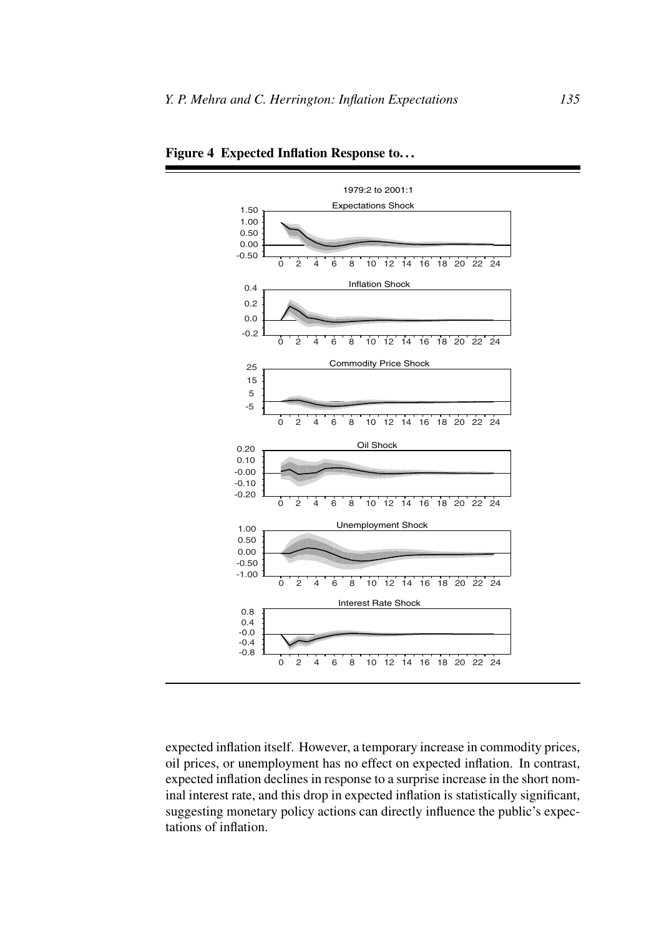

**Figure 4 Expected Inflation Response to. . .**

expected inflation itself. However, a temporary increase in commodity prices, oil prices, or unemployment has no effect on expected inflation. In contrast, expected inflation declines in response to a surprise increase in the short nominal interest rate, and this drop in expected inflation is statistically significant, suggesting monetary policy actions can directly influence the public's expectations of inflation.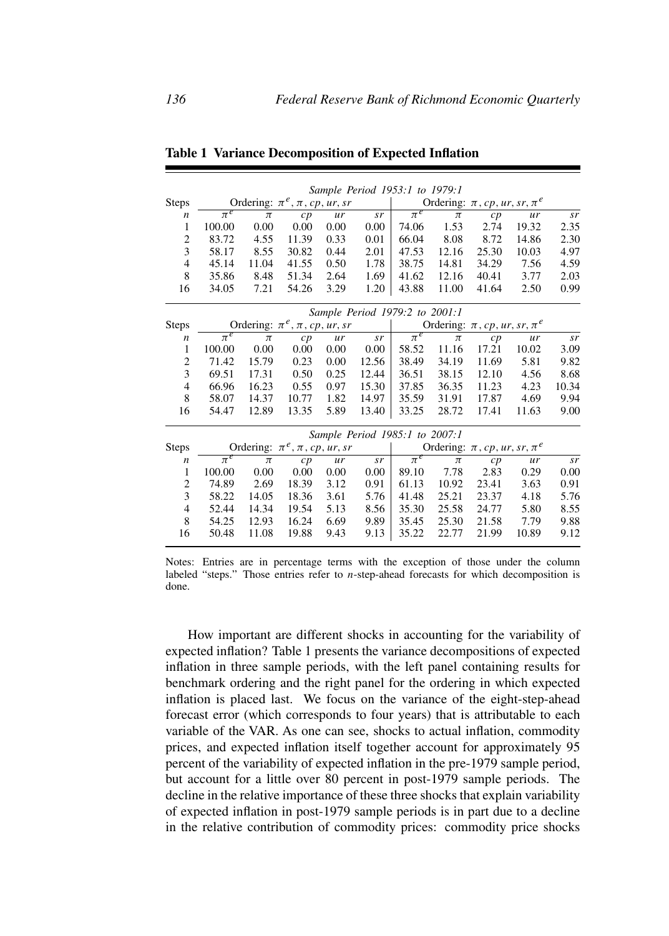|                  |                                        |                                |       |      |       | Sample Period 1953:1 to 1979:1        |       |       |       |       |  |
|------------------|----------------------------------------|--------------------------------|-------|------|-------|---------------------------------------|-------|-------|-------|-------|--|
| <b>Steps</b>     | Ordering: $\pi^e$ , $\pi$ , cp, ur, sr |                                |       |      |       | Ordering: $\pi$ , cp, ur, sr, $\pi^e$ |       |       |       |       |  |
| n                | $\pi^e$                                | $\pi$                          | c p   | ur   | sr    | $\pi^e$                               | $\pi$ | c p   | ur    | sr    |  |
| 1                | 100.00                                 | 0.00                           | 0.00  | 0.00 | 0.00  | 74.06                                 | 1.53  | 2.74  | 19.32 | 2.35  |  |
| $\overline{c}$   | 83.72                                  | 4.55                           | 11.39 | 0.33 | 0.01  | 66.04                                 | 8.08  | 8.72  | 14.86 | 2.30  |  |
| 3                | 58.17                                  | 8.55                           | 30.82 | 0.44 | 2.01  | 47.53                                 | 12.16 | 25.30 | 10.03 | 4.97  |  |
| $\overline{4}$   | 45.14                                  | 11.04                          | 41.55 | 0.50 | 1.78  | 38.75                                 | 14.81 | 34.29 | 7.56  | 4.59  |  |
| 8                | 35.86                                  | 8.48                           | 51.34 | 2.64 | 1.69  | 41.62                                 | 12.16 | 40.41 | 3.77  | 2.03  |  |
| 16               | 34.05                                  | 7.21                           | 54.26 | 3.29 | 1.20  | 43.88                                 | 11.00 | 41.64 | 2.50  | 0.99  |  |
|                  | Sample Period 1979:2 to 2001:1         |                                |       |      |       |                                       |       |       |       |       |  |
| <b>Steps</b>     | Ordering: $\pi^e$ , $\pi$ , cp, ur, sr |                                |       |      |       | Ordering: $\pi$ , cp, ur, sr, $\pi^e$ |       |       |       |       |  |
| $\boldsymbol{n}$ | $\overline{\pi^e}$                     | $\pi$                          | cp    | ur   | sr    | $\pi^e$                               | $\pi$ | cp    | ur    | sr    |  |
| 1                | 100.00                                 | 0.00                           | 0.00  | 0.00 | 0.00  | 58.52                                 | 11.16 | 17.21 | 10.02 | 3.09  |  |
| $\overline{c}$   | 71.42                                  | 15.79                          | 0.23  | 0.00 | 12.56 | 38.49                                 | 34.19 | 11.69 | 5.81  | 9.82  |  |
| 3                | 69.51                                  | 17.31                          | 0.50  | 0.25 | 12.44 | 36.51                                 | 38.15 | 12.10 | 4.56  | 8.68  |  |
| $\overline{4}$   | 66.96                                  | 16.23                          | 0.55  | 0.97 | 15.30 | 37.85                                 | 36.35 | 11.23 | 4.23  | 10.34 |  |
| 8                | 58.07                                  | 14.37                          | 10.77 | 1.82 | 14.97 | 35.59                                 | 31.91 | 17.87 | 4.69  | 9.94  |  |
| 16               | 54.47                                  | 12.89                          | 13.35 | 5.89 | 13.40 | 33.25                                 | 28.72 | 17.41 | 11.63 | 9.00  |  |
|                  |                                        | Sample Period 1985:1 to 2007:1 |       |      |       |                                       |       |       |       |       |  |
| <b>Steps</b>     | Ordering: $\pi^e$ , $\pi$ , cp, ur, sr |                                |       |      |       | Ordering: $\pi$ , cp, ur, sr, $\pi^e$ |       |       |       |       |  |
| $\boldsymbol{n}$ | $\pi^e$                                | $\pi$                          | cp    | ur   | sr    | $\overline{\pi^e}$                    | $\pi$ | cp    | ur    | sr    |  |
| 1                | 100.00                                 | 0.00                           | 0.00  | 0.00 | 0.00  | 89.10                                 | 7.78  | 2.83  | 0.29  | 0.00  |  |
| 2                | 74.89                                  | 2.69                           | 18.39 | 3.12 | 0.91  | 61.13                                 | 10.92 | 23.41 | 3.63  | 0.91  |  |
| 3                | 58.22                                  | 14.05                          | 18.36 | 3.61 | 5.76  | 41.48                                 | 25.21 | 23.37 | 4.18  | 5.76  |  |
| 4                | 52.44                                  | 14.34                          | 19.54 | 5.13 | 8.56  | 35.30                                 | 25.58 | 24.77 | 5.80  | 8.55  |  |
| 8                | 54.25                                  | 12.93                          | 16.24 | 6.69 | 9.89  | 35.45                                 | 25.30 | 21.58 | 7.79  | 9.88  |  |
| 16               | 50.48                                  | 11.08                          | 19.88 | 9.43 | 9.13  | 35.22                                 | 22.77 | 21.99 | 10.89 | 9.12  |  |

**Table 1 Variance Decomposition of Expected Inflation**

Notes: Entries are in percentage terms with the exception of those under the column labeled "steps." Those entries refer to *n*-step-ahead forecasts for which decomposition is done.

How important are different shocks in accounting for the variability of expected inflation? Table 1 presents the variance decompositions of expected inflation in three sample periods, with the left panel containing results for benchmark ordering and the right panel for the ordering in which expected inflation is placed last. We focus on the variance of the eight-step-ahead forecast error (which corresponds to four years) that is attributable to each variable of the VAR. As one can see, shocks to actual inflation, commodity prices, and expected inflation itself together account for approximately 95 percent of the variability of expected inflation in the pre-1979 sample period, but account for a little over 80 percent in post-1979 sample periods. The decline in the relative importance of these three shocks that explain variability of expected inflation in post-1979 sample periods is in part due to a decline in the relative contribution of commodity prices: commodity price shocks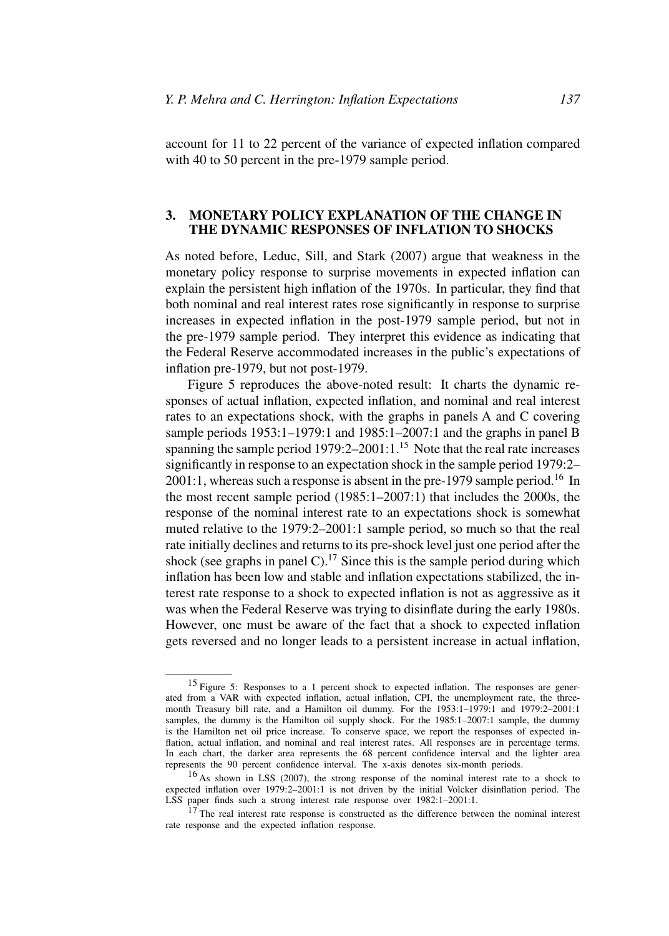account for 11 to 22 percent of the variance of expected inflation compared with 40 to 50 percent in the pre-1979 sample period.

# **3. MONETARY POLICY EXPLANATION OF THE CHANGE IN THE DYNAMIC RESPONSES OF INFLATION TO SHOCKS**

As noted before, Leduc, Sill, and Stark (2007) argue that weakness in the monetary policy response to surprise movements in expected inflation can explain the persistent high inflation of the 1970s. In particular, they find that both nominal and real interest rates rose significantly in response to surprise increases in expected inflation in the post-1979 sample period, but not in the pre-1979 sample period. They interpret this evidence as indicating that the Federal Reserve accommodated increases in the public's expectations of inflation pre-1979, but not post-1979.

Figure 5 reproduces the above-noted result: It charts the dynamic responses of actual inflation, expected inflation, and nominal and real interest rates to an expectations shock, with the graphs in panels A and C covering sample periods 1953:1–1979:1 and 1985:1–2007:1 and the graphs in panel B spanning the sample period  $1979:2-2001:1^{15}$  Note that the real rate increases significantly in response to an expectation shock in the sample period 1979:2–  $2001:1$ , whereas such a response is absent in the pre-1979 sample period.<sup>16</sup> In the most recent sample period (1985:1–2007:1) that includes the 2000s, the response of the nominal interest rate to an expectations shock is somewhat muted relative to the 1979:2–2001:1 sample period, so much so that the real rate initially declines and returns to its pre-shock level just one period after the shock (see graphs in panel C).<sup>17</sup> Since this is the sample period during which inflation has been low and stable and inflation expectations stabilized, the interest rate response to a shock to expected inflation is not as aggressive as it was when the Federal Reserve was trying to disinflate during the early 1980s. However, one must be aware of the fact that a shock to expected inflation gets reversed and no longer leads to a persistent increase in actual inflation,

<sup>15</sup> Figure 5: Responses to a 1 percent shock to expected inflation. The responses are generated from a VAR with expected inflation, actual inflation, CPI, the unemployment rate, the threemonth Treasury bill rate, and a Hamilton oil dummy. For the 1953:1–1979:1 and 1979:2–2001:1 samples, the dummy is the Hamilton oil supply shock. For the 1985:1-2007:1 sample, the dummy is the Hamilton net oil price increase. To conserve space, we report the responses of expected inflation, actual inflation, and nominal and real interest rates. All responses are in percentage terms. In each chart, the darker area represents the 68 percent confidence interval and the lighter area represents the 90 percent confidence interval. The x-axis denotes six-month periods.

<sup>16</sup> As shown in LSS (2007), the strong response of the nominal interest rate to a shock to expected inflation over 1979:2–2001:1 is not driven by the initial Volcker disinflation period. The LSS paper finds such a strong interest rate response over 1982:1–2001:1.

 $17$  The real interest rate response is constructed as the difference between the nominal interest rate response and the expected inflation response.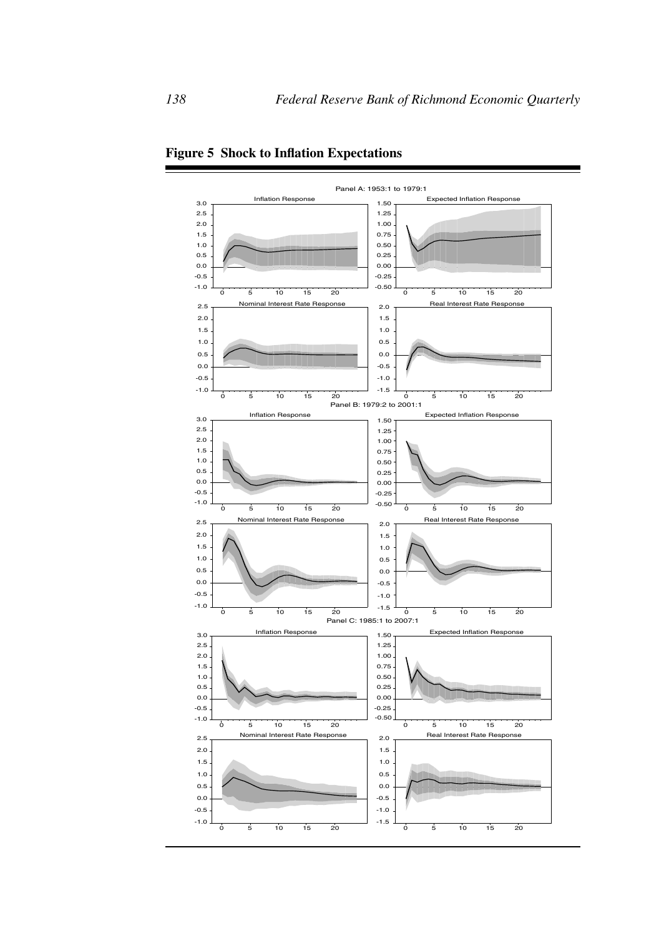

**Figure 5 Shock to Inflation Expectations**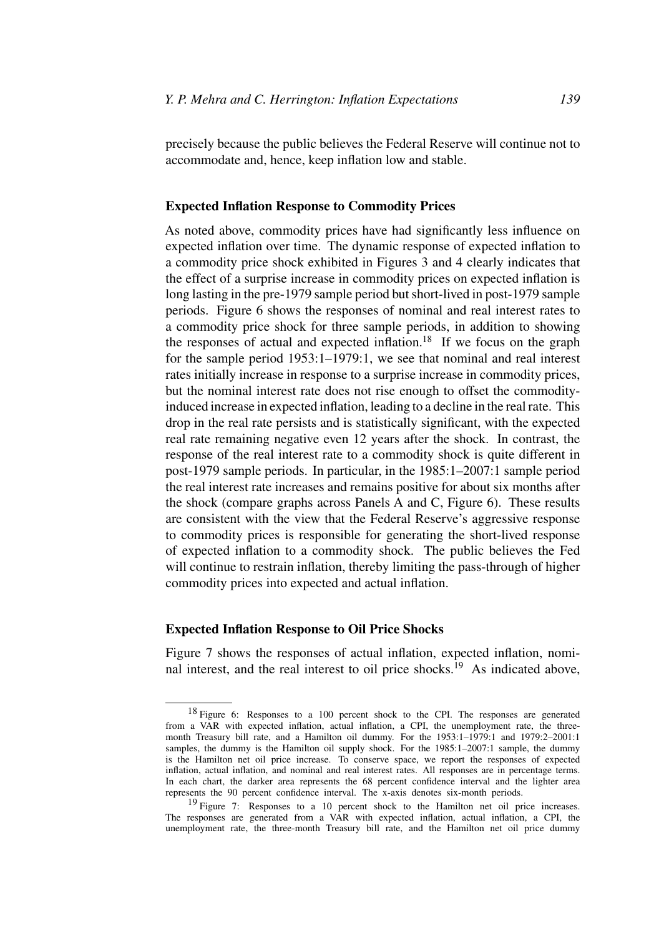precisely because the public believes the Federal Reserve will continue not to accommodate and, hence, keep inflation low and stable.

#### **Expected Inflation Response to Commodity Prices**

As noted above, commodity prices have had significantly less influence on expected inflation over time. The dynamic response of expected inflation to a commodity price shock exhibited in Figures 3 and 4 clearly indicates that the effect of a surprise increase in commodity prices on expected inflation is long lasting in the pre-1979 sample period but short-lived in post-1979 sample periods. Figure 6 shows the responses of nominal and real interest rates to a commodity price shock for three sample periods, in addition to showing the responses of actual and expected inflation.<sup>18</sup> If we focus on the graph for the sample period 1953:1–1979:1, we see that nominal and real interest rates initially increase in response to a surprise increase in commodity prices, but the nominal interest rate does not rise enough to offset the commodityinduced increase in expected inflation, leading to a decline in the real rate. This drop in the real rate persists and is statistically significant, with the expected real rate remaining negative even 12 years after the shock. In contrast, the response of the real interest rate to a commodity shock is quite different in post-1979 sample periods. In particular, in the 1985:1–2007:1 sample period the real interest rate increases and remains positive for about six months after the shock (compare graphs across Panels A and C, Figure 6). These results are consistent with the view that the Federal Reserve's aggressive response to commodity prices is responsible for generating the short-lived response of expected inflation to a commodity shock. The public believes the Fed will continue to restrain inflation, thereby limiting the pass-through of higher commodity prices into expected and actual inflation.

#### **Expected Inflation Response to Oil Price Shocks**

Figure 7 shows the responses of actual inflation, expected inflation, nominal interest, and the real interest to oil price shocks.19 As indicated above,

<sup>18</sup> Figure 6: Responses to a 100 percent shock to the CPI. The responses are generated from a VAR with expected inflation, actual inflation, a CPI, the unemployment rate, the threemonth Treasury bill rate, and a Hamilton oil dummy. For the 1953:1–1979:1 and 1979:2–2001:1 samples, the dummy is the Hamilton oil supply shock. For the 1985:1-2007:1 sample, the dummy is the Hamilton net oil price increase. To conserve space, we report the responses of expected inflation, actual inflation, and nominal and real interest rates. All responses are in percentage terms. In each chart, the darker area represents the 68 percent confidence interval and the lighter area represents the 90 percent confidence interval. The x-axis denotes six-month periods.

<sup>&</sup>lt;sup>19</sup> Figure 7: Responses to a 10 percent shock to the Hamilton net oil price increases. The responses are generated from a VAR with expected inflation, actual inflation, a CPI, the unemployment rate, the three-month Treasury bill rate, and the Hamilton net oil price dummy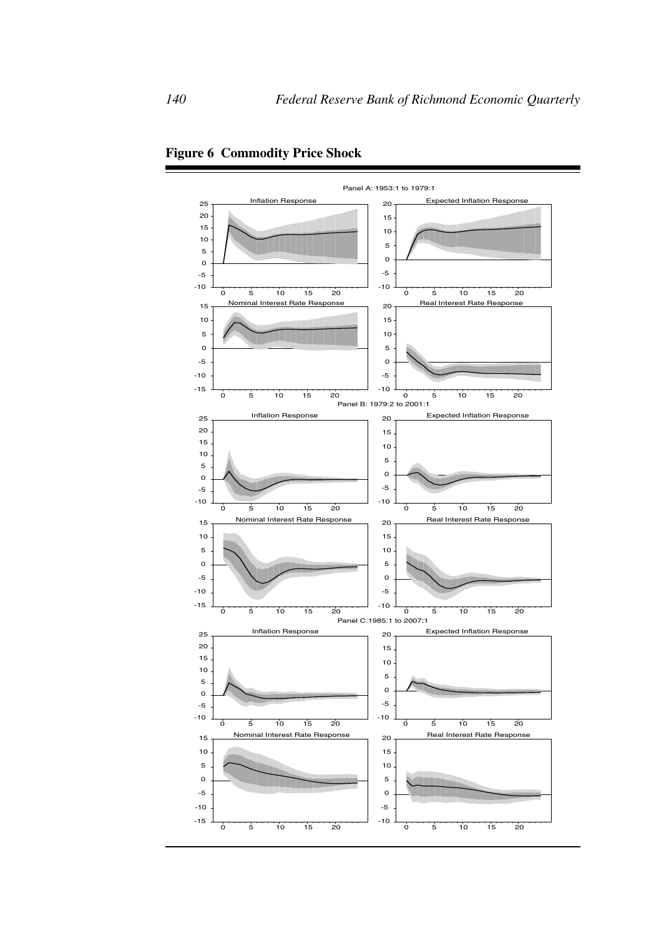

**Figure 6 Commodity Price Shock**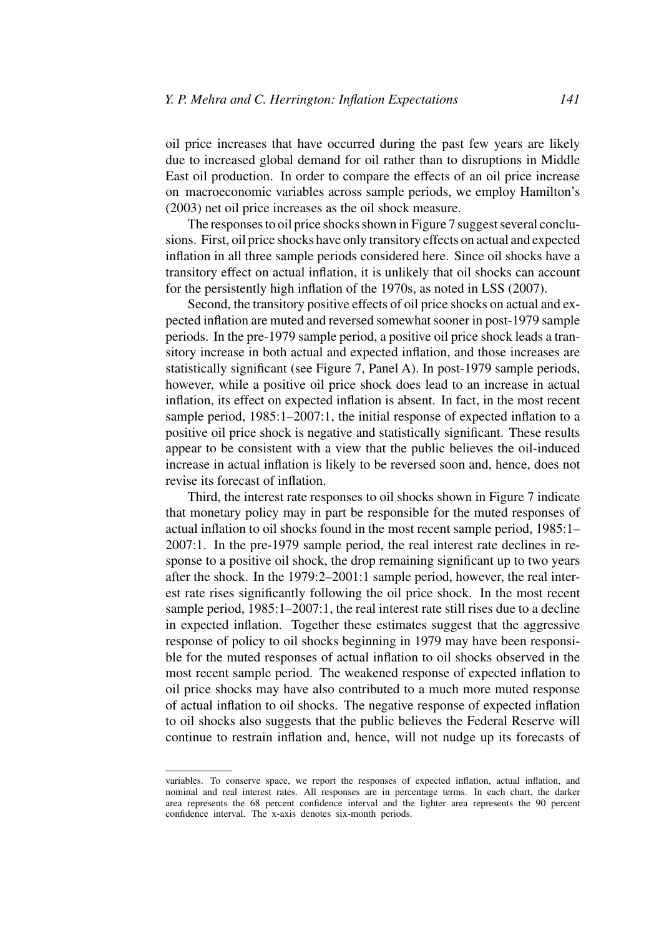oil price increases that have occurred during the past few years are likely due to increased global demand for oil rather than to disruptions in Middle East oil production. In order to compare the effects of an oil price increase on macroeconomic variables across sample periods, we employ Hamilton's (2003) net oil price increases as the oil shock measure.

The responses to oil price shocks shown in Figure 7 suggest several conclusions. First, oil price shocks have only transitory effects on actual and expected inflation in all three sample periods considered here. Since oil shocks have a transitory effect on actual inflation, it is unlikely that oil shocks can account for the persistently high inflation of the 1970s, as noted in LSS (2007).

Second, the transitory positive effects of oil price shocks on actual and expected inflation are muted and reversed somewhat sooner in post-1979 sample periods. In the pre-1979 sample period, a positive oil price shock leads a transitory increase in both actual and expected inflation, and those increases are statistically significant (see Figure 7, Panel A). In post-1979 sample periods, however, while a positive oil price shock does lead to an increase in actual inflation, its effect on expected inflation is absent. In fact, in the most recent sample period, 1985:1–2007:1, the initial response of expected inflation to a positive oil price shock is negative and statistically significant. These results appear to be consistent with a view that the public believes the oil-induced increase in actual inflation is likely to be reversed soon and, hence, does not revise its forecast of inflation.

Third, the interest rate responses to oil shocks shown in Figure 7 indicate that monetary policy may in part be responsible for the muted responses of actual inflation to oil shocks found in the most recent sample period, 1985:1– 2007:1. In the pre-1979 sample period, the real interest rate declines in response to a positive oil shock, the drop remaining significant up to two years after the shock. In the 1979:2–2001:1 sample period, however, the real interest rate rises significantly following the oil price shock. In the most recent sample period, 1985:1–2007:1, the real interest rate still rises due to a decline in expected inflation. Together these estimates suggest that the aggressive response of policy to oil shocks beginning in 1979 may have been responsible for the muted responses of actual inflation to oil shocks observed in the most recent sample period. The weakened response of expected inflation to oil price shocks may have also contributed to a much more muted response of actual inflation to oil shocks. The negative response of expected inflation to oil shocks also suggests that the public believes the Federal Reserve will continue to restrain inflation and, hence, will not nudge up its forecasts of

variables. To conserve space, we report the responses of expected inflation, actual inflation, and nominal and real interest rates. All responses are in percentage terms. In each chart, the darker area represents the 68 percent confidence interval and the lighter area represents the 90 percent confidence interval. The x-axis denotes six-month periods.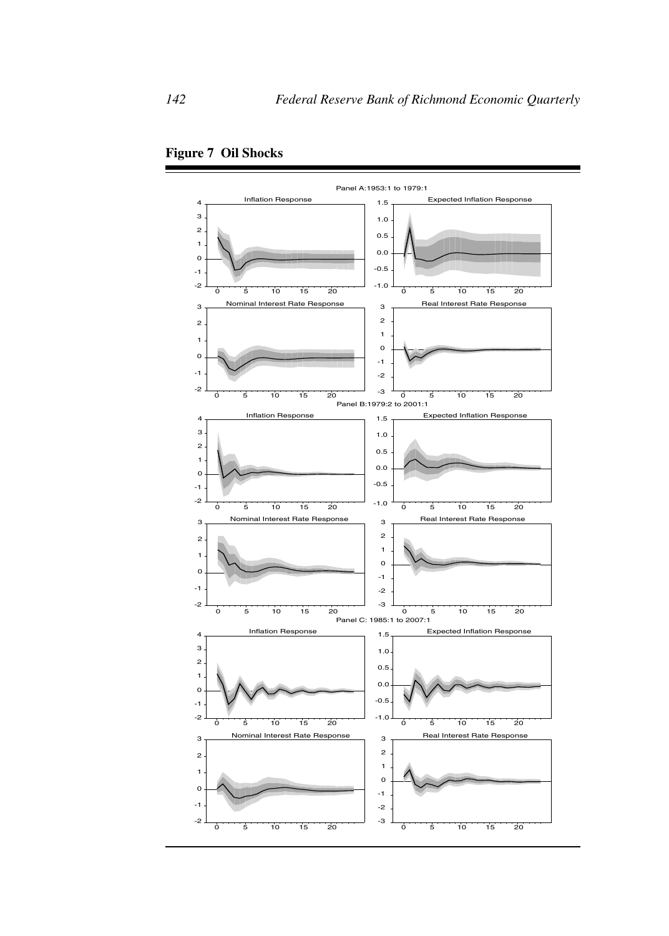

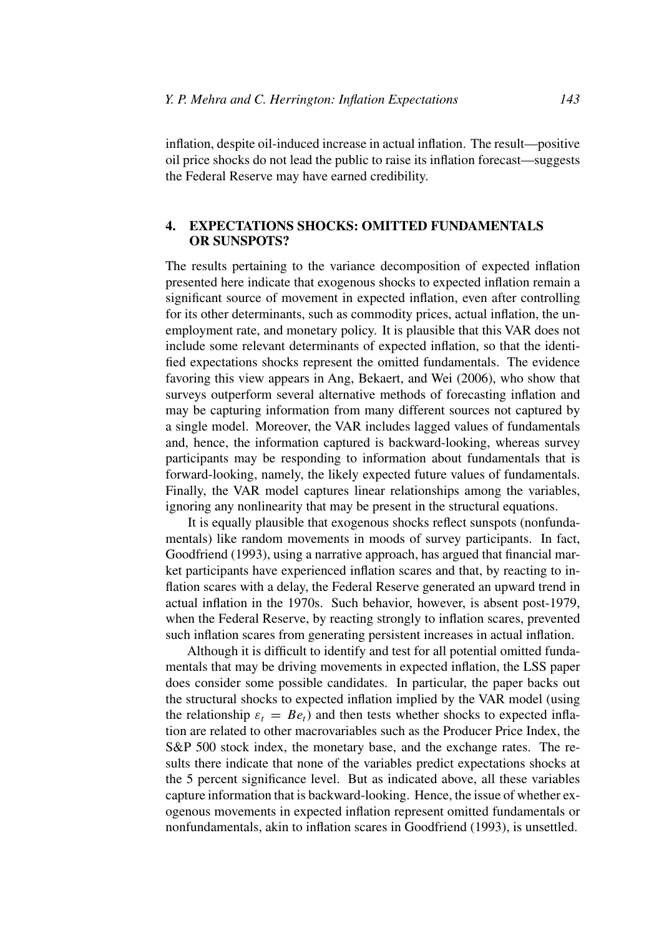inflation, despite oil-induced increase in actual inflation. The result—positive oil price shocks do not lead the public to raise its inflation forecast—suggests the Federal Reserve may have earned credibility.

# **4. EXPECTATIONS SHOCKS: OMITTED FUNDAMENTALS OR SUNSPOTS?**

The results pertaining to the variance decomposition of expected inflation presented here indicate that exogenous shocks to expected inflation remain a significant source of movement in expected inflation, even after controlling for its other determinants, such as commodity prices, actual inflation, the unemployment rate, and monetary policy. It is plausible that this VAR does not include some relevant determinants of expected inflation, so that the identified expectations shocks represent the omitted fundamentals. The evidence favoring this view appears in Ang, Bekaert, and Wei (2006), who show that surveys outperform several alternative methods of forecasting inflation and may be capturing information from many different sources not captured by a single model. Moreover, the VAR includes lagged values of fundamentals and, hence, the information captured is backward-looking, whereas survey participants may be responding to information about fundamentals that is forward-looking, namely, the likely expected future values of fundamentals. Finally, the VAR model captures linear relationships among the variables, ignoring any nonlinearity that may be present in the structural equations.

It is equally plausible that exogenous shocks reflect sunspots (nonfundamentals) like random movements in moods of survey participants. In fact, Goodfriend (1993), using a narrative approach, has argued that financial market participants have experienced inflation scares and that, by reacting to inflation scares with a delay, the Federal Reserve generated an upward trend in actual inflation in the 1970s. Such behavior, however, is absent post-1979, when the Federal Reserve, by reacting strongly to inflation scares, prevented such inflation scares from generating persistent increases in actual inflation.

Although it is difficult to identify and test for all potential omitted fundamentals that may be driving movements in expected inflation, the LSS paper does consider some possible candidates. In particular, the paper backs out the structural shocks to expected inflation implied by the VAR model (using the relationship  $\varepsilon_t = Be_t$ ) and then tests whether shocks to expected inflation are related to other macrovariables such as the Producer Price Index, the S&P 500 stock index, the monetary base, and the exchange rates. The results there indicate that none of the variables predict expectations shocks at the 5 percent significance level. But as indicated above, all these variables capture information that is backward-looking. Hence, the issue of whether exogenous movements in expected inflation represent omitted fundamentals or nonfundamentals, akin to inflation scares in Goodfriend (1993), is unsettled.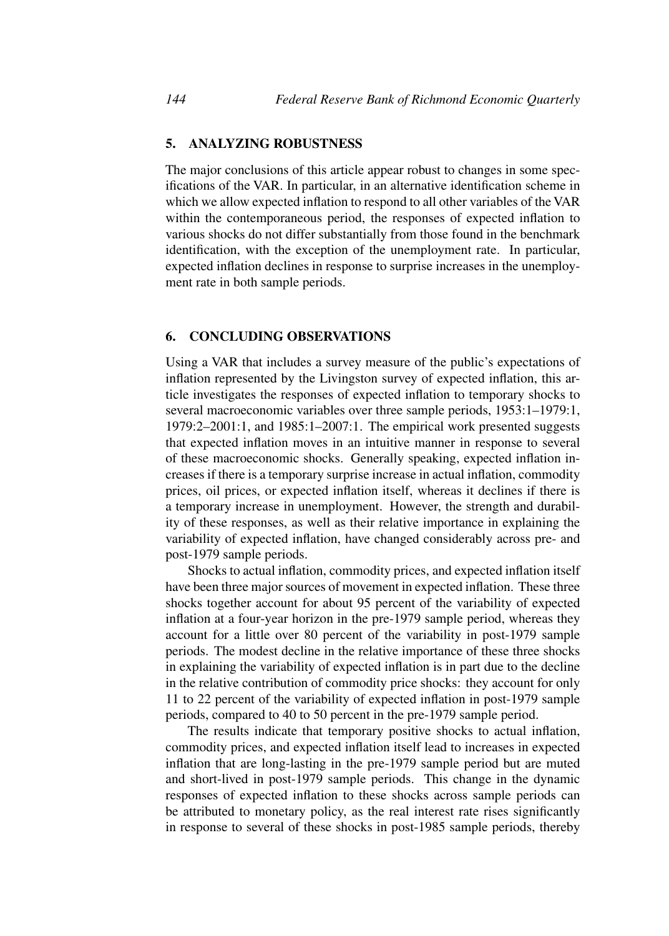# **5. ANALYZING ROBUSTNESS**

The major conclusions of this article appear robust to changes in some specifications of the VAR. In particular, in an alternative identification scheme in which we allow expected inflation to respond to all other variables of the VAR within the contemporaneous period, the responses of expected inflation to various shocks do not differ substantially from those found in the benchmark identification, with the exception of the unemployment rate. In particular, expected inflation declines in response to surprise increases in the unemployment rate in both sample periods.

#### **6. CONCLUDING OBSERVATIONS**

Using a VAR that includes a survey measure of the public's expectations of inflation represented by the Livingston survey of expected inflation, this article investigates the responses of expected inflation to temporary shocks to several macroeconomic variables over three sample periods, 1953:1–1979:1, 1979:2–2001:1, and 1985:1–2007:1. The empirical work presented suggests that expected inflation moves in an intuitive manner in response to several of these macroeconomic shocks. Generally speaking, expected inflation increases if there is a temporary surprise increase in actual inflation, commodity prices, oil prices, or expected inflation itself, whereas it declines if there is a temporary increase in unemployment. However, the strength and durability of these responses, as well as their relative importance in explaining the variability of expected inflation, have changed considerably across pre- and post-1979 sample periods.

Shocks to actual inflation, commodity prices, and expected inflation itself have been three major sources of movement in expected inflation. These three shocks together account for about 95 percent of the variability of expected inflation at a four-year horizon in the pre-1979 sample period, whereas they account for a little over 80 percent of the variability in post-1979 sample periods. The modest decline in the relative importance of these three shocks in explaining the variability of expected inflation is in part due to the decline in the relative contribution of commodity price shocks: they account for only 11 to 22 percent of the variability of expected inflation in post-1979 sample periods, compared to 40 to 50 percent in the pre-1979 sample period.

The results indicate that temporary positive shocks to actual inflation, commodity prices, and expected inflation itself lead to increases in expected inflation that are long-lasting in the pre-1979 sample period but are muted and short-lived in post-1979 sample periods. This change in the dynamic responses of expected inflation to these shocks across sample periods can be attributed to monetary policy, as the real interest rate rises significantly in response to several of these shocks in post-1985 sample periods, thereby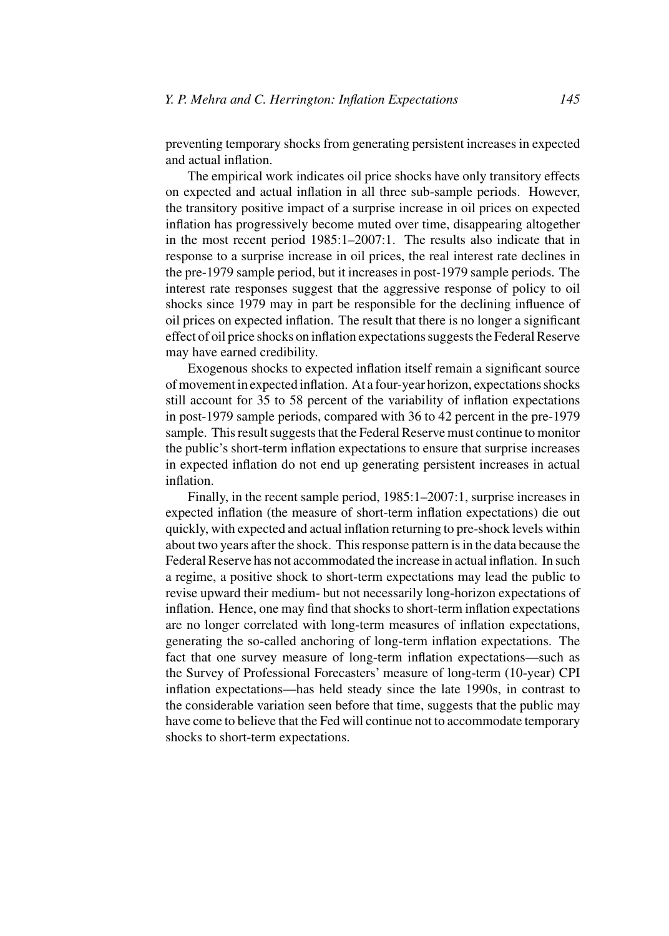preventing temporary shocks from generating persistent increases in expected and actual inflation.

The empirical work indicates oil price shocks have only transitory effects on expected and actual inflation in all three sub-sample periods. However, the transitory positive impact of a surprise increase in oil prices on expected inflation has progressively become muted over time, disappearing altogether in the most recent period 1985:1–2007:1. The results also indicate that in response to a surprise increase in oil prices, the real interest rate declines in the pre-1979 sample period, but it increases in post-1979 sample periods. The interest rate responses suggest that the aggressive response of policy to oil shocks since 1979 may in part be responsible for the declining influence of oil prices on expected inflation. The result that there is no longer a significant effect of oil price shocks on inflation expectations suggests the Federal Reserve may have earned credibility.

Exogenous shocks to expected inflation itself remain a significant source of movement in expected inflation. At a four-year horizon, expectations shocks still account for 35 to 58 percent of the variability of inflation expectations in post-1979 sample periods, compared with 36 to 42 percent in the pre-1979 sample. This result suggests that the Federal Reserve must continue to monitor the public's short-term inflation expectations to ensure that surprise increases in expected inflation do not end up generating persistent increases in actual inflation.

Finally, in the recent sample period, 1985:1–2007:1, surprise increases in expected inflation (the measure of short-term inflation expectations) die out quickly, with expected and actual inflation returning to pre-shock levels within about two years after the shock. This response pattern is in the data because the Federal Reserve has not accommodated the increase in actual inflation. In such a regime, a positive shock to short-term expectations may lead the public to revise upward their medium- but not necessarily long-horizon expectations of inflation. Hence, one may find that shocks to short-term inflation expectations are no longer correlated with long-term measures of inflation expectations, generating the so-called anchoring of long-term inflation expectations. The fact that one survey measure of long-term inflation expectations—such as the Survey of Professional Forecasters' measure of long-term (10-year) CPI inflation expectations—has held steady since the late 1990s, in contrast to the considerable variation seen before that time, suggests that the public may have come to believe that the Fed will continue not to accommodate temporary shocks to short-term expectations.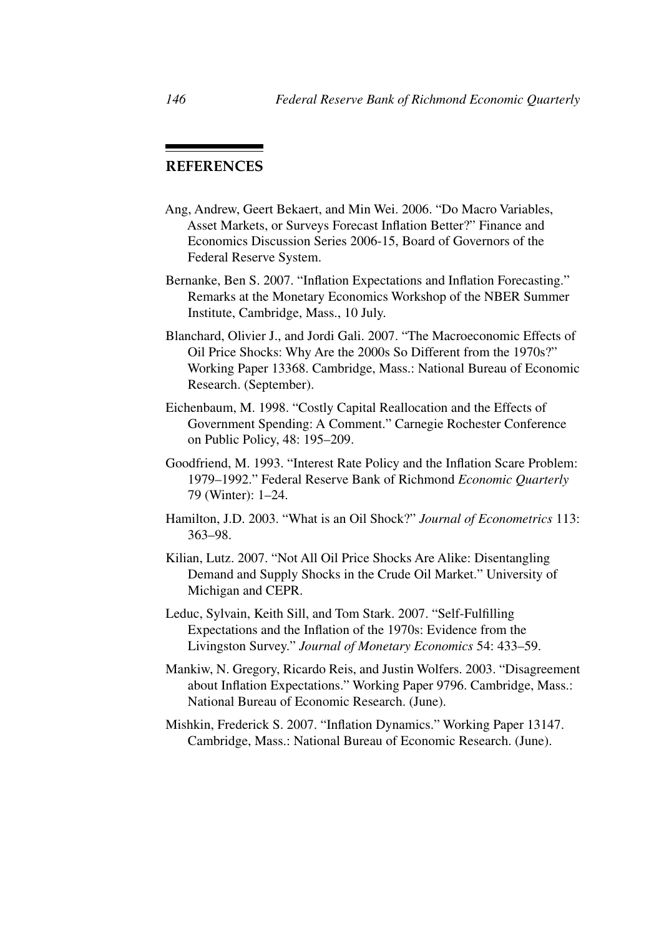# **REFERENCES**

- Ang, Andrew, Geert Bekaert, and Min Wei. 2006. "Do Macro Variables, Asset Markets, or Surveys Forecast Inflation Better?" Finance and Economics Discussion Series 2006-15, Board of Governors of the Federal Reserve System.
- Bernanke, Ben S. 2007. "Inflation Expectations and Inflation Forecasting." Remarks at the Monetary Economics Workshop of the NBER Summer Institute, Cambridge, Mass., 10 July.
- Blanchard, Olivier J., and Jordi Gali. 2007. "The Macroeconomic Effects of Oil Price Shocks: Why Are the 2000s So Different from the 1970s?" Working Paper 13368. Cambridge, Mass.: National Bureau of Economic Research. (September).
- Eichenbaum, M. 1998. "Costly Capital Reallocation and the Effects of Government Spending: A Comment." Carnegie Rochester Conference on Public Policy, 48: 195–209.
- Goodfriend, M. 1993. "Interest Rate Policy and the Inflation Scare Problem: 1979–1992." Federal Reserve Bank of Richmond *Economic Quarterly* 79 (Winter): 1–24.
- Hamilton, J.D. 2003. "What is an Oil Shock?" *Journal of Econometrics* 113: 363–98.
- Kilian, Lutz. 2007. "Not All Oil Price Shocks Are Alike: Disentangling Demand and Supply Shocks in the Crude Oil Market." University of Michigan and CEPR.
- Leduc, Sylvain, Keith Sill, and Tom Stark. 2007. "Self-Fulfilling Expectations and the Inflation of the 1970s: Evidence from the Livingston Survey." *Journal of Monetary Economics* 54: 433–59.
- Mankiw, N. Gregory, Ricardo Reis, and Justin Wolfers. 2003. "Disagreement about Inflation Expectations." Working Paper 9796. Cambridge, Mass.: National Bureau of Economic Research. (June).
- Mishkin, Frederick S. 2007. "Inflation Dynamics." Working Paper 13147. Cambridge, Mass.: National Bureau of Economic Research. (June).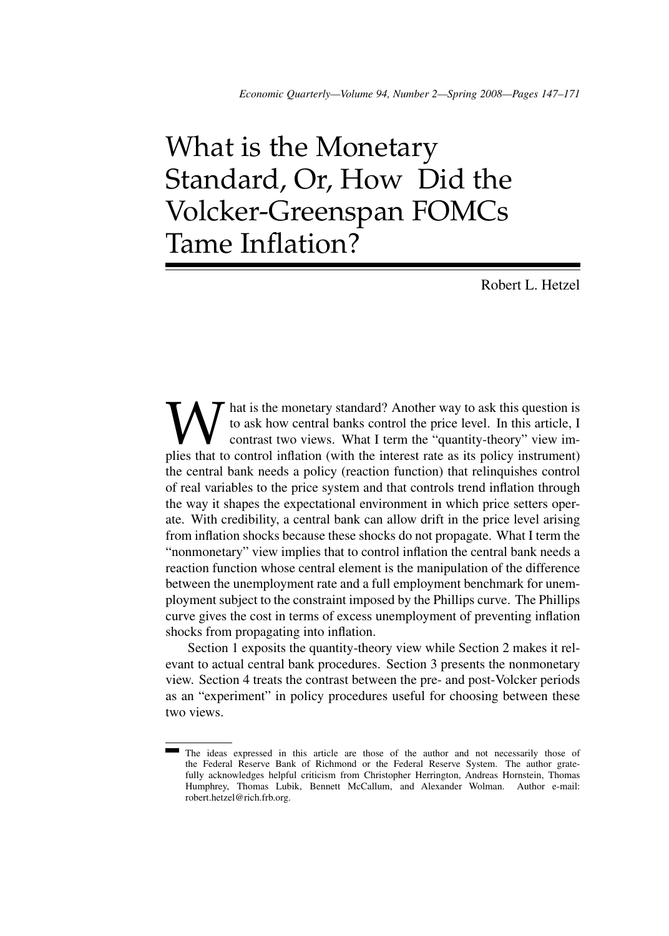# What is the Monetary Standard, Or, How Did the Volcker-Greenspan FOMCs Tame Inflation?

Robert L. Hetzel

**W** hat is the monetary standard? Another way to ask this question is to ask how central banks control the price level. In this article, I contrast two views. What I term the "quantity-theory" view implies that to control to ask how central banks control the price level. In this article, I contrast two views. What I term the "quantity-theory" view imthe central bank needs a policy (reaction function) that relinquishes control of real variables to the price system and that controls trend inflation through the way it shapes the expectational environment in which price setters operate. With credibility, a central bank can allow drift in the price level arising from inflation shocks because these shocks do not propagate. What I term the "nonmonetary" view implies that to control inflation the central bank needs a reaction function whose central element is the manipulation of the difference between the unemployment rate and a full employment benchmark for unemployment subject to the constraint imposed by the Phillips curve. The Phillips curve gives the cost in terms of excess unemployment of preventing inflation shocks from propagating into inflation.

Section 1 exposits the quantity-theory view while Section 2 makes it relevant to actual central bank procedures. Section 3 presents the nonmonetary view. Section 4 treats the contrast between the pre- and post-Volcker periods as an "experiment" in policy procedures useful for choosing between these two views.

The ideas expressed in this article are those of the author and not necessarily those of the Federal Reserve Bank of Richmond or the Federal Reserve System. The author gratefully acknowledges helpful criticism from Christopher Herrington, Andreas Hornstein, Thomas Humphrey, Thomas Lubik, Bennett McCallum, and Alexander Wolman. Author e-mail: robert.hetzel@rich.frb.org.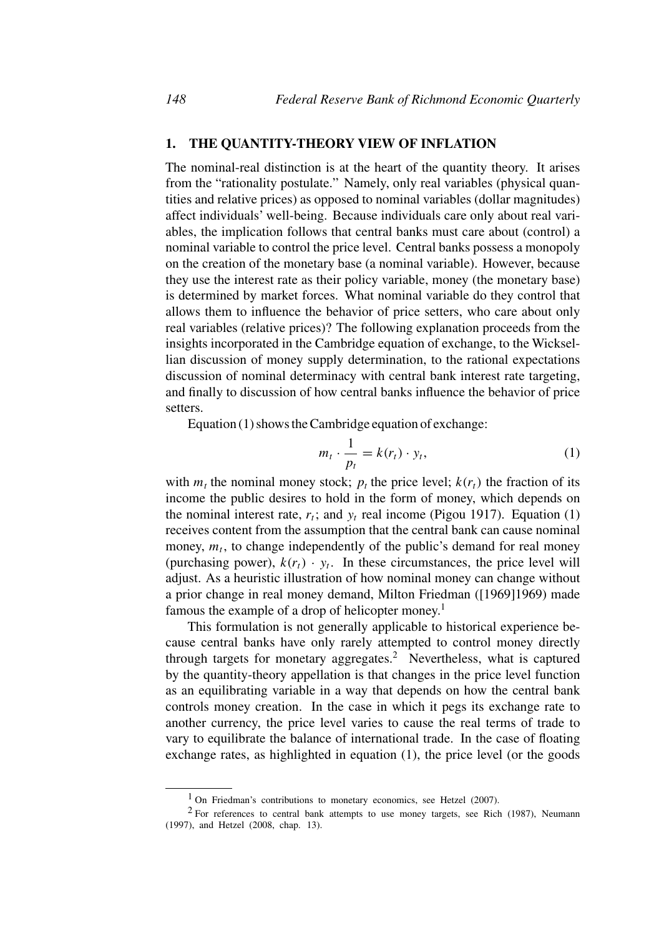# **1. THE QUANTITY-THEORY VIEW OF INFLATION**

The nominal-real distinction is at the heart of the quantity theory. It arises from the "rationality postulate." Namely, only real variables (physical quantities and relative prices) as opposed to nominal variables (dollar magnitudes) affect individuals' well-being. Because individuals care only about real variables, the implication follows that central banks must care about (control) a nominal variable to control the price level. Central banks possess a monopoly on the creation of the monetary base (a nominal variable). However, because they use the interest rate as their policy variable, money (the monetary base) is determined by market forces. What nominal variable do they control that allows them to influence the behavior of price setters, who care about only real variables (relative prices)? The following explanation proceeds from the insights incorporated in the Cambridge equation of exchange, to the Wicksellian discussion of money supply determination, to the rational expectations discussion of nominal determinacy with central bank interest rate targeting, and finally to discussion of how central banks influence the behavior of price setters.

Equation (1) shows the Cambridge equation of exchange:

$$
m_t \cdot \frac{1}{p_t} = k(r_t) \cdot y_t,\tag{1}
$$

with  $m_t$  the nominal money stock;  $p_t$  the price level;  $k(r_t)$  the fraction of its income the public desires to hold in the form of money, which depends on the nominal interest rate,  $r_t$ ; and  $y_t$  real income (Pigou 1917). Equation (1) receives content from the assumption that the central bank can cause nominal money,  $m_t$ , to change independently of the public's demand for real money (purchasing power),  $k(r_t) \cdot y_t$ . In these circumstances, the price level will adjust. As a heuristic illustration of how nominal money can change without a prior change in real money demand, Milton Friedman ([1969]1969) made famous the example of a drop of helicopter money.<sup>1</sup>

This formulation is not generally applicable to historical experience because central banks have only rarely attempted to control money directly through targets for monetary aggregates.<sup>2</sup> Nevertheless, what is captured by the quantity-theory appellation is that changes in the price level function as an equilibrating variable in a way that depends on how the central bank controls money creation. In the case in which it pegs its exchange rate to another currency, the price level varies to cause the real terms of trade to vary to equilibrate the balance of international trade. In the case of floating exchange rates, as highlighted in equation (1), the price level (or the goods

<sup>&</sup>lt;sup>1</sup> On Friedman's contributions to monetary economics, see Hetzel (2007).

<sup>&</sup>lt;sup>2</sup> For references to central bank attempts to use money targets, see Rich (1987), Neumann (1997), and Hetzel (2008, chap. 13).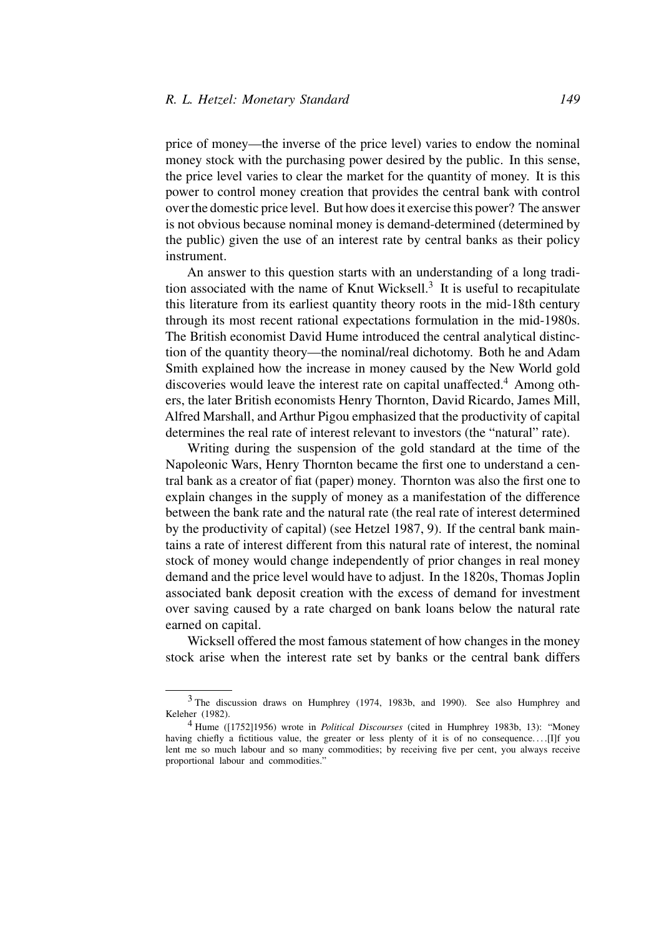price of money—the inverse of the price level) varies to endow the nominal money stock with the purchasing power desired by the public. In this sense, the price level varies to clear the market for the quantity of money. It is this power to control money creation that provides the central bank with control over the domestic price level. But how does it exercise this power? The answer is not obvious because nominal money is demand-determined (determined by the public) given the use of an interest rate by central banks as their policy instrument.

An answer to this question starts with an understanding of a long tradition associated with the name of Knut Wicksell.3 It is useful to recapitulate this literature from its earliest quantity theory roots in the mid-18th century through its most recent rational expectations formulation in the mid-1980s. The British economist David Hume introduced the central analytical distinction of the quantity theory—the nominal/real dichotomy. Both he and Adam Smith explained how the increase in money caused by the New World gold discoveries would leave the interest rate on capital unaffected.<sup>4</sup> Among others, the later British economists Henry Thornton, David Ricardo, James Mill, Alfred Marshall, and Arthur Pigou emphasized that the productivity of capital determines the real rate of interest relevant to investors (the "natural" rate).

Writing during the suspension of the gold standard at the time of the Napoleonic Wars, Henry Thornton became the first one to understand a central bank as a creator of fiat (paper) money. Thornton was also the first one to explain changes in the supply of money as a manifestation of the difference between the bank rate and the natural rate (the real rate of interest determined by the productivity of capital) (see Hetzel 1987, 9). If the central bank maintains a rate of interest different from this natural rate of interest, the nominal stock of money would change independently of prior changes in real money demand and the price level would have to adjust. In the 1820s, Thomas Joplin associated bank deposit creation with the excess of demand for investment over saving caused by a rate charged on bank loans below the natural rate earned on capital.

Wicksell offered the most famous statement of how changes in the money stock arise when the interest rate set by banks or the central bank differs

<sup>3</sup> The discussion draws on Humphrey (1974, 1983b, and 1990). See also Humphrey and Keleher (1982).

<sup>4</sup> Hume ([1752]1956) wrote in *Political Discourses* (cited in Humphrey 1983b, 13): "Money having chiefly a fictitious value, the greater or less plenty of it is of no consequence. . . .[I]f you lent me so much labour and so many commodities; by receiving five per cent, you always receive proportional labour and commodities."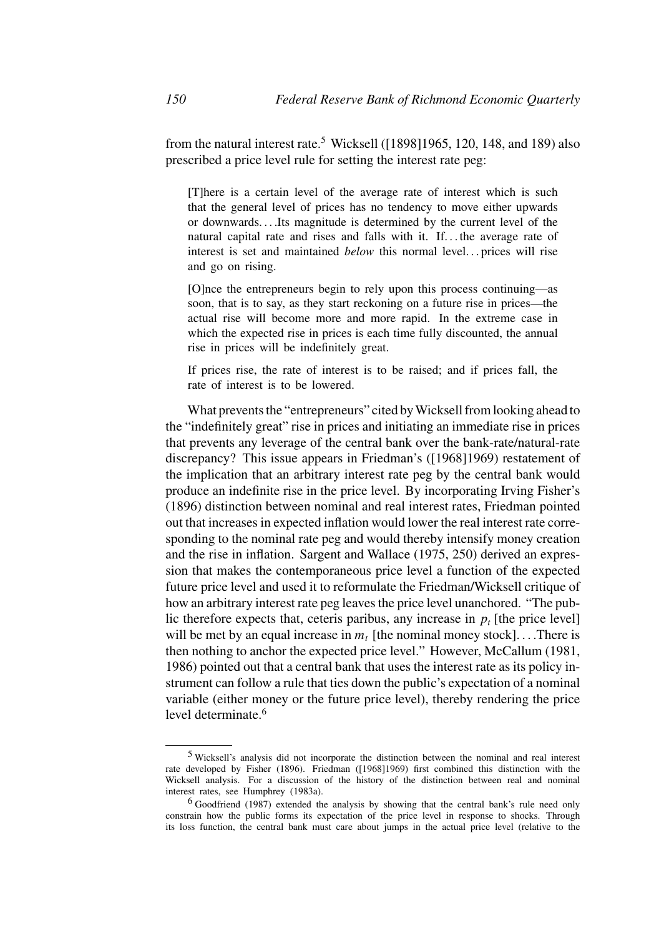from the natural interest rate.<sup>5</sup> Wicksell ([1898]1965, 120, 148, and 189) also prescribed a price level rule for setting the interest rate peg:

[T]here is a certain level of the average rate of interest which is such that the general level of prices has no tendency to move either upwards or downwards. . . .Its magnitude is determined by the current level of the natural capital rate and rises and falls with it. If. . . the average rate of interest is set and maintained *below* this normal level... prices will rise and go on rising.

[O]nce the entrepreneurs begin to rely upon this process continuing—as soon, that is to say, as they start reckoning on a future rise in prices—the actual rise will become more and more rapid. In the extreme case in which the expected rise in prices is each time fully discounted, the annual rise in prices will be indefinitely great.

If prices rise, the rate of interest is to be raised; and if prices fall, the rate of interest is to be lowered.

What prevents the "entrepreneurs" cited byWicksell from looking ahead to the "indefinitely great" rise in prices and initiating an immediate rise in prices that prevents any leverage of the central bank over the bank-rate/natural-rate discrepancy? This issue appears in Friedman's ([1968]1969) restatement of the implication that an arbitrary interest rate peg by the central bank would produce an indefinite rise in the price level. By incorporating Irving Fisher's (1896) distinction between nominal and real interest rates, Friedman pointed out that increases in expected inflation would lower the real interest rate corresponding to the nominal rate peg and would thereby intensify money creation and the rise in inflation. Sargent and Wallace (1975, 250) derived an expression that makes the contemporaneous price level a function of the expected future price level and used it to reformulate the Friedman/Wicksell critique of how an arbitrary interest rate peg leaves the price level unanchored. "The public therefore expects that, ceteris paribus, any increase in  $p_t$  [the price level] will be met by an equal increase in  $m_t$  [the nominal money stock]....There is then nothing to anchor the expected price level." However, McCallum (1981, 1986) pointed out that a central bank that uses the interest rate as its policy instrument can follow a rule that ties down the public's expectation of a nominal variable (either money or the future price level), thereby rendering the price level determinate.<sup>6</sup>

<sup>5</sup> Wicksell's analysis did not incorporate the distinction between the nominal and real interest rate developed by Fisher (1896). Friedman ([1968]1969) first combined this distinction with the Wicksell analysis. For a discussion of the history of the distinction between real and nominal interest rates, see Humphrey (1983a).

<sup>6</sup> Goodfriend (1987) extended the analysis by showing that the central bank's rule need only constrain how the public forms its expectation of the price level in response to shocks. Through its loss function, the central bank must care about jumps in the actual price level (relative to the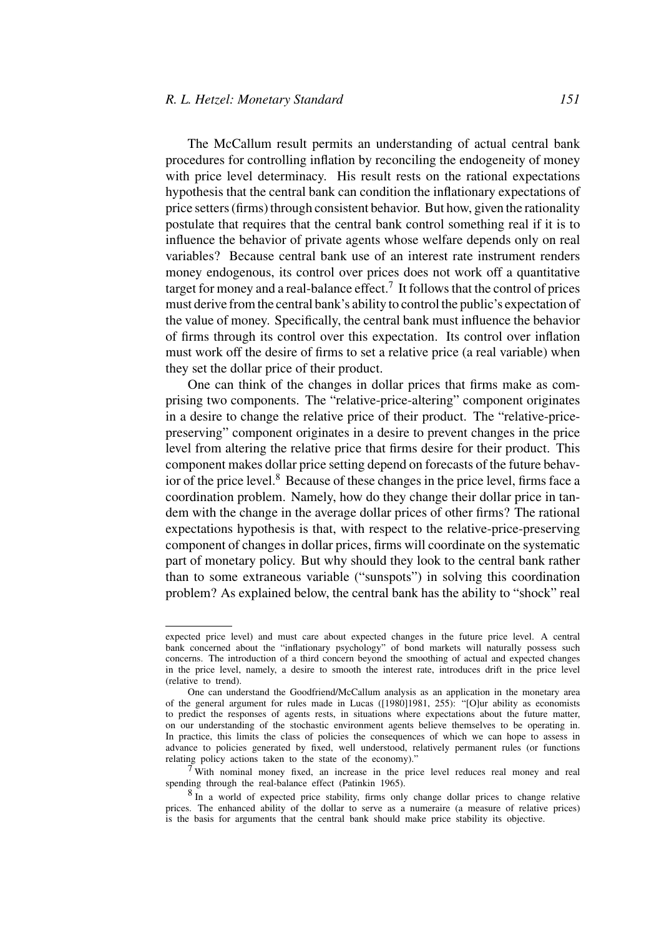The McCallum result permits an understanding of actual central bank procedures for controlling inflation by reconciling the endogeneity of money with price level determinacy. His result rests on the rational expectations hypothesis that the central bank can condition the inflationary expectations of price setters (firms) through consistent behavior. But how, given the rationality postulate that requires that the central bank control something real if it is to influence the behavior of private agents whose welfare depends only on real variables? Because central bank use of an interest rate instrument renders money endogenous, its control over prices does not work off a quantitative target for money and a real-balance effect.7 It follows that the control of prices must derive from the central bank's ability to control the public's expectation of the value of money. Specifically, the central bank must influence the behavior of firms through its control over this expectation. Its control over inflation must work off the desire of firms to set a relative price (a real variable) when they set the dollar price of their product.

One can think of the changes in dollar prices that firms make as comprising two components. The "relative-price-altering" component originates in a desire to change the relative price of their product. The "relative-pricepreserving" component originates in a desire to prevent changes in the price level from altering the relative price that firms desire for their product. This component makes dollar price setting depend on forecasts of the future behavior of the price level. $8$  Because of these changes in the price level, firms face a coordination problem. Namely, how do they change their dollar price in tandem with the change in the average dollar prices of other firms? The rational expectations hypothesis is that, with respect to the relative-price-preserving component of changes in dollar prices, firms will coordinate on the systematic part of monetary policy. But why should they look to the central bank rather than to some extraneous variable ("sunspots") in solving this coordination problem? As explained below, the central bank has the ability to "shock" real

<sup>7</sup> With nominal money fixed, an increase in the price level reduces real money and real spending through the real-balance effect (Patinkin 1965).

expected price level) and must care about expected changes in the future price level. A central bank concerned about the "inflationary psychology" of bond markets will naturally possess such concerns. The introduction of a third concern beyond the smoothing of actual and expected changes in the price level, namely, a desire to smooth the interest rate, introduces drift in the price level (relative to trend).

One can understand the Goodfriend/McCallum analysis as an application in the monetary area of the general argument for rules made in Lucas ([1980]1981, 255): "[O]ur ability as economists to predict the responses of agents rests, in situations where expectations about the future matter, on our understanding of the stochastic environment agents believe themselves to be operating in. In practice, this limits the class of policies the consequences of which we can hope to assess in advance to policies generated by fixed, well understood, relatively permanent rules (or functions relating policy actions taken to the state of the economy)."

<sup>8</sup> In a world of expected price stability, firms only change dollar prices to change relative prices. The enhanced ability of the dollar to serve as a numeraire (a measure of relative prices) is the basis for arguments that the central bank should make price stability its objective.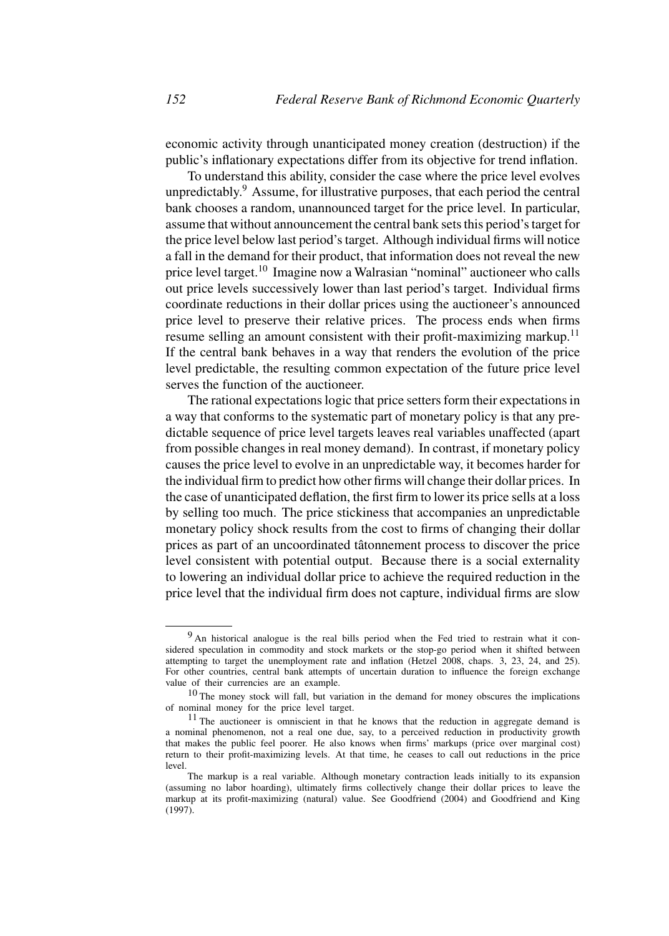economic activity through unanticipated money creation (destruction) if the public's inflationary expectations differ from its objective for trend inflation.

To understand this ability, consider the case where the price level evolves unpredictably.9 Assume, for illustrative purposes, that each period the central bank chooses a random, unannounced target for the price level. In particular, assume that without announcement the central bank sets this period's target for the price level below last period's target. Although individual firms will notice a fall in the demand for their product, that information does not reveal the new price level target.10 Imagine now a Walrasian "nominal" auctioneer who calls out price levels successively lower than last period's target. Individual firms coordinate reductions in their dollar prices using the auctioneer's announced price level to preserve their relative prices. The process ends when firms resume selling an amount consistent with their profit-maximizing markup.<sup>11</sup> If the central bank behaves in a way that renders the evolution of the price level predictable, the resulting common expectation of the future price level serves the function of the auctioneer.

The rational expectations logic that price setters form their expectations in a way that conforms to the systematic part of monetary policy is that any predictable sequence of price level targets leaves real variables unaffected (apart from possible changes in real money demand). In contrast, if monetary policy causes the price level to evolve in an unpredictable way, it becomes harder for the individual firm to predict how other firms will change their dollar prices. In the case of unanticipated deflation, the first firm to lower its price sells at a loss by selling too much. The price stickiness that accompanies an unpredictable monetary policy shock results from the cost to firms of changing their dollar prices as part of an uncoordinated tâtonnement process to discover the price level consistent with potential output. Because there is a social externality to lowering an individual dollar price to achieve the required reduction in the price level that the individual firm does not capture, individual firms are slow

<sup>&</sup>lt;sup>9</sup> An historical analogue is the real bills period when the Fed tried to restrain what it considered speculation in commodity and stock markets or the stop-go period when it shifted between attempting to target the unemployment rate and inflation (Hetzel 2008, chaps. 3, 23, 24, and 25). For other countries, central bank attempts of uncertain duration to influence the foreign exchange value of their currencies are an example.

<sup>10</sup> The money stock will fall, but variation in the demand for money obscures the implications of nominal money for the price level target.

<sup>&</sup>lt;sup>11</sup> The auctioneer is omniscient in that he knows that the reduction in aggregate demand is a nominal phenomenon, not a real one due, say, to a perceived reduction in productivity growth that makes the public feel poorer. He also knows when firms' markups (price over marginal cost) return to their profit-maximizing levels. At that time, he ceases to call out reductions in the price level.

The markup is a real variable. Although monetary contraction leads initially to its expansion (assuming no labor hoarding), ultimately firms collectively change their dollar prices to leave the markup at its profit-maximizing (natural) value. See Goodfriend (2004) and Goodfriend and King (1997).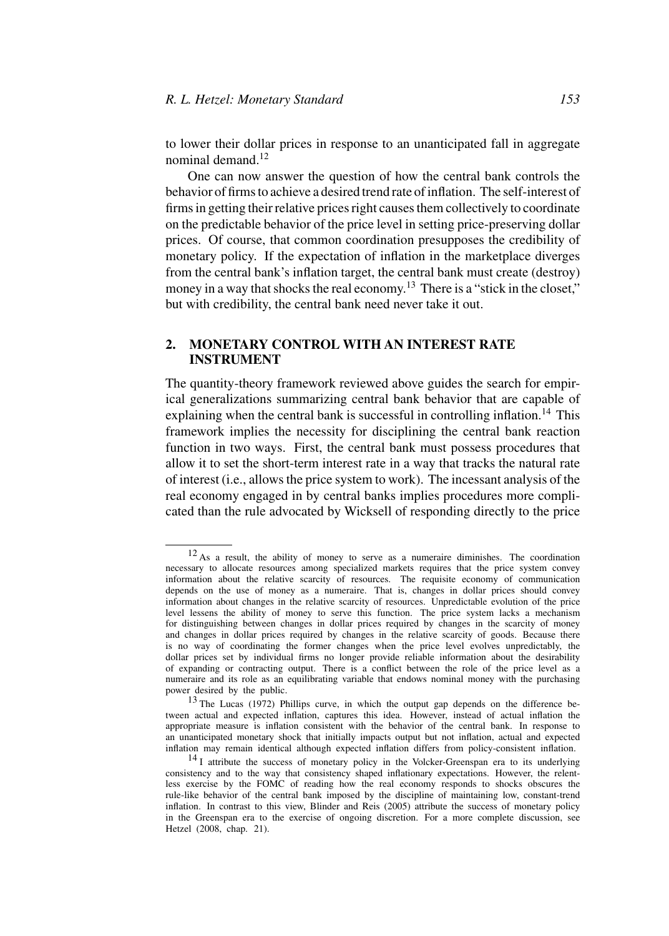to lower their dollar prices in response to an unanticipated fall in aggregate nominal demand.12

One can now answer the question of how the central bank controls the behavior of firms to achieve a desired trend rate of inflation. The self-interest of firms in getting their relative prices right causes them collectively to coordinate on the predictable behavior of the price level in setting price-preserving dollar prices. Of course, that common coordination presupposes the credibility of monetary policy. If the expectation of inflation in the marketplace diverges from the central bank's inflation target, the central bank must create (destroy) money in a way that shocks the real economy.<sup>13</sup> There is a "stick in the closet," but with credibility, the central bank need never take it out.

# **2. MONETARY CONTROL WITH AN INTEREST RATE INSTRUMENT**

The quantity-theory framework reviewed above guides the search for empirical generalizations summarizing central bank behavior that are capable of explaining when the central bank is successful in controlling inflation.<sup>14</sup> This framework implies the necessity for disciplining the central bank reaction function in two ways. First, the central bank must possess procedures that allow it to set the short-term interest rate in a way that tracks the natural rate of interest (i.e., allows the price system to work). The incessant analysis of the real economy engaged in by central banks implies procedures more complicated than the rule advocated by Wicksell of responding directly to the price

<sup>12</sup> As a result, the ability of money to serve as a numeraire diminishes. The coordination necessary to allocate resources among specialized markets requires that the price system convey information about the relative scarcity of resources. The requisite economy of communication depends on the use of money as a numeraire. That is, changes in dollar prices should convey information about changes in the relative scarcity of resources. Unpredictable evolution of the price level lessens the ability of money to serve this function. The price system lacks a mechanism for distinguishing between changes in dollar prices required by changes in the scarcity of money and changes in dollar prices required by changes in the relative scarcity of goods. Because there is no way of coordinating the former changes when the price level evolves unpredictably, the dollar prices set by individual firms no longer provide reliable information about the desirability of expanding or contracting output. There is a conflict between the role of the price level as a numeraire and its role as an equilibrating variable that endows nominal money with the purchasing power desired by the public.

<sup>13</sup> The Lucas (1972) Phillips curve, in which the output gap depends on the difference between actual and expected inflation, captures this idea. However, instead of actual inflation the appropriate measure is inflation consistent with the behavior of the central bank. In response to an unanticipated monetary shock that initially impacts output but not inflation, actual and expected inflation may remain identical although expected inflation differs from policy-consistent inflation.

<sup>&</sup>lt;sup>14</sup> I attribute the success of monetary policy in the Volcker-Greenspan era to its underlying consistency and to the way that consistency shaped inflationary expectations. However, the relentless exercise by the FOMC of reading how the real economy responds to shocks obscures the rule-like behavior of the central bank imposed by the discipline of maintaining low, constant-trend inflation. In contrast to this view, Blinder and Reis (2005) attribute the success of monetary policy in the Greenspan era to the exercise of ongoing discretion. For a more complete discussion, see Hetzel (2008, chap. 21).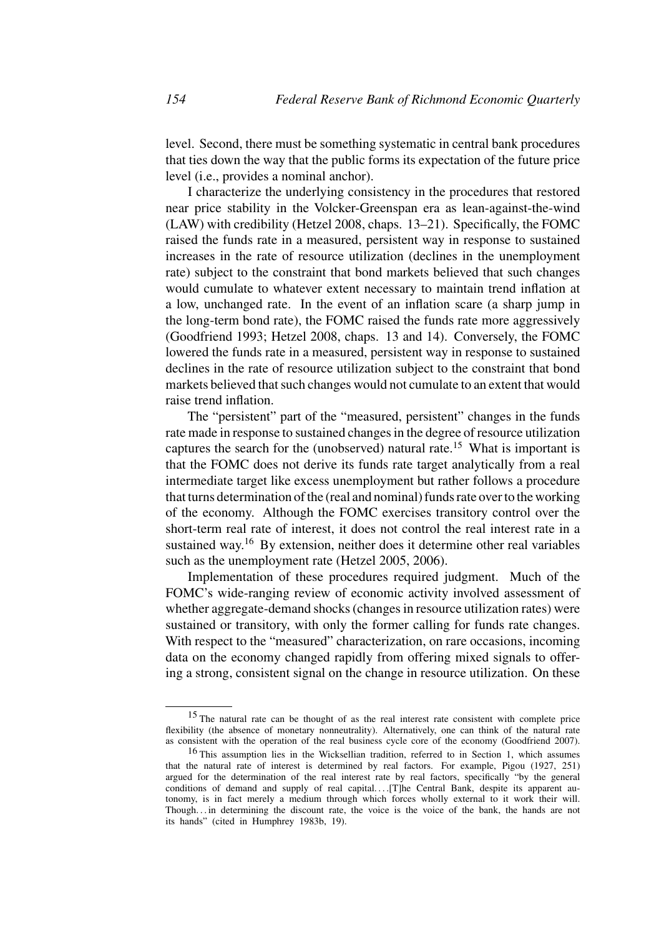level. Second, there must be something systematic in central bank procedures that ties down the way that the public forms its expectation of the future price level (i.e., provides a nominal anchor).

I characterize the underlying consistency in the procedures that restored near price stability in the Volcker-Greenspan era as lean-against-the-wind (LAW) with credibility (Hetzel 2008, chaps. 13–21). Specifically, the FOMC raised the funds rate in a measured, persistent way in response to sustained increases in the rate of resource utilization (declines in the unemployment rate) subject to the constraint that bond markets believed that such changes would cumulate to whatever extent necessary to maintain trend inflation at a low, unchanged rate. In the event of an inflation scare (a sharp jump in the long-term bond rate), the FOMC raised the funds rate more aggressively (Goodfriend 1993; Hetzel 2008, chaps. 13 and 14). Conversely, the FOMC lowered the funds rate in a measured, persistent way in response to sustained declines in the rate of resource utilization subject to the constraint that bond markets believed that such changes would not cumulate to an extent that would raise trend inflation.

The "persistent" part of the "measured, persistent" changes in the funds rate made in response to sustained changes in the degree of resource utilization captures the search for the (unobserved) natural rate.15 What is important is that the FOMC does not derive its funds rate target analytically from a real intermediate target like excess unemployment but rather follows a procedure that turns determination of the (real and nominal) funds rate over to the working of the economy. Although the FOMC exercises transitory control over the short-term real rate of interest, it does not control the real interest rate in a sustained way.<sup>16</sup> By extension, neither does it determine other real variables such as the unemployment rate (Hetzel 2005, 2006).

Implementation of these procedures required judgment. Much of the FOMC's wide-ranging review of economic activity involved assessment of whether aggregate-demand shocks (changes in resource utilization rates) were sustained or transitory, with only the former calling for funds rate changes. With respect to the "measured" characterization, on rare occasions, incoming data on the economy changed rapidly from offering mixed signals to offering a strong, consistent signal on the change in resource utilization. On these

<sup>&</sup>lt;sup>15</sup> The natural rate can be thought of as the real interest rate consistent with complete price flexibility (the absence of monetary nonneutrality). Alternatively, one can think of the natural rate as consistent with the operation of the real business cycle core of the economy (Goodfriend 2007).

<sup>16</sup> This assumption lies in the Wicksellian tradition, referred to in Section 1, which assumes that the natural rate of interest is determined by real factors. For example, Pigou (1927, 251) argued for the determination of the real interest rate by real factors, specifically "by the general conditions of demand and supply of real capital....[T]he Central Bank, despite its apparent autonomy, is in fact merely a medium through which forces wholly external to it work their will. Though. . . in determining the discount rate, the voice is the voice of the bank, the hands are not its hands" (cited in Humphrey 1983b, 19).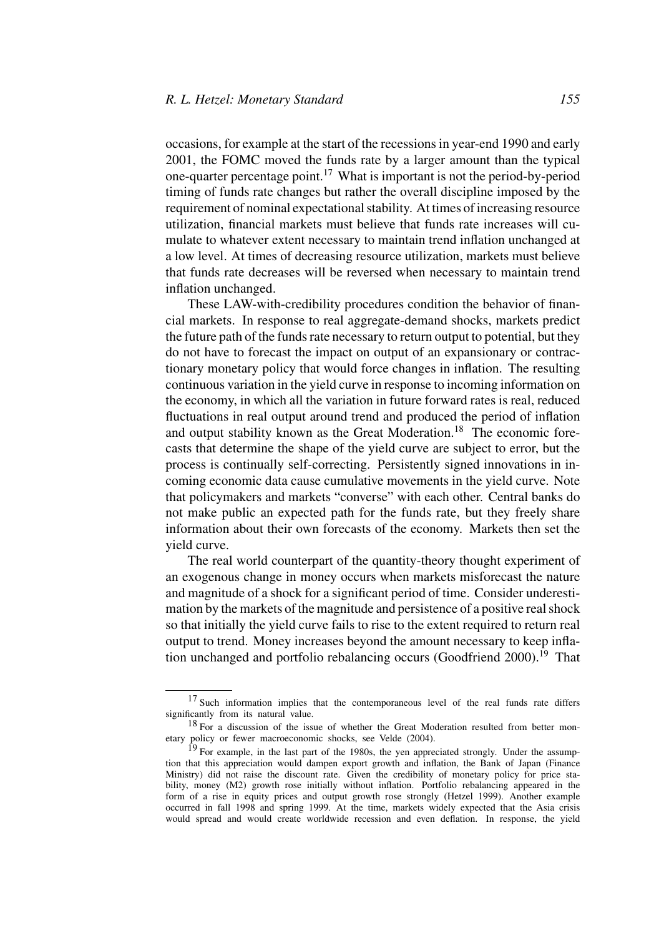occasions, for example at the start of the recessions in year-end 1990 and early 2001, the FOMC moved the funds rate by a larger amount than the typical one-quarter percentage point.17 What is important is not the period-by-period timing of funds rate changes but rather the overall discipline imposed by the requirement of nominal expectational stability. At times of increasing resource utilization, financial markets must believe that funds rate increases will cumulate to whatever extent necessary to maintain trend inflation unchanged at a low level. At times of decreasing resource utilization, markets must believe that funds rate decreases will be reversed when necessary to maintain trend inflation unchanged.

These LAW-with-credibility procedures condition the behavior of financial markets. In response to real aggregate-demand shocks, markets predict the future path of the funds rate necessary to return output to potential, but they do not have to forecast the impact on output of an expansionary or contractionary monetary policy that would force changes in inflation. The resulting continuous variation in the yield curve in response to incoming information on the economy, in which all the variation in future forward rates is real, reduced fluctuations in real output around trend and produced the period of inflation and output stability known as the Great Moderation.<sup>18</sup> The economic forecasts that determine the shape of the yield curve are subject to error, but the process is continually self-correcting. Persistently signed innovations in incoming economic data cause cumulative movements in the yield curve. Note that policymakers and markets "converse" with each other. Central banks do not make public an expected path for the funds rate, but they freely share information about their own forecasts of the economy. Markets then set the yield curve.

The real world counterpart of the quantity-theory thought experiment of an exogenous change in money occurs when markets misforecast the nature and magnitude of a shock for a significant period of time. Consider underestimation by the markets of the magnitude and persistence of a positive real shock so that initially the yield curve fails to rise to the extent required to return real output to trend. Money increases beyond the amount necessary to keep inflation unchanged and portfolio rebalancing occurs (Goodfriend  $2000$ ).<sup>19</sup> That

<sup>&</sup>lt;sup>17</sup> Such information implies that the contemporaneous level of the real funds rate differs significantly from its natural value.

<sup>&</sup>lt;sup>18</sup> For a discussion of the issue of whether the Great Moderation resulted from better monetary policy or fewer macroeconomic shocks, see Velde (2004).

 $19$  For example, in the last part of the 1980s, the yen appreciated strongly. Under the assumption that this appreciation would dampen export growth and inflation, the Bank of Japan (Finance Ministry) did not raise the discount rate. Given the credibility of monetary policy for price stability, money (M2) growth rose initially without inflation. Portfolio rebalancing appeared in the form of a rise in equity prices and output growth rose strongly (Hetzel 1999). Another example occurred in fall 1998 and spring 1999. At the time, markets widely expected that the Asia crisis would spread and would create worldwide recession and even deflation. In response, the yield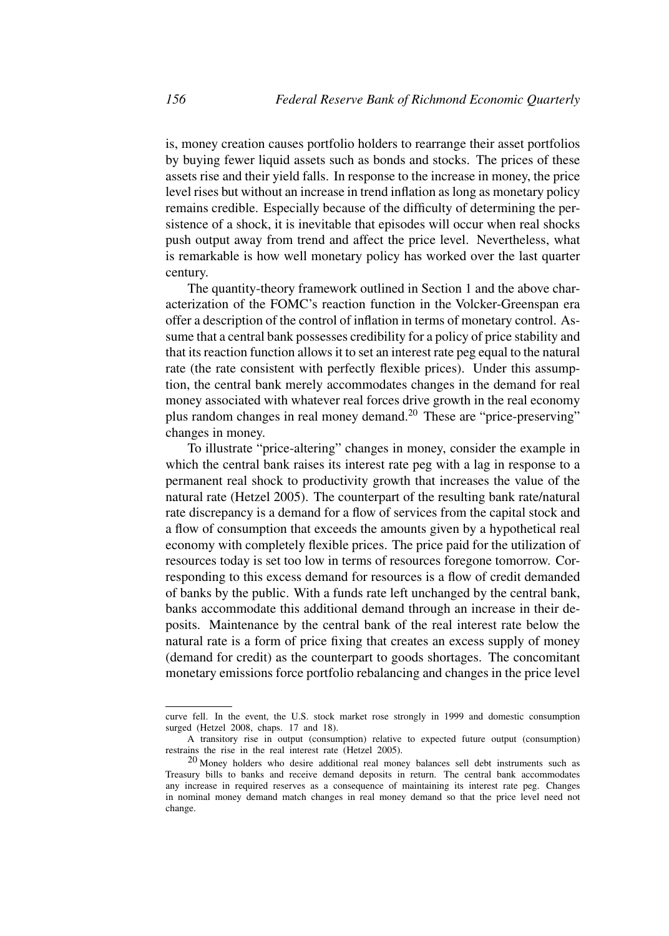is, money creation causes portfolio holders to rearrange their asset portfolios by buying fewer liquid assets such as bonds and stocks. The prices of these assets rise and their yield falls. In response to the increase in money, the price level rises but without an increase in trend inflation as long as monetary policy remains credible. Especially because of the difficulty of determining the persistence of a shock, it is inevitable that episodes will occur when real shocks push output away from trend and affect the price level. Nevertheless, what is remarkable is how well monetary policy has worked over the last quarter century.

The quantity-theory framework outlined in Section 1 and the above characterization of the FOMC's reaction function in the Volcker-Greenspan era offer a description of the control of inflation in terms of monetary control. Assume that a central bank possesses credibility for a policy of price stability and that its reaction function allows it to set an interest rate peg equal to the natural rate (the rate consistent with perfectly flexible prices). Under this assumption, the central bank merely accommodates changes in the demand for real money associated with whatever real forces drive growth in the real economy plus random changes in real money demand.<sup>20</sup> These are "price-preserving" changes in money.

To illustrate "price-altering" changes in money, consider the example in which the central bank raises its interest rate peg with a lag in response to a permanent real shock to productivity growth that increases the value of the natural rate (Hetzel 2005). The counterpart of the resulting bank rate/natural rate discrepancy is a demand for a flow of services from the capital stock and a flow of consumption that exceeds the amounts given by a hypothetical real economy with completely flexible prices. The price paid for the utilization of resources today is set too low in terms of resources foregone tomorrow. Corresponding to this excess demand for resources is a flow of credit demanded of banks by the public. With a funds rate left unchanged by the central bank, banks accommodate this additional demand through an increase in their deposits. Maintenance by the central bank of the real interest rate below the natural rate is a form of price fixing that creates an excess supply of money (demand for credit) as the counterpart to goods shortages. The concomitant monetary emissions force portfolio rebalancing and changes in the price level

curve fell. In the event, the U.S. stock market rose strongly in 1999 and domestic consumption surged (Hetzel 2008, chaps. 17 and 18).

A transitory rise in output (consumption) relative to expected future output (consumption) restrains the rise in the real interest rate (Hetzel 2005).

<sup>20</sup> Money holders who desire additional real money balances sell debt instruments such as Treasury bills to banks and receive demand deposits in return. The central bank accommodates any increase in required reserves as a consequence of maintaining its interest rate peg. Changes in nominal money demand match changes in real money demand so that the price level need not change.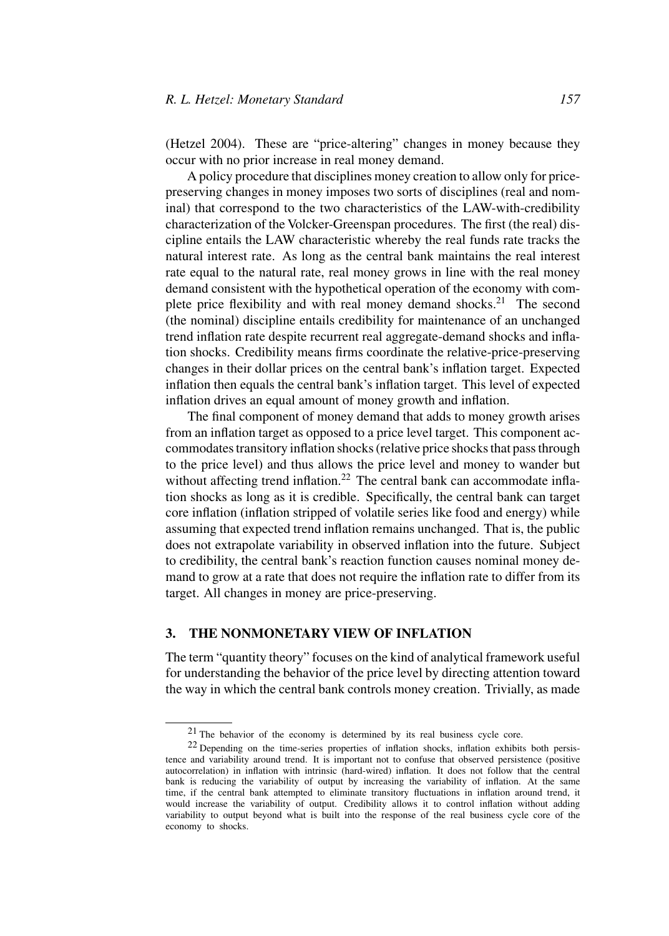## *R. L. Hetzel: Monetary Standard 157*

(Hetzel 2004). These are "price-altering" changes in money because they occur with no prior increase in real money demand.

A policy procedure that disciplines money creation to allow only for pricepreserving changes in money imposes two sorts of disciplines (real and nominal) that correspond to the two characteristics of the LAW-with-credibility characterization of the Volcker-Greenspan procedures. The first (the real) discipline entails the LAW characteristic whereby the real funds rate tracks the natural interest rate. As long as the central bank maintains the real interest rate equal to the natural rate, real money grows in line with the real money demand consistent with the hypothetical operation of the economy with complete price flexibility and with real money demand shocks.<sup>21</sup> The second (the nominal) discipline entails credibility for maintenance of an unchanged trend inflation rate despite recurrent real aggregate-demand shocks and inflation shocks. Credibility means firms coordinate the relative-price-preserving changes in their dollar prices on the central bank's inflation target. Expected inflation then equals the central bank's inflation target. This level of expected inflation drives an equal amount of money growth and inflation.

The final component of money demand that adds to money growth arises from an inflation target as opposed to a price level target. This component accommodates transitory inflation shocks (relative price shocks that pass through to the price level) and thus allows the price level and money to wander but without affecting trend inflation.<sup>22</sup> The central bank can accommodate inflation shocks as long as it is credible. Specifically, the central bank can target core inflation (inflation stripped of volatile series like food and energy) while assuming that expected trend inflation remains unchanged. That is, the public does not extrapolate variability in observed inflation into the future. Subject to credibility, the central bank's reaction function causes nominal money demand to grow at a rate that does not require the inflation rate to differ from its target. All changes in money are price-preserving.

## **3. THE NONMONETARY VIEW OF INFLATION**

The term "quantity theory" focuses on the kind of analytical framework useful for understanding the behavior of the price level by directing attention toward the way in which the central bank controls money creation. Trivially, as made

<sup>21</sup> The behavior of the economy is determined by its real business cycle core.

<sup>22</sup> Depending on the time-series properties of inflation shocks, inflation exhibits both persistence and variability around trend. It is important not to confuse that observed persistence (positive autocorrelation) in inflation with intrinsic (hard-wired) inflation. It does not follow that the central bank is reducing the variability of output by increasing the variability of inflation. At the same time, if the central bank attempted to eliminate transitory fluctuations in inflation around trend, it would increase the variability of output. Credibility allows it to control inflation without adding variability to output beyond what is built into the response of the real business cycle core of the economy to shocks.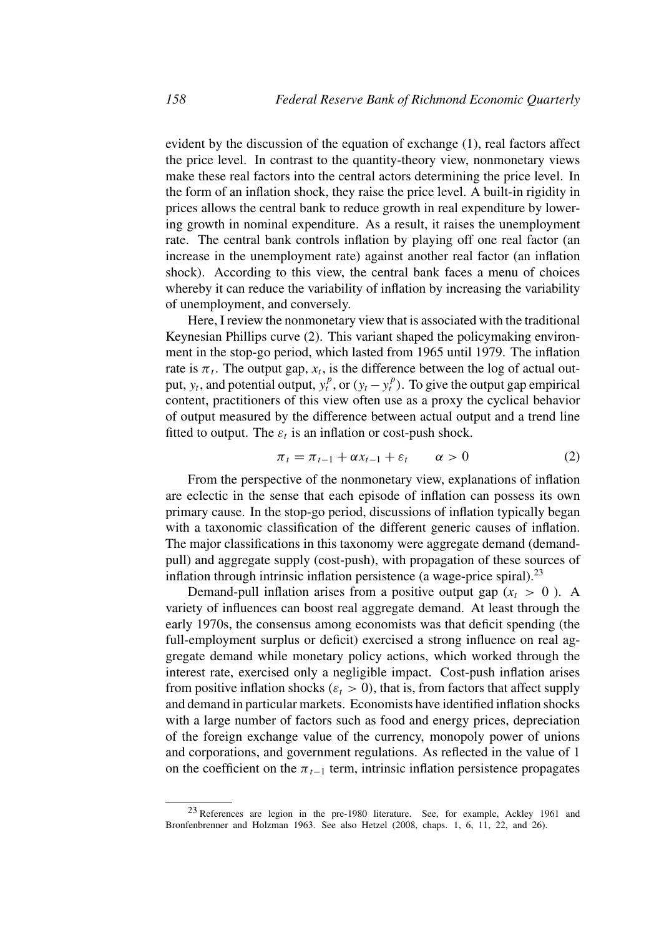evident by the discussion of the equation of exchange (1), real factors affect the price level. In contrast to the quantity-theory view, nonmonetary views make these real factors into the central actors determining the price level. In the form of an inflation shock, they raise the price level. A built-in rigidity in prices allows the central bank to reduce growth in real expenditure by lowering growth in nominal expenditure. As a result, it raises the unemployment rate. The central bank controls inflation by playing off one real factor (an increase in the unemployment rate) against another real factor (an inflation shock). According to this view, the central bank faces a menu of choices whereby it can reduce the variability of inflation by increasing the variability of unemployment, and conversely.

Here, I review the nonmonetary view that is associated with the traditional Keynesian Phillips curve (2). This variant shaped the policymaking environment in the stop-go period, which lasted from 1965 until 1979. The inflation rate is  $\pi_t$ . The output gap,  $x_t$ , is the difference between the log of actual output,  $y_t$ , and potential output,  $y_t^p$ , or  $(y_t - y_t^p)$ . To give the output gap empirical content, practitioners of this view often use as a proxy the cyclical behavior of output measured by the difference between actual output and a trend line fitted to output. The  $\varepsilon_t$  is an inflation or cost-push shock.

$$
\pi_t = \pi_{t-1} + \alpha x_{t-1} + \varepsilon_t \qquad \alpha > 0 \tag{2}
$$

From the perspective of the nonmonetary view, explanations of inflation are eclectic in the sense that each episode of inflation can possess its own primary cause. In the stop-go period, discussions of inflation typically began with a taxonomic classification of the different generic causes of inflation. The major classifications in this taxonomy were aggregate demand (demandpull) and aggregate supply (cost-push), with propagation of these sources of inflation through intrinsic inflation persistence (a wage-price spiral).<sup>23</sup>

Demand-pull inflation arises from a positive output gap  $(x_t > 0)$ . A variety of influences can boost real aggregate demand. At least through the early 1970s, the consensus among economists was that deficit spending (the full-employment surplus or deficit) exercised a strong influence on real aggregate demand while monetary policy actions, which worked through the interest rate, exercised only a negligible impact. Cost-push inflation arises from positive inflation shocks  $(\varepsilon_t > 0)$ , that is, from factors that affect supply and demand in particular markets. Economists have identified inflation shocks with a large number of factors such as food and energy prices, depreciation of the foreign exchange value of the currency, monopoly power of unions and corporations, and government regulations. As reflected in the value of 1 on the coefficient on the  $\pi_{t-1}$  term, intrinsic inflation persistence propagates

<sup>23</sup> References are legion in the pre-1980 literature. See, for example, Ackley 1961 and Bronfenbrenner and Holzman 1963. See also Hetzel (2008, chaps. 1, 6, 11, 22, and 26).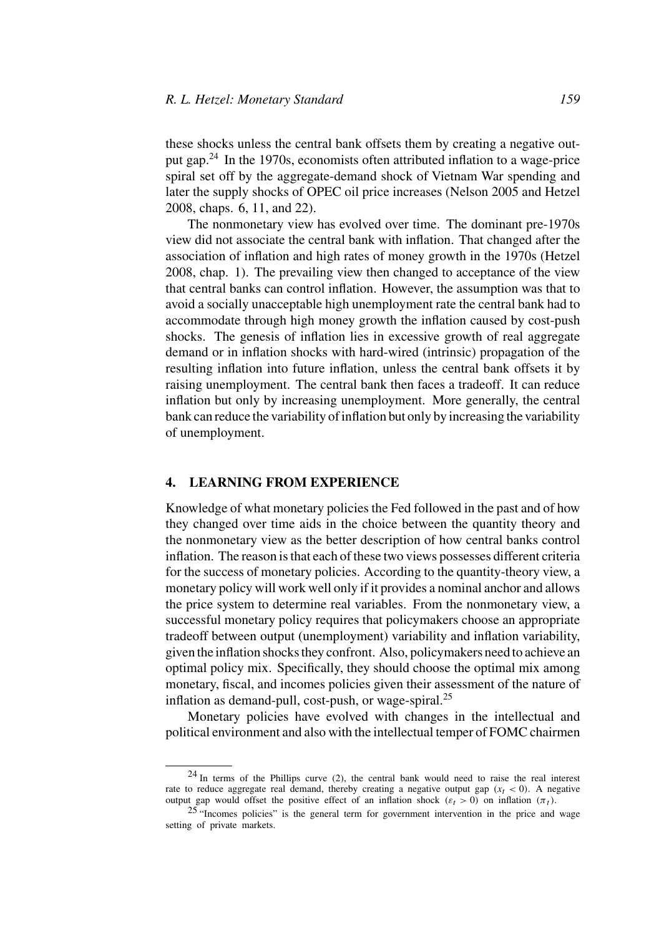these shocks unless the central bank offsets them by creating a negative output gap. $^{24}$  In the 1970s, economists often attributed inflation to a wage-price spiral set off by the aggregate-demand shock of Vietnam War spending and later the supply shocks of OPEC oil price increases (Nelson 2005 and Hetzel 2008, chaps. 6, 11, and 22).

The nonmonetary view has evolved over time. The dominant pre-1970s view did not associate the central bank with inflation. That changed after the association of inflation and high rates of money growth in the 1970s (Hetzel 2008, chap. 1). The prevailing view then changed to acceptance of the view that central banks can control inflation. However, the assumption was that to avoid a socially unacceptable high unemployment rate the central bank had to accommodate through high money growth the inflation caused by cost-push shocks. The genesis of inflation lies in excessive growth of real aggregate demand or in inflation shocks with hard-wired (intrinsic) propagation of the resulting inflation into future inflation, unless the central bank offsets it by raising unemployment. The central bank then faces a tradeoff. It can reduce inflation but only by increasing unemployment. More generally, the central bank can reduce the variability of inflation but only by increasing the variability of unemployment.

#### **4. LEARNING FROM EXPERIENCE**

Knowledge of what monetary policies the Fed followed in the past and of how they changed over time aids in the choice between the quantity theory and the nonmonetary view as the better description of how central banks control inflation. The reason is that each of these two views possesses different criteria for the success of monetary policies. According to the quantity-theory view, a monetary policy will work well only if it provides a nominal anchor and allows the price system to determine real variables. From the nonmonetary view, a successful monetary policy requires that policymakers choose an appropriate tradeoff between output (unemployment) variability and inflation variability, given the inflation shocks they confront. Also, policymakers need to achieve an optimal policy mix. Specifically, they should choose the optimal mix among monetary, fiscal, and incomes policies given their assessment of the nature of inflation as demand-pull, cost-push, or wage-spiral. $^{25}$ 

Monetary policies have evolved with changes in the intellectual and political environment and also with the intellectual temper of FOMC chairmen

 $24$  In terms of the Phillips curve (2), the central bank would need to raise the real interest rate to reduce aggregate real demand, thereby creating a negative output gap  $(x<sub>t</sub> < 0)$ . A negative output gap would offset the positive effect of an inflation shock  $(\varepsilon_t > 0)$  on inflation  $(\pi_t)$ .

<sup>25</sup> "Incomes policies" is the general term for government intervention in the price and wage setting of private markets.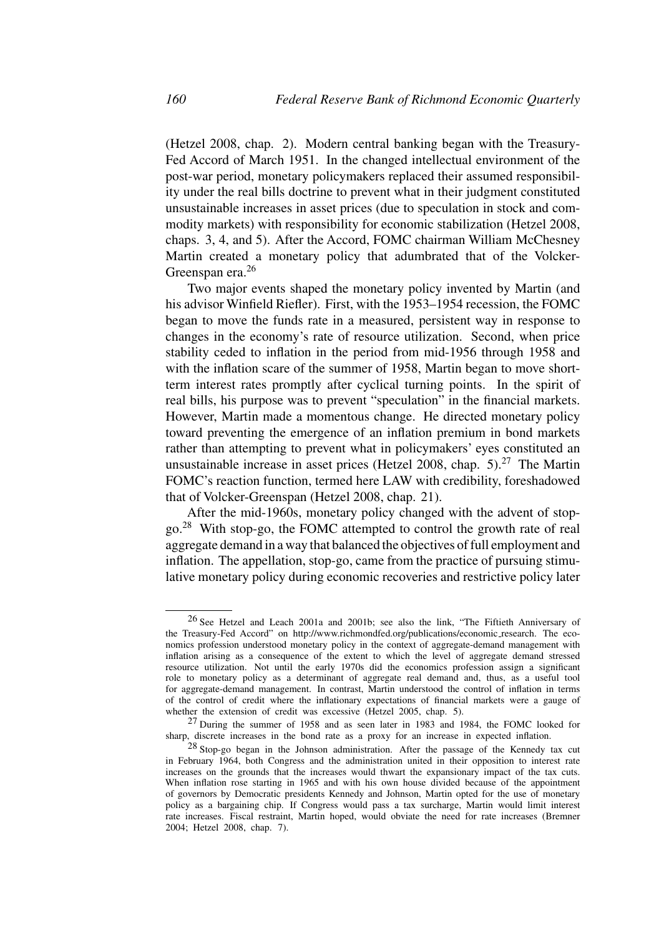(Hetzel 2008, chap. 2). Modern central banking began with the Treasury-Fed Accord of March 1951. In the changed intellectual environment of the post-war period, monetary policymakers replaced their assumed responsibility under the real bills doctrine to prevent what in their judgment constituted unsustainable increases in asset prices (due to speculation in stock and commodity markets) with responsibility for economic stabilization (Hetzel 2008, chaps. 3, 4, and 5). After the Accord, FOMC chairman William McChesney Martin created a monetary policy that adumbrated that of the Volcker-Greenspan era.<sup>26</sup>

Two major events shaped the monetary policy invented by Martin (and his advisor Winfield Riefler). First, with the 1953–1954 recession, the FOMC began to move the funds rate in a measured, persistent way in response to changes in the economy's rate of resource utilization. Second, when price stability ceded to inflation in the period from mid-1956 through 1958 and with the inflation scare of the summer of 1958, Martin began to move shortterm interest rates promptly after cyclical turning points. In the spirit of real bills, his purpose was to prevent "speculation" in the financial markets. However, Martin made a momentous change. He directed monetary policy toward preventing the emergence of an inflation premium in bond markets rather than attempting to prevent what in policymakers' eyes constituted an unsustainable increase in asset prices (Hetzel 2008, chap.  $5$ ).<sup>27</sup> The Martin FOMC's reaction function, termed here LAW with credibility, foreshadowed that of Volcker-Greenspan (Hetzel 2008, chap. 21).

After the mid-1960s, monetary policy changed with the advent of stopgo.<sup>28</sup> With stop-go, the FOMC attempted to control the growth rate of real aggregate demand in a way that balanced the objectives of full employment and inflation. The appellation, stop-go, came from the practice of pursuing stimulative monetary policy during economic recoveries and restrictive policy later

<sup>26</sup> See Hetzel and Leach 2001a and 2001b; see also the link, "The Fiftieth Anniversary of the Treasury-Fed Accord" on http://www.richmondfed.org/publications/economic research. The economics profession understood monetary policy in the context of aggregate-demand management with inflation arising as a consequence of the extent to which the level of aggregate demand stressed resource utilization. Not until the early 1970s did the economics profession assign a significant role to monetary policy as a determinant of aggregate real demand and, thus, as a useful tool for aggregate-demand management. In contrast, Martin understood the control of inflation in terms of the control of credit where the inflationary expectations of financial markets were a gauge of whether the extension of credit was excessive (Hetzel 2005, chap. 5).

<sup>27</sup> During the summer of 1958 and as seen later in 1983 and 1984, the FOMC looked for sharp, discrete increases in the bond rate as a proxy for an increase in expected inflation.

<sup>28</sup> Stop-go began in the Johnson administration. After the passage of the Kennedy tax cut in February 1964, both Congress and the administration united in their opposition to interest rate increases on the grounds that the increases would thwart the expansionary impact of the tax cuts. When inflation rose starting in 1965 and with his own house divided because of the appointment of governors by Democratic presidents Kennedy and Johnson, Martin opted for the use of monetary policy as a bargaining chip. If Congress would pass a tax surcharge, Martin would limit interest rate increases. Fiscal restraint, Martin hoped, would obviate the need for rate increases (Bremner 2004; Hetzel 2008, chap. 7).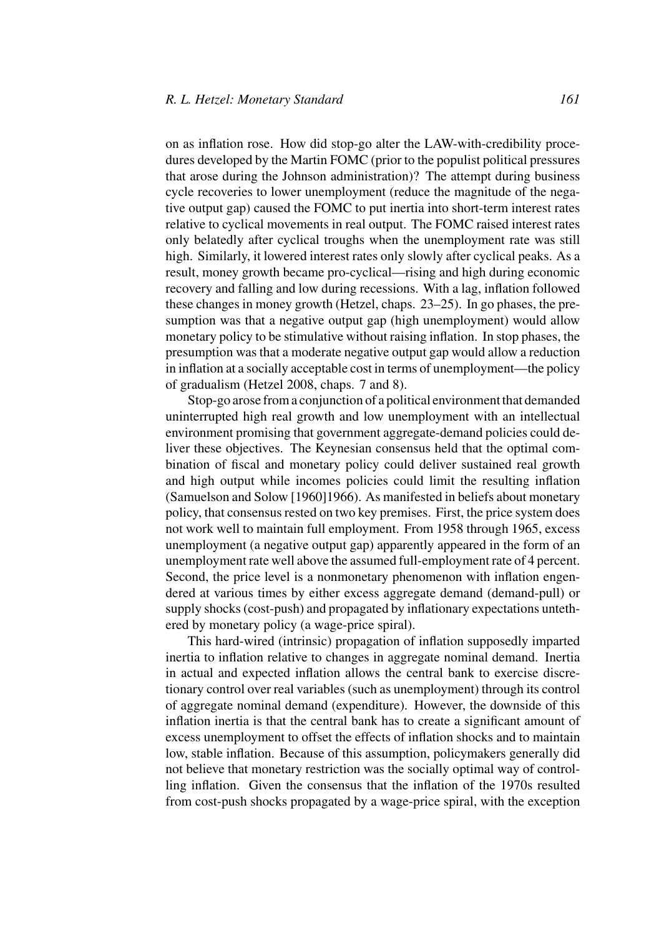on as inflation rose. How did stop-go alter the LAW-with-credibility procedures developed by the Martin FOMC (prior to the populist political pressures that arose during the Johnson administration)? The attempt during business cycle recoveries to lower unemployment (reduce the magnitude of the negative output gap) caused the FOMC to put inertia into short-term interest rates relative to cyclical movements in real output. The FOMC raised interest rates only belatedly after cyclical troughs when the unemployment rate was still high. Similarly, it lowered interest rates only slowly after cyclical peaks. As a result, money growth became pro-cyclical—rising and high during economic recovery and falling and low during recessions. With a lag, inflation followed these changes in money growth (Hetzel, chaps. 23–25). In go phases, the presumption was that a negative output gap (high unemployment) would allow monetary policy to be stimulative without raising inflation. In stop phases, the presumption was that a moderate negative output gap would allow a reduction in inflation at a socially acceptable cost in terms of unemployment—the policy of gradualism (Hetzel 2008, chaps. 7 and 8).

Stop-go arose from a conjunction of a political environment that demanded uninterrupted high real growth and low unemployment with an intellectual environment promising that government aggregate-demand policies could deliver these objectives. The Keynesian consensus held that the optimal combination of fiscal and monetary policy could deliver sustained real growth and high output while incomes policies could limit the resulting inflation (Samuelson and Solow [1960]1966). As manifested in beliefs about monetary policy, that consensus rested on two key premises. First, the price system does not work well to maintain full employment. From 1958 through 1965, excess unemployment (a negative output gap) apparently appeared in the form of an unemployment rate well above the assumed full-employment rate of 4 percent. Second, the price level is a nonmonetary phenomenon with inflation engendered at various times by either excess aggregate demand (demand-pull) or supply shocks (cost-push) and propagated by inflationary expectations untethered by monetary policy (a wage-price spiral).

This hard-wired (intrinsic) propagation of inflation supposedly imparted inertia to inflation relative to changes in aggregate nominal demand. Inertia in actual and expected inflation allows the central bank to exercise discretionary control over real variables (such as unemployment) through its control of aggregate nominal demand (expenditure). However, the downside of this inflation inertia is that the central bank has to create a significant amount of excess unemployment to offset the effects of inflation shocks and to maintain low, stable inflation. Because of this assumption, policymakers generally did not believe that monetary restriction was the socially optimal way of controlling inflation. Given the consensus that the inflation of the 1970s resulted from cost-push shocks propagated by a wage-price spiral, with the exception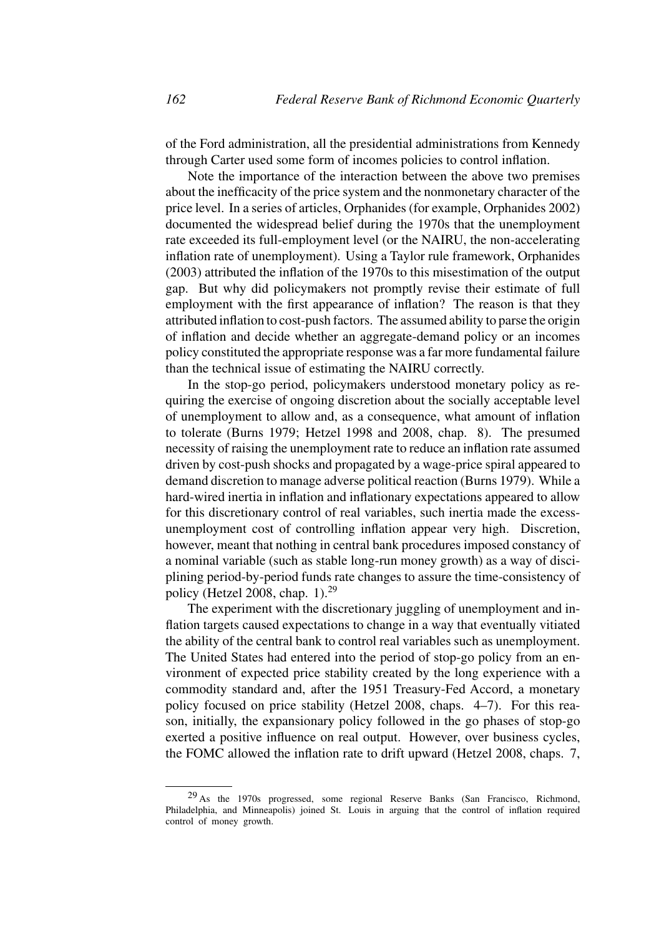of the Ford administration, all the presidential administrations from Kennedy through Carter used some form of incomes policies to control inflation.

Note the importance of the interaction between the above two premises about the inefficacity of the price system and the nonmonetary character of the price level. In a series of articles, Orphanides (for example, Orphanides 2002) documented the widespread belief during the 1970s that the unemployment rate exceeded its full-employment level (or the NAIRU, the non-accelerating inflation rate of unemployment). Using a Taylor rule framework, Orphanides (2003) attributed the inflation of the 1970s to this misestimation of the output gap. But why did policymakers not promptly revise their estimate of full employment with the first appearance of inflation? The reason is that they attributed inflation to cost-push factors. The assumed ability to parse the origin of inflation and decide whether an aggregate-demand policy or an incomes policy constituted the appropriate response was a far more fundamental failure than the technical issue of estimating the NAIRU correctly.

In the stop-go period, policymakers understood monetary policy as requiring the exercise of ongoing discretion about the socially acceptable level of unemployment to allow and, as a consequence, what amount of inflation to tolerate (Burns 1979; Hetzel 1998 and 2008, chap. 8). The presumed necessity of raising the unemployment rate to reduce an inflation rate assumed driven by cost-push shocks and propagated by a wage-price spiral appeared to demand discretion to manage adverse political reaction (Burns 1979). While a hard-wired inertia in inflation and inflationary expectations appeared to allow for this discretionary control of real variables, such inertia made the excessunemployment cost of controlling inflation appear very high. Discretion, however, meant that nothing in central bank procedures imposed constancy of a nominal variable (such as stable long-run money growth) as a way of disciplining period-by-period funds rate changes to assure the time-consistency of policy (Hetzel 2008, chap. 1).<sup>29</sup>

The experiment with the discretionary juggling of unemployment and inflation targets caused expectations to change in a way that eventually vitiated the ability of the central bank to control real variables such as unemployment. The United States had entered into the period of stop-go policy from an environment of expected price stability created by the long experience with a commodity standard and, after the 1951 Treasury-Fed Accord, a monetary policy focused on price stability (Hetzel 2008, chaps. 4–7). For this reason, initially, the expansionary policy followed in the go phases of stop-go exerted a positive influence on real output. However, over business cycles, the FOMC allowed the inflation rate to drift upward (Hetzel 2008, chaps. 7,

<sup>29</sup> As the 1970s progressed, some regional Reserve Banks (San Francisco, Richmond, Philadelphia, and Minneapolis) joined St. Louis in arguing that the control of inflation required control of money growth.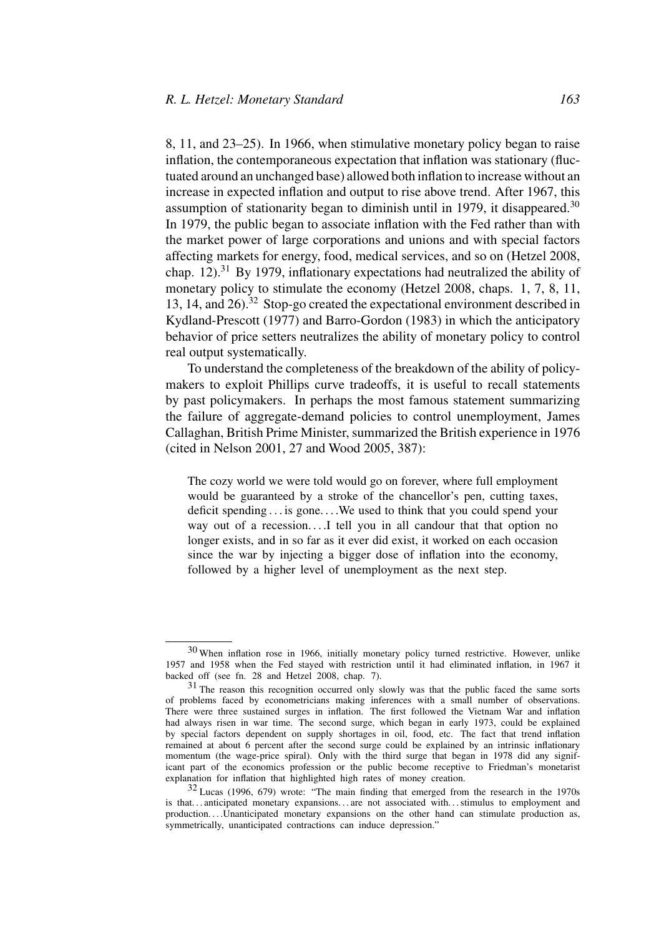8, 11, and 23–25). In 1966, when stimulative monetary policy began to raise inflation, the contemporaneous expectation that inflation was stationary (fluctuated around an unchanged base) allowed both inflation to increase without an increase in expected inflation and output to rise above trend. After 1967, this assumption of stationarity began to diminish until in 1979, it disappeared.<sup>30</sup> In 1979, the public began to associate inflation with the Fed rather than with the market power of large corporations and unions and with special factors affecting markets for energy, food, medical services, and so on (Hetzel 2008, chap.  $12$ ).<sup>31</sup> By 1979, inflationary expectations had neutralized the ability of monetary policy to stimulate the economy (Hetzel 2008, chaps. 1, 7, 8, 11, 13, 14, and  $26$ ).<sup>32</sup> Stop-go created the expectational environment described in Kydland-Prescott (1977) and Barro-Gordon (1983) in which the anticipatory behavior of price setters neutralizes the ability of monetary policy to control real output systematically.

To understand the completeness of the breakdown of the ability of policymakers to exploit Phillips curve tradeoffs, it is useful to recall statements by past policymakers. In perhaps the most famous statement summarizing the failure of aggregate-demand policies to control unemployment, James Callaghan, British Prime Minister, summarized the British experience in 1976 (cited in Nelson 2001, 27 and Wood 2005, 387):

The cozy world we were told would go on forever, where full employment would be guaranteed by a stroke of the chancellor's pen, cutting taxes, deficit spending . . . is gone. . . .We used to think that you could spend your way out of a recession....I tell you in all candour that that option no longer exists, and in so far as it ever did exist, it worked on each occasion since the war by injecting a bigger dose of inflation into the economy, followed by a higher level of unemployment as the next step.

 $30$  When inflation rose in 1966, initially monetary policy turned restrictive. However, unlike 1957 and 1958 when the Fed stayed with restriction until it had eliminated inflation, in 1967 it backed off (see fn. 28 and Hetzel 2008, chap. 7).

<sup>&</sup>lt;sup>31</sup> The reason this recognition occurred only slowly was that the public faced the same sorts of problems faced by econometricians making inferences with a small number of observations. There were three sustained surges in inflation. The first followed the Vietnam War and inflation had always risen in war time. The second surge, which began in early 1973, could be explained by special factors dependent on supply shortages in oil, food, etc. The fact that trend inflation remained at about 6 percent after the second surge could be explained by an intrinsic inflationary momentum (the wage-price spiral). Only with the third surge that began in 1978 did any significant part of the economics profession or the public become receptive to Friedman's monetarist explanation for inflation that highlighted high rates of money creation.

<sup>32</sup> Lucas (1996, 679) wrote: "The main finding that emerged from the research in the 1970s is that... anticipated monetary expansions... are not associated with... stimulus to employment and production....Unanticipated monetary expansions on the other hand can stimulate production as, symmetrically, unanticipated contractions can induce depression."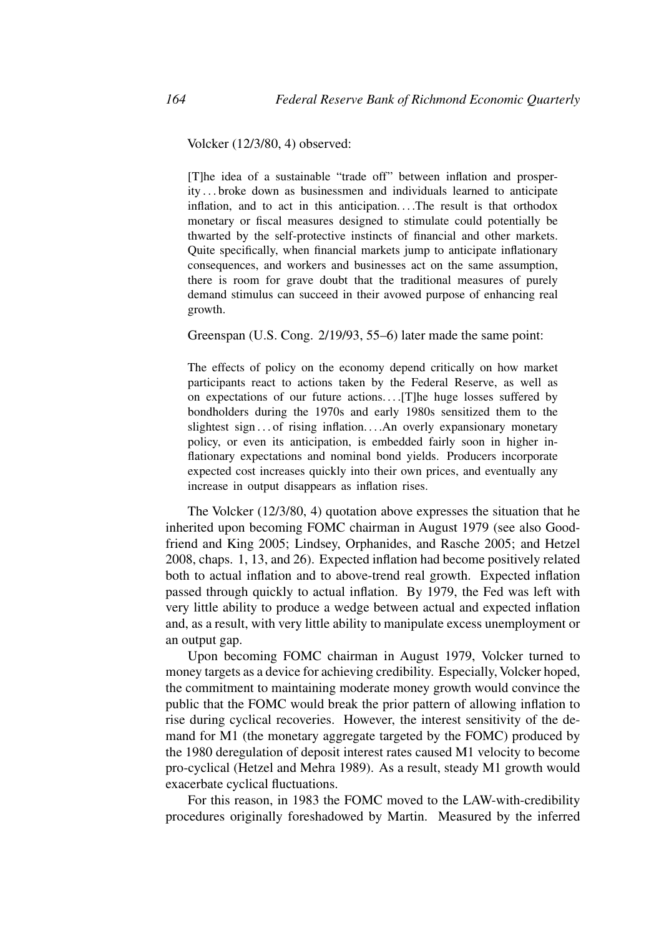Volcker (12/3/80, 4) observed:

[T]he idea of a sustainable "trade off" between inflation and prosperity . . . broke down as businessmen and individuals learned to anticipate inflation, and to act in this anticipation. . . .The result is that orthodox monetary or fiscal measures designed to stimulate could potentially be thwarted by the self-protective instincts of financial and other markets. Quite specifically, when financial markets jump to anticipate inflationary consequences, and workers and businesses act on the same assumption, there is room for grave doubt that the traditional measures of purely demand stimulus can succeed in their avowed purpose of enhancing real growth.

Greenspan (U.S. Cong. 2/19/93, 55–6) later made the same point:

The effects of policy on the economy depend critically on how market participants react to actions taken by the Federal Reserve, as well as on expectations of our future actions. . . .[T]he huge losses suffered by bondholders during the 1970s and early 1980s sensitized them to the slightest sign ... of rising inflation....An overly expansionary monetary policy, or even its anticipation, is embedded fairly soon in higher inflationary expectations and nominal bond yields. Producers incorporate expected cost increases quickly into their own prices, and eventually any increase in output disappears as inflation rises.

The Volcker (12/3/80, 4) quotation above expresses the situation that he inherited upon becoming FOMC chairman in August 1979 (see also Goodfriend and King 2005; Lindsey, Orphanides, and Rasche 2005; and Hetzel 2008, chaps. 1, 13, and 26). Expected inflation had become positively related both to actual inflation and to above-trend real growth. Expected inflation passed through quickly to actual inflation. By 1979, the Fed was left with very little ability to produce a wedge between actual and expected inflation and, as a result, with very little ability to manipulate excess unemployment or an output gap.

Upon becoming FOMC chairman in August 1979, Volcker turned to money targets as a device for achieving credibility. Especially, Volcker hoped, the commitment to maintaining moderate money growth would convince the public that the FOMC would break the prior pattern of allowing inflation to rise during cyclical recoveries. However, the interest sensitivity of the demand for M1 (the monetary aggregate targeted by the FOMC) produced by the 1980 deregulation of deposit interest rates caused M1 velocity to become pro-cyclical (Hetzel and Mehra 1989). As a result, steady M1 growth would exacerbate cyclical fluctuations.

For this reason, in 1983 the FOMC moved to the LAW-with-credibility procedures originally foreshadowed by Martin. Measured by the inferred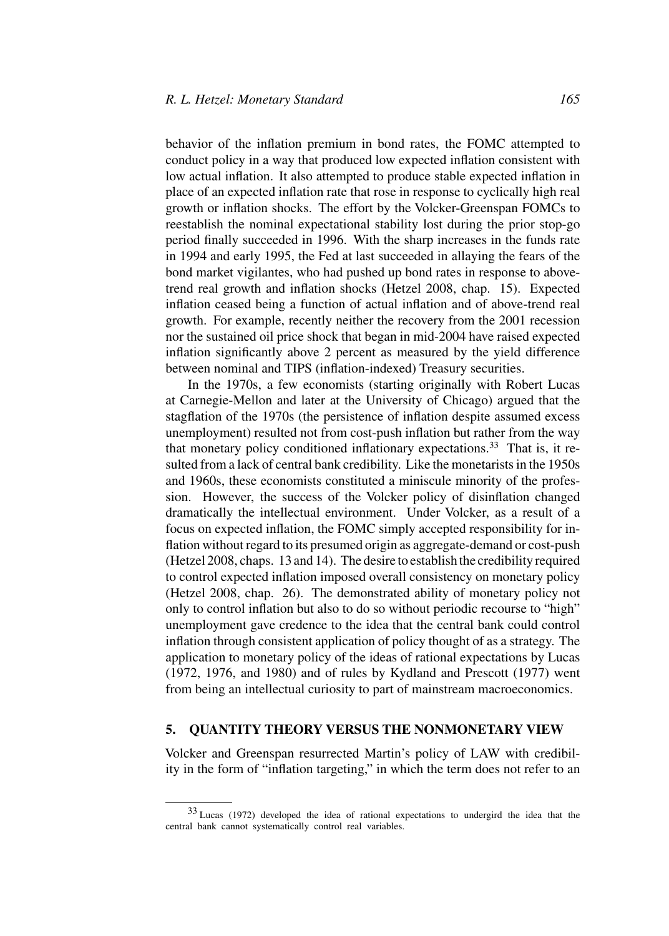behavior of the inflation premium in bond rates, the FOMC attempted to conduct policy in a way that produced low expected inflation consistent with low actual inflation. It also attempted to produce stable expected inflation in place of an expected inflation rate that rose in response to cyclically high real growth or inflation shocks. The effort by the Volcker-Greenspan FOMCs to reestablish the nominal expectational stability lost during the prior stop-go period finally succeeded in 1996. With the sharp increases in the funds rate in 1994 and early 1995, the Fed at last succeeded in allaying the fears of the bond market vigilantes, who had pushed up bond rates in response to abovetrend real growth and inflation shocks (Hetzel 2008, chap. 15). Expected inflation ceased being a function of actual inflation and of above-trend real growth. For example, recently neither the recovery from the 2001 recession nor the sustained oil price shock that began in mid-2004 have raised expected inflation significantly above 2 percent as measured by the yield difference between nominal and TIPS (inflation-indexed) Treasury securities.

In the 1970s, a few economists (starting originally with Robert Lucas at Carnegie-Mellon and later at the University of Chicago) argued that the stagflation of the 1970s (the persistence of inflation despite assumed excess unemployment) resulted not from cost-push inflation but rather from the way that monetary policy conditioned inflationary expectations.<sup>33</sup> That is, it resulted from a lack of central bank credibility. Like the monetarists in the 1950s and 1960s, these economists constituted a miniscule minority of the profession. However, the success of the Volcker policy of disinflation changed dramatically the intellectual environment. Under Volcker, as a result of a focus on expected inflation, the FOMC simply accepted responsibility for inflation without regard to its presumed origin as aggregate-demand or cost-push (Hetzel 2008, chaps. 13 and 14). The desire to establish the credibility required to control expected inflation imposed overall consistency on monetary policy (Hetzel 2008, chap. 26). The demonstrated ability of monetary policy not only to control inflation but also to do so without periodic recourse to "high" unemployment gave credence to the idea that the central bank could control inflation through consistent application of policy thought of as a strategy. The application to monetary policy of the ideas of rational expectations by Lucas (1972, 1976, and 1980) and of rules by Kydland and Prescott (1977) went from being an intellectual curiosity to part of mainstream macroeconomics.

## **5. QUANTITY THEORY VERSUS THE NONMONETARY VIEW**

Volcker and Greenspan resurrected Martin's policy of LAW with credibility in the form of "inflation targeting," in which the term does not refer to an

<sup>33</sup> Lucas (1972) developed the idea of rational expectations to undergird the idea that the central bank cannot systematically control real variables.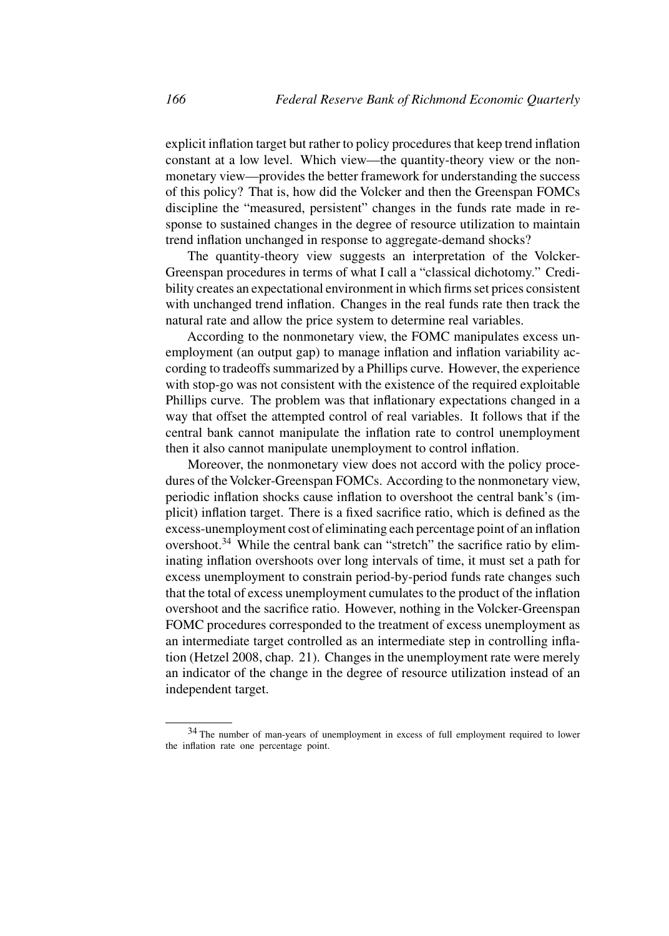explicit inflation target but rather to policy procedures that keep trend inflation constant at a low level. Which view—the quantity-theory view or the nonmonetary view—provides the better framework for understanding the success of this policy? That is, how did the Volcker and then the Greenspan FOMCs discipline the "measured, persistent" changes in the funds rate made in response to sustained changes in the degree of resource utilization to maintain trend inflation unchanged in response to aggregate-demand shocks?

The quantity-theory view suggests an interpretation of the Volcker-Greenspan procedures in terms of what I call a "classical dichotomy." Credibility creates an expectational environment in which firms set prices consistent with unchanged trend inflation. Changes in the real funds rate then track the natural rate and allow the price system to determine real variables.

According to the nonmonetary view, the FOMC manipulates excess unemployment (an output gap) to manage inflation and inflation variability according to tradeoffs summarized by a Phillips curve. However, the experience with stop-go was not consistent with the existence of the required exploitable Phillips curve. The problem was that inflationary expectations changed in a way that offset the attempted control of real variables. It follows that if the central bank cannot manipulate the inflation rate to control unemployment then it also cannot manipulate unemployment to control inflation.

Moreover, the nonmonetary view does not accord with the policy procedures of the Volcker-Greenspan FOMCs. According to the nonmonetary view, periodic inflation shocks cause inflation to overshoot the central bank's (implicit) inflation target. There is a fixed sacrifice ratio, which is defined as the excess-unemployment cost of eliminating each percentage point of an inflation overshoot.<sup>34</sup> While the central bank can "stretch" the sacrifice ratio by eliminating inflation overshoots over long intervals of time, it must set a path for excess unemployment to constrain period-by-period funds rate changes such that the total of excess unemployment cumulates to the product of the inflation overshoot and the sacrifice ratio. However, nothing in the Volcker-Greenspan FOMC procedures corresponded to the treatment of excess unemployment as an intermediate target controlled as an intermediate step in controlling inflation (Hetzel 2008, chap. 21). Changes in the unemployment rate were merely an indicator of the change in the degree of resource utilization instead of an independent target.

<sup>34</sup> The number of man-years of unemployment in excess of full employment required to lower the inflation rate one percentage point.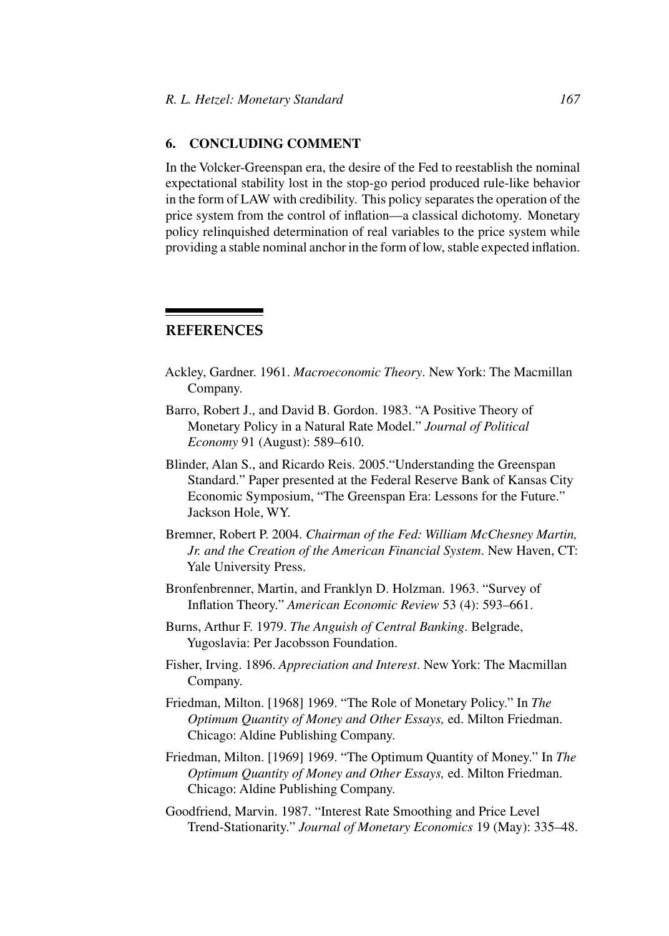## **6. CONCLUDING COMMENT**

In the Volcker-Greenspan era, the desire of the Fed to reestablish the nominal expectational stability lost in the stop-go period produced rule-like behavior in the form of LAW with credibility. This policy separates the operation of the price system from the control of inflation—a classical dichotomy. Monetary policy relinquished determination of real variables to the price system while providing a stable nominal anchor in the form of low, stable expected inflation.

# **REFERENCES**

- Ackley, Gardner. 1961. *Macroeconomic Theory*. New York: The Macmillan Company.
- Barro, Robert J., and David B. Gordon. 1983. "A Positive Theory of Monetary Policy in a Natural Rate Model." *Journal of Political Economy* 91 (August): 589–610.
- Blinder, Alan S., and Ricardo Reis. 2005."Understanding the Greenspan Standard." Paper presented at the Federal Reserve Bank of Kansas City Economic Symposium, "The Greenspan Era: Lessons for the Future." Jackson Hole, WY.
- Bremner, Robert P. 2004. *Chairman of the Fed: William McChesney Martin, Jr. and the Creation of the American Financial System*. New Haven, CT: Yale University Press.
- Bronfenbrenner, Martin, and Franklyn D. Holzman. 1963. "Survey of Inflation Theory." *American Economic Review* 53 (4): 593–661.
- Burns, Arthur F. 1979. *The Anguish of Central Banking*. Belgrade, Yugoslavia: Per Jacobsson Foundation.
- Fisher, Irving. 1896. *Appreciation and Interest*. New York: The Macmillan Company.
- Friedman, Milton. [1968] 1969. "The Role of Monetary Policy." In *The Optimum Quantity of Money and Other Essays,* ed. Milton Friedman. Chicago: Aldine Publishing Company.
- Friedman, Milton. [1969] 1969. "The Optimum Quantity of Money." In *The Optimum Quantity of Money and Other Essays,* ed. Milton Friedman. Chicago: Aldine Publishing Company.
- Goodfriend, Marvin. 1987. "Interest Rate Smoothing and Price Level Trend-Stationarity." *Journal of Monetary Economics* 19 (May): 335–48.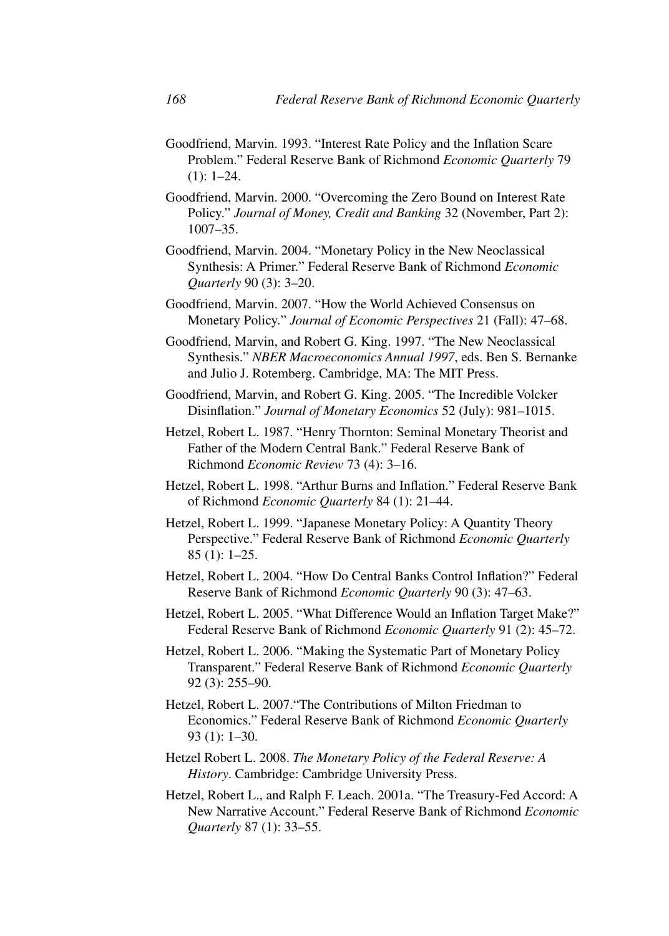- Goodfriend, Marvin. 1993. "Interest Rate Policy and the Inflation Scare Problem." Federal Reserve Bank of Richmond *Economic Quarterly* 79  $(1): 1-24.$
- Goodfriend, Marvin. 2000. "Overcoming the Zero Bound on Interest Rate Policy." *Journal of Money, Credit and Banking* 32 (November, Part 2): 1007–35.
- Goodfriend, Marvin. 2004. "Monetary Policy in the New Neoclassical Synthesis: A Primer." Federal Reserve Bank of Richmond *Economic Quarterly* 90 (3): 3–20.
- Goodfriend, Marvin. 2007. "How the World Achieved Consensus on Monetary Policy." *Journal of Economic Perspectives* 21 (Fall): 47–68.
- Goodfriend, Marvin, and Robert G. King. 1997. "The New Neoclassical Synthesis." *NBER Macroeconomics Annual 1997*, eds. Ben S. Bernanke and Julio J. Rotemberg. Cambridge, MA: The MIT Press.
- Goodfriend, Marvin, and Robert G. King. 2005. "The Incredible Volcker Disinflation." *Journal of Monetary Economics* 52 (July): 981–1015.
- Hetzel, Robert L. 1987. "Henry Thornton: Seminal Monetary Theorist and Father of the Modern Central Bank." Federal Reserve Bank of Richmond *Economic Review* 73 (4): 3–16.
- Hetzel, Robert L. 1998. "Arthur Burns and Inflation." Federal Reserve Bank of Richmond *Economic Quarterly* 84 (1): 21–44.
- Hetzel, Robert L. 1999. "Japanese Monetary Policy: A Quantity Theory Perspective." Federal Reserve Bank of Richmond *Economic Quarterly* 85 (1): 1–25.
- Hetzel, Robert L. 2004. "How Do Central Banks Control Inflation?" Federal Reserve Bank of Richmond *Economic Quarterly* 90 (3): 47–63.
- Hetzel, Robert L. 2005. "What Difference Would an Inflation Target Make?" Federal Reserve Bank of Richmond *Economic Quarterly* 91 (2): 45–72.
- Hetzel, Robert L. 2006. "Making the Systematic Part of Monetary Policy Transparent." Federal Reserve Bank of Richmond *Economic Quarterly* 92 (3): 255–90.
- Hetzel, Robert L. 2007."The Contributions of Milton Friedman to Economics." Federal Reserve Bank of Richmond *Economic Quarterly* 93 (1): 1–30.
- Hetzel Robert L. 2008. *The Monetary Policy of the Federal Reserve: A History*. Cambridge: Cambridge University Press.
- Hetzel, Robert L., and Ralph F. Leach. 2001a. "The Treasury-Fed Accord: A New Narrative Account." Federal Reserve Bank of Richmond *Economic Quarterly* 87 (1): 33–55.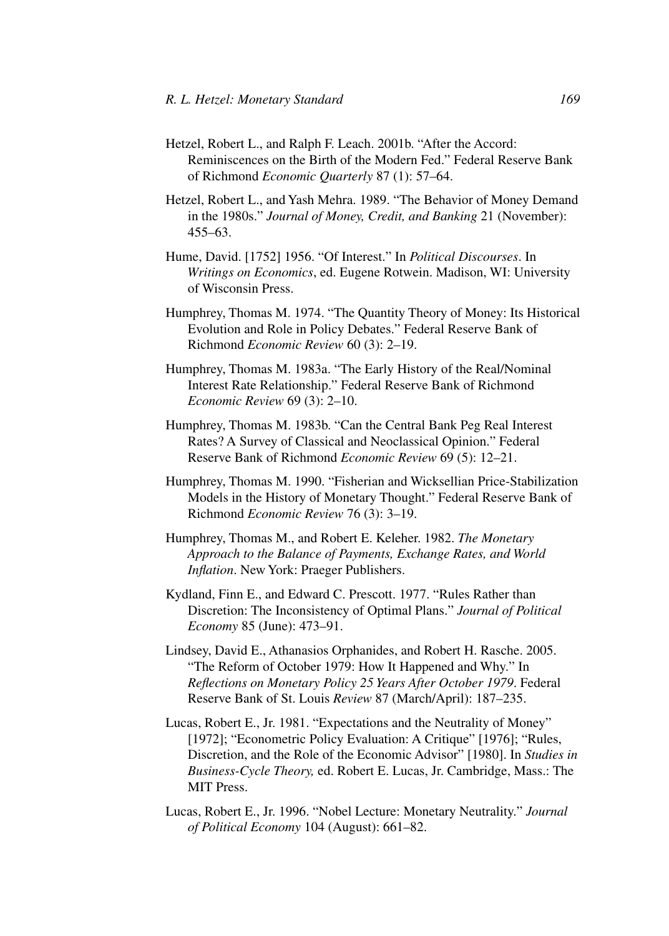- Hetzel, Robert L., and Ralph F. Leach. 2001b. "After the Accord: Reminiscences on the Birth of the Modern Fed." Federal Reserve Bank of Richmond *Economic Quarterly* 87 (1): 57–64.
- Hetzel, Robert L., and Yash Mehra. 1989. "The Behavior of Money Demand in the 1980s." *Journal of Money, Credit, and Banking* 21 (November): 455–63.
- Hume, David. [1752] 1956. "Of Interest." In *Political Discourses*. In *Writings on Economics*, ed. Eugene Rotwein. Madison, WI: University of Wisconsin Press.
- Humphrey, Thomas M. 1974. "The Quantity Theory of Money: Its Historical Evolution and Role in Policy Debates." Federal Reserve Bank of Richmond *Economic Review* 60 (3): 2–19.
- Humphrey, Thomas M. 1983a. "The Early History of the Real/Nominal Interest Rate Relationship." Federal Reserve Bank of Richmond *Economic Review* 69 (3): 2–10.
- Humphrey, Thomas M. 1983b. "Can the Central Bank Peg Real Interest Rates? A Survey of Classical and Neoclassical Opinion." Federal Reserve Bank of Richmond *Economic Review* 69 (5): 12–21.
- Humphrey, Thomas M. 1990. "Fisherian and Wicksellian Price-Stabilization Models in the History of Monetary Thought." Federal Reserve Bank of Richmond *Economic Review* 76 (3): 3–19.
- Humphrey, Thomas M., and Robert E. Keleher. 1982. *The Monetary Approach to the Balance of Payments, Exchange Rates, and World Inflation*. New York: Praeger Publishers.
- Kydland, Finn E., and Edward C. Prescott. 1977. "Rules Rather than Discretion: The Inconsistency of Optimal Plans." *Journal of Political Economy* 85 (June): 473–91.
- Lindsey, David E., Athanasios Orphanides, and Robert H. Rasche. 2005. "The Reform of October 1979: How It Happened and Why." In *Reflections on Monetary Policy 25 Years After October 1979*. Federal Reserve Bank of St. Louis *Review* 87 (March/April): 187–235.
- Lucas, Robert E., Jr. 1981. "Expectations and the Neutrality of Money" [1972]; "Econometric Policy Evaluation: A Critique" [1976]; "Rules, Discretion, and the Role of the Economic Advisor" [1980]. In *Studies in Business-Cycle Theory,* ed. Robert E. Lucas, Jr. Cambridge, Mass.: The MIT Press.
- Lucas, Robert E., Jr. 1996. "Nobel Lecture: Monetary Neutrality." *Journal of Political Economy* 104 (August): 661–82.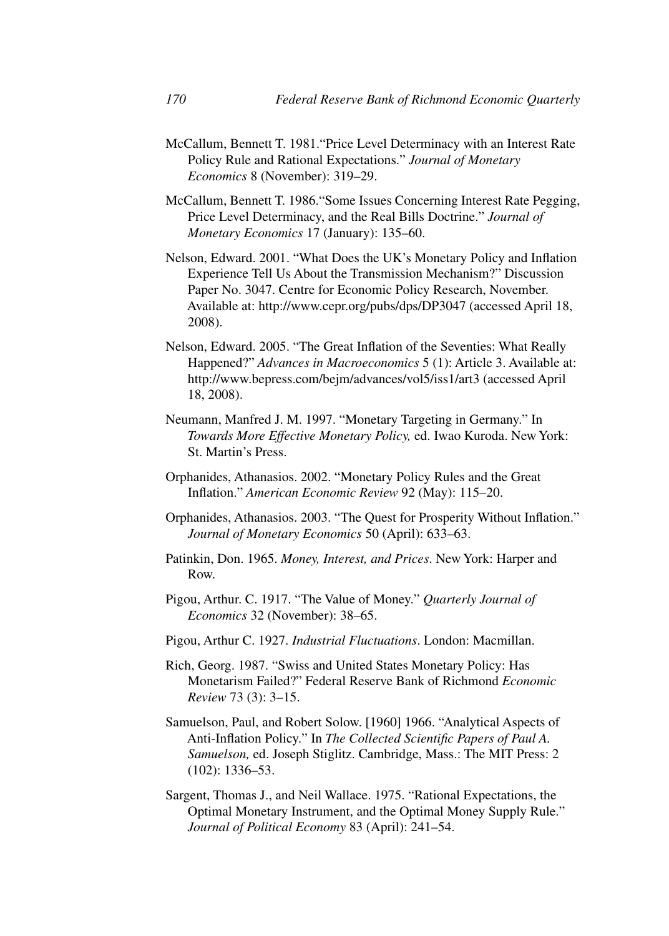- McCallum, Bennett T. 1981."Price Level Determinacy with an Interest Rate Policy Rule and Rational Expectations." *Journal of Monetary Economics* 8 (November): 319–29.
- McCallum, Bennett T. 1986."Some Issues Concerning Interest Rate Pegging, Price Level Determinacy, and the Real Bills Doctrine." *Journal of Monetary Economics* 17 (January): 135–60.
- Nelson, Edward. 2001. "What Does the UK's Monetary Policy and Inflation Experience Tell Us About the Transmission Mechanism?" Discussion Paper No. 3047. Centre for Economic Policy Research, November. Available at: http://www.cepr.org/pubs/dps/DP3047 (accessed April 18, 2008).
- Nelson, Edward. 2005. "The Great Inflation of the Seventies: What Really Happened?" *Advances in Macroeconomics* 5 (1): Article 3. Available at: http://www.bepress.com/bejm/advances/vol5/iss1/art3 (accessed April 18, 2008).
- Neumann, Manfred J. M. 1997. "Monetary Targeting in Germany." In *Towards More Effective Monetary Policy,* ed. Iwao Kuroda. New York: St. Martin's Press.
- Orphanides, Athanasios. 2002. "Monetary Policy Rules and the Great Inflation." *American Economic Review* 92 (May): 115–20.
- Orphanides, Athanasios. 2003. "The Quest for Prosperity Without Inflation." *Journal of Monetary Economics* 50 (April): 633–63.
- Patinkin, Don. 1965. *Money, Interest, and Prices*. New York: Harper and Row.
- Pigou, Arthur. C. 1917. "The Value of Money." *Quarterly Journal of Economics* 32 (November): 38–65.
- Pigou, Arthur C. 1927. *Industrial Fluctuations*. London: Macmillan.
- Rich, Georg. 1987. "Swiss and United States Monetary Policy: Has Monetarism Failed?" Federal Reserve Bank of Richmond *Economic Review* 73 (3): 3–15.
- Samuelson, Paul, and Robert Solow. [1960] 1966. "Analytical Aspects of Anti-Inflation Policy." In *The Collected Scientific Papers of Paul A. Samuelson,* ed. Joseph Stiglitz. Cambridge, Mass.: The MIT Press: 2 (102): 1336–53.
- Sargent, Thomas J., and Neil Wallace. 1975. "Rational Expectations, the Optimal Monetary Instrument, and the Optimal Money Supply Rule." *Journal of Political Economy* 83 (April): 241–54.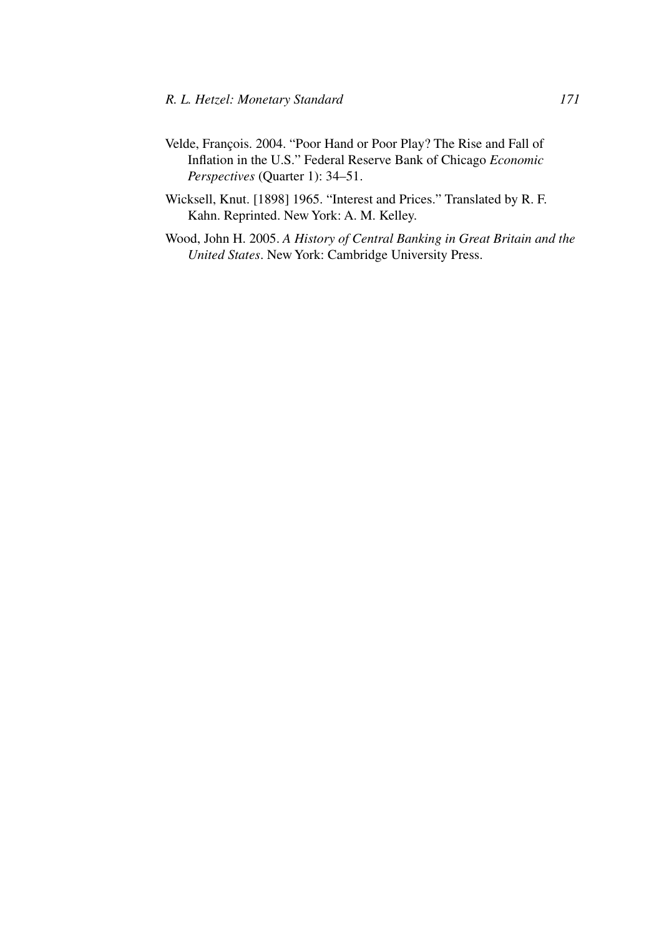- Velde, François. 2004. "Poor Hand or Poor Play? The Rise and Fall of Inflation in the U.S." Federal Reserve Bank of Chicago *Economic Perspectives* (Quarter 1): 34–51.
- Wicksell, Knut. [1898] 1965. "Interest and Prices." Translated by R. F. Kahn. Reprinted. New York: A. M. Kelley.
- Wood, John H. 2005. *A History of Central Banking in Great Britain and the United States*. New York: Cambridge University Press.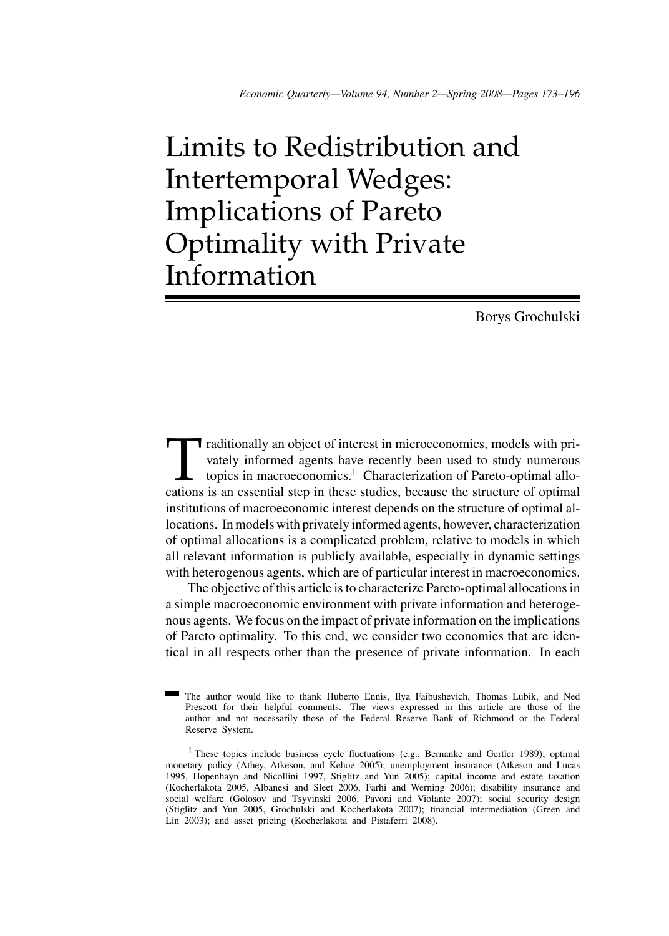# Limits to Redistribution and Intertemporal Wedges: Implications of Pareto Optimality with Private Information

Borys Grochulski

raditionally an object of interest in microeconomics, models with privately informed agents have recently been used to study numerous topics in macroeconomics.<sup>1</sup> Characterization of Pareto-optimal allocations is an essent vately informed agents have recently been used to study numerous topics in macroeconomics.<sup>1</sup> Characterization of Pareto-optimal allocations is an essential step in these studies, because the structure of optimal institutions of macroeconomic interest depends on the structure of optimal allocations. In models with privately informed agents, however, characterization of optimal allocations is a complicated problem, relative to models in which all relevant information is publicly available, especially in dynamic settings with heterogenous agents, which are of particular interest in macroeconomics.

The objective of this article is to characterize Pareto-optimal allocations in a simple macroeconomic environment with private information and heterogenous agents. We focus on the impact of private information on the implications of Pareto optimality. To this end, we consider two economies that are identical in all respects other than the presence of private information. In each

The author would like to thank Huberto Ennis, Ilya Faibushevich, Thomas Lubik, and Ned Prescott for their helpful comments. The views expressed in this article are those of the author and not necessarily those of the Federal Reserve Bank of Richmond or the Federal Reserve System.

<sup>&</sup>lt;sup>1</sup> These topics include business cycle fluctuations (e.g., Bernanke and Gertler 1989); optimal monetary policy (Athey, Atkeson, and Kehoe 2005); unemployment insurance (Atkeson and Lucas 1995, Hopenhayn and Nicollini 1997, Stiglitz and Yun 2005); capital income and estate taxation (Kocherlakota 2005, Albanesi and Sleet 2006, Farhi and Werning 2006); disability insurance and social welfare (Golosov and Tsyvinski 2006, Pavoni and Violante 2007); social security design (Stiglitz and Yun 2005, Grochulski and Kocherlakota 2007); financial intermediation (Green and Lin 2003); and asset pricing (Kocherlakota and Pistaferri 2008).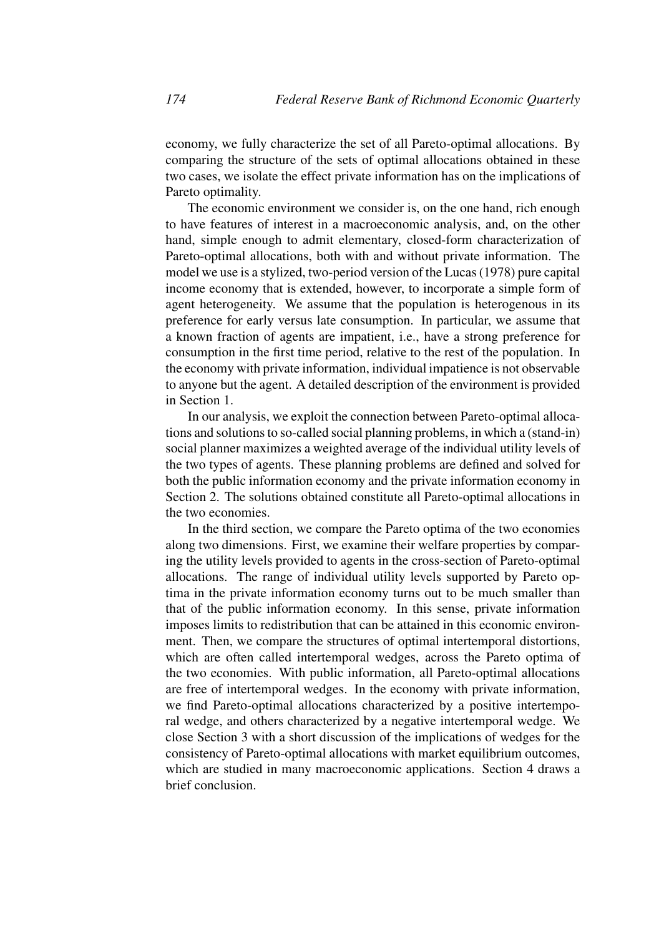economy, we fully characterize the set of all Pareto-optimal allocations. By comparing the structure of the sets of optimal allocations obtained in these two cases, we isolate the effect private information has on the implications of Pareto optimality.

The economic environment we consider is, on the one hand, rich enough to have features of interest in a macroeconomic analysis, and, on the other hand, simple enough to admit elementary, closed-form characterization of Pareto-optimal allocations, both with and without private information. The model we use is a stylized, two-period version of the Lucas (1978) pure capital income economy that is extended, however, to incorporate a simple form of agent heterogeneity. We assume that the population is heterogenous in its preference for early versus late consumption. In particular, we assume that a known fraction of agents are impatient, i.e., have a strong preference for consumption in the first time period, relative to the rest of the population. In the economy with private information, individual impatience is not observable to anyone but the agent. A detailed description of the environment is provided in Section 1.

In our analysis, we exploit the connection between Pareto-optimal allocations and solutions to so-called social planning problems, in which a (stand-in) social planner maximizes a weighted average of the individual utility levels of the two types of agents. These planning problems are defined and solved for both the public information economy and the private information economy in Section 2. The solutions obtained constitute all Pareto-optimal allocations in the two economies.

In the third section, we compare the Pareto optima of the two economies along two dimensions. First, we examine their welfare properties by comparing the utility levels provided to agents in the cross-section of Pareto-optimal allocations. The range of individual utility levels supported by Pareto optima in the private information economy turns out to be much smaller than that of the public information economy. In this sense, private information imposes limits to redistribution that can be attained in this economic environment. Then, we compare the structures of optimal intertemporal distortions, which are often called intertemporal wedges, across the Pareto optima of the two economies. With public information, all Pareto-optimal allocations are free of intertemporal wedges. In the economy with private information, we find Pareto-optimal allocations characterized by a positive intertemporal wedge, and others characterized by a negative intertemporal wedge. We close Section 3 with a short discussion of the implications of wedges for the consistency of Pareto-optimal allocations with market equilibrium outcomes, which are studied in many macroeconomic applications. Section 4 draws a brief conclusion.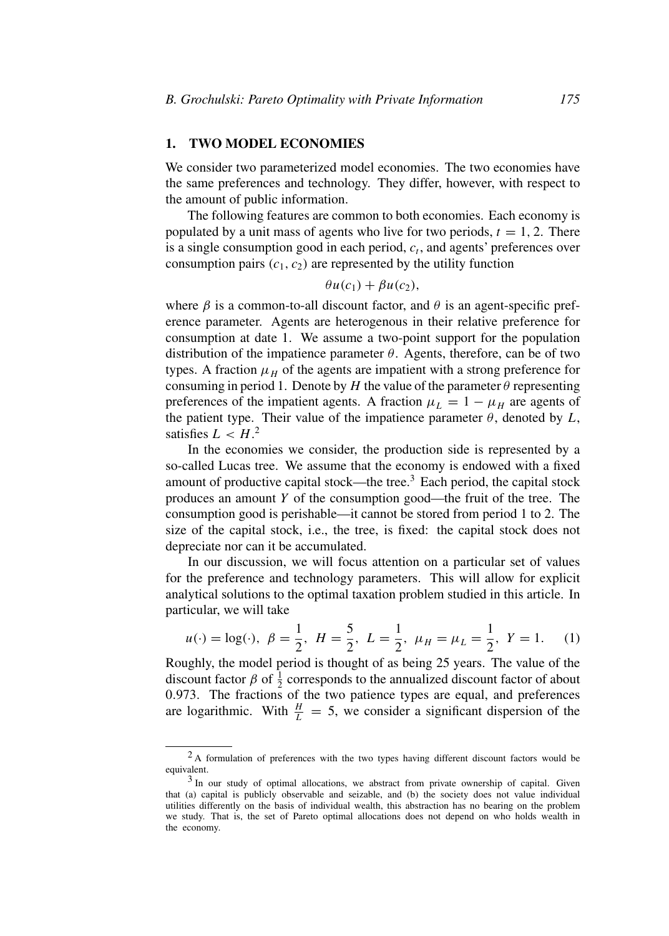#### **1. TWO MODEL ECONOMIES**

We consider two parameterized model economies. The two economies have the same preferences and technology. They differ, however, with respect to the amount of public information.

The following features are common to both economies. Each economy is populated by a unit mass of agents who live for two periods,  $t = 1, 2$ . There is a single consumption good in each period,  $c_t$ , and agents' preferences over consumption pairs  $(c_1, c_2)$  are represented by the utility function

$$
\theta u(c_1) + \beta u(c_2),
$$

where  $\beta$  is a common-to-all discount factor, and  $\theta$  is an agent-specific preference parameter. Agents are heterogenous in their relative preference for consumption at date 1. We assume a two-point support for the population distribution of the impatience parameter *θ*. Agents, therefore, can be of two types. A fraction  $\mu_H$  of the agents are impatient with a strong preference for consuming in period 1. Denote by *H* the value of the parameter  $\theta$  representing preferences of the impatient agents. A fraction  $\mu_L = 1 - \mu_H$  are agents of the patient type. Their value of the impatience parameter  $\theta$ , denoted by  $L$ , satisfies  $L < H<sup>2</sup>$ .

In the economies we consider, the production side is represented by a so-called Lucas tree. We assume that the economy is endowed with a fixed amount of productive capital stock—the tree.3 Each period, the capital stock produces an amount *Y* of the consumption good—the fruit of the tree. The consumption good is perishable—it cannot be stored from period 1 to 2. The size of the capital stock, i.e., the tree, is fixed: the capital stock does not depreciate nor can it be accumulated.

In our discussion, we will focus attention on a particular set of values for the preference and technology parameters. This will allow for explicit analytical solutions to the optimal taxation problem studied in this article. In particular, we will take

$$
u(\cdot) = \log(\cdot), \ \beta = \frac{1}{2}, \ H = \frac{5}{2}, \ L = \frac{1}{2}, \ \mu_H = \mu_L = \frac{1}{2}, \ Y = 1.
$$
 (1)

Roughly, the model period is thought of as being 25 years. The value of the discount factor  $\beta$  of  $\frac{1}{2}$  corresponds to the annualized discount factor of about 0*.*973. The fractions of the two patience types are equal, and preferences are logarithmic. With  $\frac{H}{L} = 5$ , we consider a significant dispersion of the

<sup>&</sup>lt;sup>2</sup> A formulation of preferences with the two types having different discount factors would be equivalent.

<sup>&</sup>lt;sup>3</sup> In our study of optimal allocations, we abstract from private ownership of capital. Given that (a) capital is publicly observable and seizable, and (b) the society does not value individual utilities differently on the basis of individual wealth, this abstraction has no bearing on the problem we study. That is, the set of Pareto optimal allocations does not depend on who holds wealth in the economy.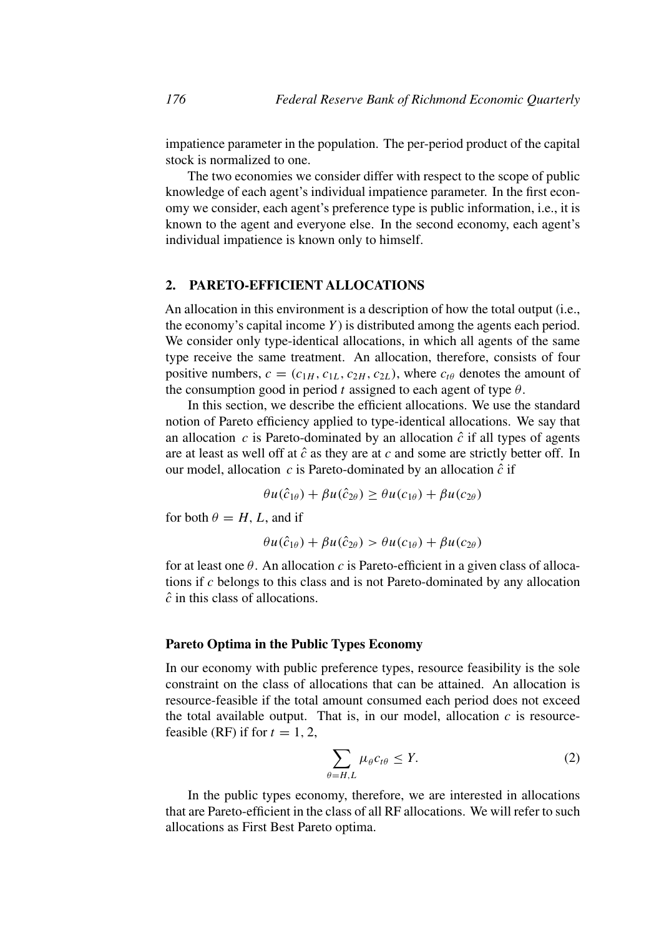impatience parameter in the population. The per-period product of the capital stock is normalized to one.

The two economies we consider differ with respect to the scope of public knowledge of each agent's individual impatience parameter. In the first economy we consider, each agent's preference type is public information, i.e., it is known to the agent and everyone else. In the second economy, each agent's individual impatience is known only to himself.

# **2. PARETO-EFFICIENT ALLOCATIONS**

An allocation in this environment is a description of how the total output (i.e., the economy's capital income *Y* ) is distributed among the agents each period. We consider only type-identical allocations, in which all agents of the same type receive the same treatment. An allocation, therefore, consists of four positive numbers,  $c = (c_{1H}, c_{1L}, c_{2H}, c_{2L})$ , where  $c_{t\theta}$  denotes the amount of the consumption good in period *t* assigned to each agent of type  $\theta$ .

In this section, we describe the efficient allocations. We use the standard notion of Pareto efficiency applied to type-identical allocations. We say that an allocation  $c$  is Pareto-dominated by an allocation  $\hat{c}$  if all types of agents are at least as well off at  $\hat{c}$  as they are at  $c$  and some are strictly better off. In our model, allocation  $c$  is Pareto-dominated by an allocation  $\hat{c}$  if

$$
\theta u(\hat{c}_{1\theta}) + \beta u(\hat{c}_{2\theta}) \ge \theta u(c_{1\theta}) + \beta u(c_{2\theta})
$$

for both  $\theta = H$ , L, and if

$$
\theta u(\hat{c}_{1\theta}) + \beta u(\hat{c}_{2\theta}) > \theta u(c_{1\theta}) + \beta u(c_{2\theta})
$$

for at least one *θ*. An allocation *c* is Pareto-efficient in a given class of allocations if *c* belongs to this class and is not Pareto-dominated by any allocation *c*ˆ in this class of allocations.

#### **Pareto Optima in the Public Types Economy**

In our economy with public preference types, resource feasibility is the sole constraint on the class of allocations that can be attained. An allocation is resource-feasible if the total amount consumed each period does not exceed the total available output. That is, in our model, allocation  $c$  is resourcefeasible (RF) if for  $t = 1, 2$ ,

$$
\sum_{\theta=H,L} \mu_{\theta} c_{t\theta} \le Y. \tag{2}
$$

In the public types economy, therefore, we are interested in allocations that are Pareto-efficient in the class of all RF allocations. We will refer to such allocations as First Best Pareto optima.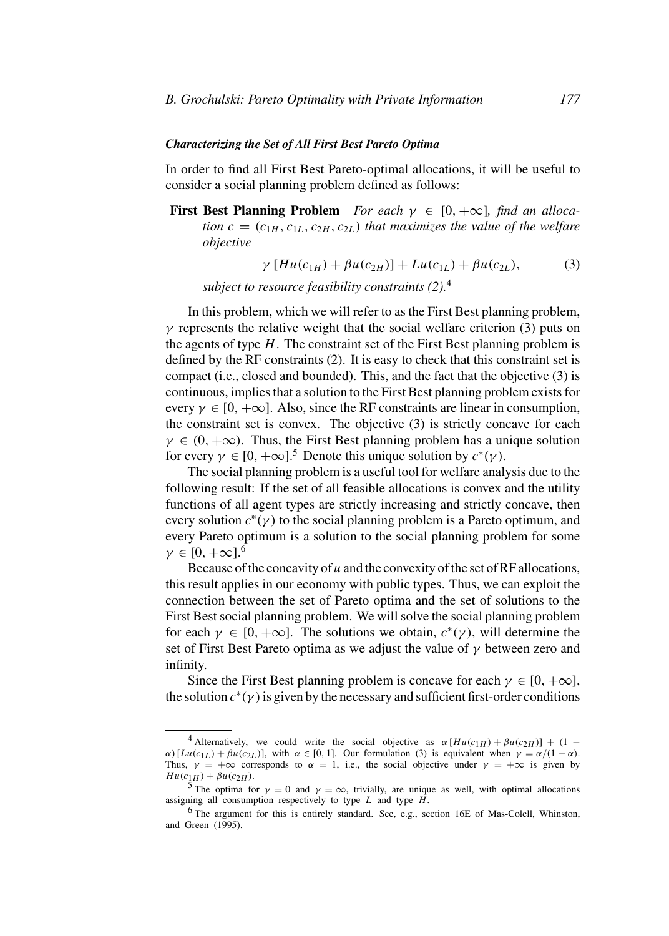#### *Characterizing the Set of All First Best Pareto Optima*

In order to find all First Best Pareto-optimal allocations, it will be useful to consider a social planning problem defined as follows:

**First Best Planning Problem** *For each*  $\gamma \in [0, +\infty]$ *, find an allocation*  $c = (c_{1H}, c_{1L}, c_{2H}, c_{2L})$  *that maximizes the value of the welfare objective*

$$
\gamma [Hu(c_{1H}) + \beta u(c_{2H})] + Lu(c_{1L}) + \beta u(c_{2L}), \qquad (3)
$$

*subject to resource feasibility constraints (2).*<sup>4</sup>

In this problem, which we will refer to as the First Best planning problem, *γ* represents the relative weight that the social welfare criterion (3) puts on the agents of type *H*. The constraint set of the First Best planning problem is defined by the RF constraints (2). It is easy to check that this constraint set is compact (i.e., closed and bounded). This, and the fact that the objective (3) is continuous, implies that a solution to the First Best planning problem exists for every  $\gamma \in [0, +\infty]$ . Also, since the RF constraints are linear in consumption, the constraint set is convex. The objective (3) is strictly concave for each  $\gamma \in (0, +\infty)$ . Thus, the First Best planning problem has a unique solution for every  $\gamma \in [0, +\infty]$ .<sup>5</sup> Denote this unique solution by  $c^*(\gamma)$ .

The social planning problem is a useful tool for welfare analysis due to the following result: If the set of all feasible allocations is convex and the utility functions of all agent types are strictly increasing and strictly concave, then every solution  $c^*(\gamma)$  to the social planning problem is a Pareto optimum, and every Pareto optimum is a solution to the social planning problem for some  $\gamma \in [0, +\infty]$ <sup>6</sup>

Because of the concavity of *u* and the convexity of the set of RF allocations, this result applies in our economy with public types. Thus, we can exploit the connection between the set of Pareto optima and the set of solutions to the First Best social planning problem. We will solve the social planning problem for each  $\gamma \in [0, +\infty]$ . The solutions we obtain,  $c^*(\gamma)$ , will determine the set of First Best Pareto optima as we adjust the value of *γ* between zero and infinity.

Since the First Best planning problem is concave for each  $\gamma \in [0, +\infty]$ , the solution  $c^*(\gamma)$  is given by the necessary and sufficient first-order conditions

<sup>&</sup>lt;sup>4</sup> Alternatively, we could write the social objective as  $\alpha [Hu(c_{1H}) + \beta u(c_{2H})] + (1 \alpha$ )[*Lu(c*<sub>1</sub>*L*) + *βu(c*<sub>2*L*</sub>)], with  $\alpha \in [0, 1]$ . Our formulation (3) is equivalent when  $\gamma = \alpha/(1 - \alpha)$ . Thus,  $\gamma = +\infty$  corresponds to  $\alpha = 1$ , i.e., the social objective under  $\gamma = +\infty$  is given by  $H u(c_{1H}) + \beta u(c_{2H})$ .<br><sup>5</sup> The optima for *γ* = 0 and *γ* = ∞, trivially, are unique as well, with optimal allocations

assigning all consumption respectively to type *L* and type *H*.<br><sup>6</sup> The argument for this is entirely standard. See, e.g., section 16E of Mas-Colell, Whinston,

and Green (1995).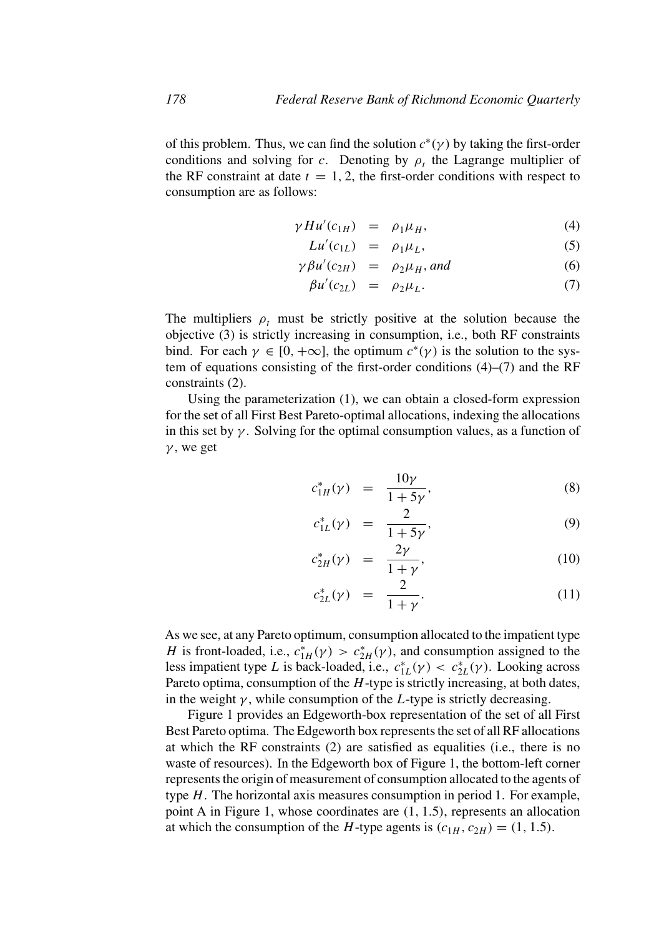of this problem. Thus, we can find the solution  $c^*(\gamma)$  by taking the first-order conditions and solving for *c*. Denoting by  $\rho_t$  the Lagrange multiplier of the RF constraint at date  $t = 1, 2$ , the first-order conditions with respect to consumption are as follows:

$$
\gamma H u'(c_{1H}) = \rho_1 \mu_H, \tag{4}
$$

$$
Lu'(c_{1L}) = \rho_1 \mu_L, \tag{5}
$$

$$
\gamma \beta u'(c_{2H}) = \rho_2 \mu_H, \text{ and } (6)
$$

$$
\beta u'(c_{2L}) = \rho_2 \mu_L. \tag{7}
$$

The multipliers  $\rho_t$  must be strictly positive at the solution because the objective (3) is strictly increasing in consumption, i.e., both RF constraints bind. For each  $\gamma \in [0, +\infty]$ , the optimum  $c^*(\gamma)$  is the solution to the system of equations consisting of the first-order conditions (4)–(7) and the RF constraints (2).

Using the parameterization (1), we can obtain a closed-form expression for the set of all First Best Pareto-optimal allocations, indexing the allocations in this set by  $\gamma$ . Solving for the optimal consumption values, as a function of *γ* , we get

$$
c_{1H}^*(\gamma) = \frac{10\gamma}{1+5\gamma},\tag{8}
$$

$$
c_{1L}^*(\gamma) = \frac{2}{1+5\gamma}, \tag{9}
$$

$$
c_{2H}^*(\gamma) = \frac{2\gamma}{1+\gamma},\tag{10}
$$

$$
c_{2L}^*(\gamma) = \frac{2}{1+\gamma}.
$$
 (11)

As we see, at any Pareto optimum, consumption allocated to the impatient type *H* is front-loaded, i.e.,  $c_{1H}^*(\gamma) > c_{2H}^*(\gamma)$ , and consumption assigned to the less impatient type *L* is back-loaded, i.e.,  $c_{1L}^*(\gamma) < c_{2L}^*(\gamma)$ . Looking across Pareto optima, consumption of the *H*-type is strictly increasing, at both dates, in the weight  $\gamma$ , while consumption of the *L*-type is strictly decreasing.

Figure 1 provides an Edgeworth-box representation of the set of all First Best Pareto optima. The Edgeworth box represents the set of all RF allocations at which the RF constraints (2) are satisfied as equalities (i.e., there is no waste of resources). In the Edgeworth box of Figure 1, the bottom-left corner represents the origin of measurement of consumption allocated to the agents of type *H*. The horizontal axis measures consumption in period 1. For example, point A in Figure 1, whose coordinates are *(*1*,* 1*.*5*)*, represents an allocation at which the consumption of the *H*-type agents is  $(c_{1H}, c_{2H}) = (1, 1.5)$ .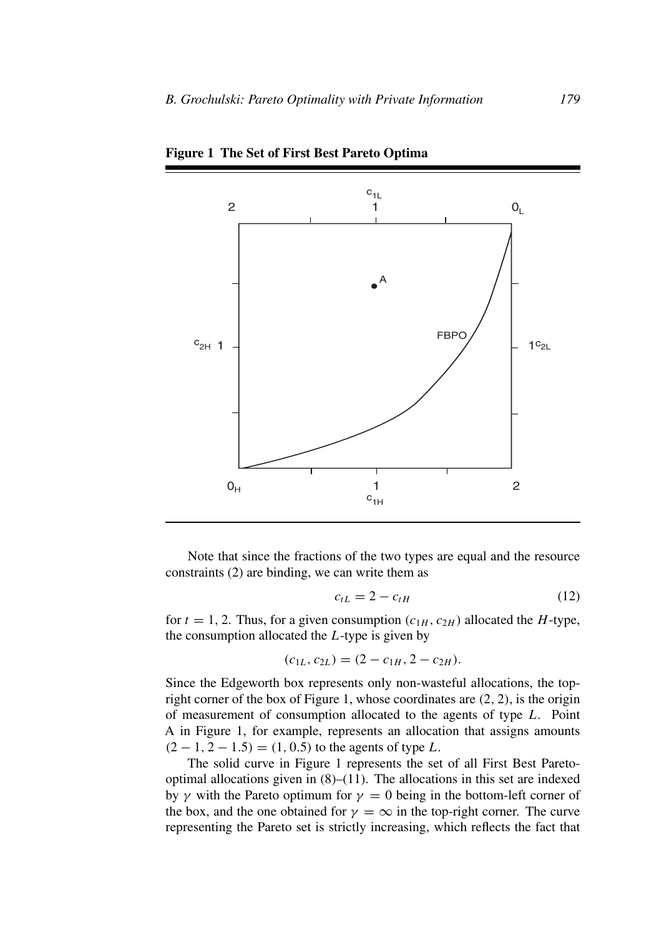

**Figure 1 The Set of First Best Pareto Optima**

Note that since the fractions of the two types are equal and the resource constraints (2) are binding, we can write them as

$$
c_{tL} = 2 - c_{tH} \tag{12}
$$

for  $t = 1, 2$ . Thus, for a given consumption  $(c_{1H}, c_{2H})$  allocated the *H*-type, the consumption allocated the *L*-type is given by

$$
(c_{1L}, c_{2L}) = (2 - c_{1H}, 2 - c_{2H}).
$$

Since the Edgeworth box represents only non-wasteful allocations, the topright corner of the box of Figure 1, whose coordinates are *(*2*,* 2*)*, is the origin of measurement of consumption allocated to the agents of type *L*. Point A in Figure 1, for example, represents an allocation that assigns amounts *(*2 − 1*,* 2 − 1*.*5*)* = *(*1*,* 0*.*5*)* to the agents of type *L*.

The solid curve in Figure 1 represents the set of all First Best Paretooptimal allocations given in  $(8)$ – $(11)$ . The allocations in this set are indexed by  $\gamma$  with the Pareto optimum for  $\gamma = 0$  being in the bottom-left corner of the box, and the one obtained for  $\gamma = \infty$  in the top-right corner. The curve representing the Pareto set is strictly increasing, which reflects the fact that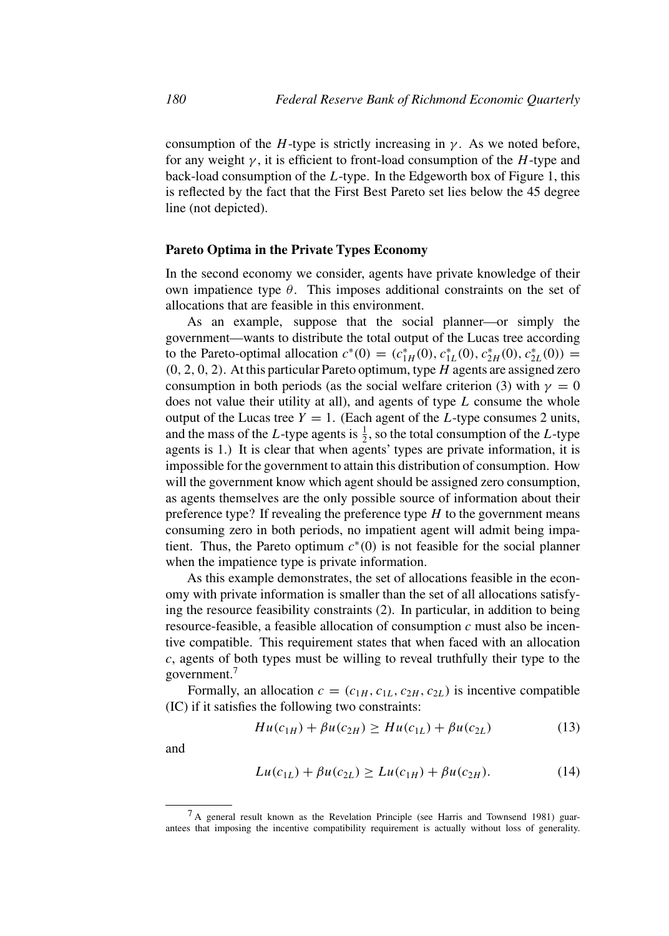consumption of the *H*-type is strictly increasing in  $\gamma$ . As we noted before, for any weight *γ* , it is efficient to front-load consumption of the *H*-type and back-load consumption of the *L*-type. In the Edgeworth box of Figure 1, this is reflected by the fact that the First Best Pareto set lies below the 45 degree line (not depicted).

# **Pareto Optima in the Private Types Economy**

In the second economy we consider, agents have private knowledge of their own impatience type *θ*. This imposes additional constraints on the set of allocations that are feasible in this environment.

As an example, suppose that the social planner—or simply the government—wants to distribute the total output of the Lucas tree according to the Pareto-optimal allocation  $c^*(0) = (c_{1H}^*(0), c_{1L}^*(0), c_{2H}^*(0), c_{2L}^*(0)) =$ *(*0*,* 2*,* 0*,* 2*)*. At this particular Pareto optimum, type *H* agents are assigned zero consumption in both periods (as the social welfare criterion (3) with  $\gamma = 0$ does not value their utility at all), and agents of type *L* consume the whole output of the Lucas tree  $Y = 1$ . (Each agent of the *L*-type consumes 2 units, and the mass of the *L*-type agents is  $\frac{1}{2}$ , so the total consumption of the *L*-type agents is 1.) It is clear that when agents' types are private information, it is impossible for the government to attain this distribution of consumption. How will the government know which agent should be assigned zero consumption, as agents themselves are the only possible source of information about their preference type? If revealing the preference type *H* to the government means consuming zero in both periods, no impatient agent will admit being impatient. Thus, the Pareto optimum  $c^*(0)$  is not feasible for the social planner when the impatience type is private information.

As this example demonstrates, the set of allocations feasible in the economy with private information is smaller than the set of all allocations satisfying the resource feasibility constraints (2). In particular, in addition to being resource-feasible, a feasible allocation of consumption *c* must also be incentive compatible. This requirement states that when faced with an allocation *c*, agents of both types must be willing to reveal truthfully their type to the government.7

Formally, an allocation  $c = (c_{1H}, c_{1L}, c_{2H}, c_{2L})$  is incentive compatible (IC) if it satisfies the following two constraints:

$$
Hu(c_{1H}) + \beta u(c_{2H}) \ge Hu(c_{1L}) + \beta u(c_{2L}) \tag{13}
$$

and

$$
Lu(c_{1L}) + \beta u(c_{2L}) \ge Lu(c_{1H}) + \beta u(c_{2H}). \tag{14}
$$

<sup>&</sup>lt;sup>7</sup> A general result known as the Revelation Principle (see Harris and Townsend 1981) guarantees that imposing the incentive compatibility requirement is actually without loss of generality.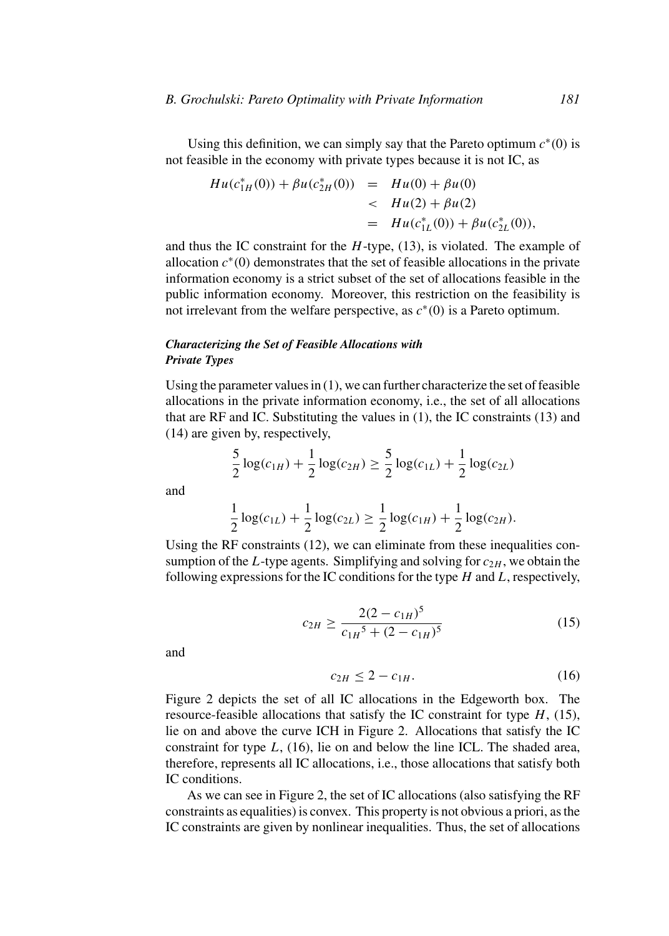Using this definition, we can simply say that the Pareto optimum  $c^*(0)$  is not feasible in the economy with private types because it is not IC, as

$$
Hu(c_{1H}^*(0)) + \beta u(c_{2H}^*(0)) = Hu(0) + \beta u(0)
$$
  

$$
= Hu(2) + \beta u(2)
$$
  

$$
= Hu(c_{1L}^*(0)) + \beta u(c_{2L}^*(0)),
$$

and thus the IC constraint for the *H*-type, (13), is violated. The example of allocation *c*<sup>∗</sup>*(*0*)* demonstrates that the set of feasible allocations in the private information economy is a strict subset of the set of allocations feasible in the public information economy. Moreover, this restriction on the feasibility is not irrelevant from the welfare perspective, as *c*<sup>∗</sup>*(*0*)* is a Pareto optimum.

# *Characterizing the Set of Feasible Allocations with Private Types*

Using the parameter values in  $(1)$ , we can further characterize the set of feasible allocations in the private information economy, i.e., the set of all allocations that are RF and IC. Substituting the values in (1), the IC constraints (13) and (14) are given by, respectively,

$$
\frac{5}{2}\log(c_{1H}) + \frac{1}{2}\log(c_{2H}) \ge \frac{5}{2}\log(c_{1L}) + \frac{1}{2}\log(c_{2L})
$$

and

$$
\frac{1}{2}\log(c_{1L}) + \frac{1}{2}\log(c_{2L}) \ge \frac{1}{2}\log(c_{1H}) + \frac{1}{2}\log(c_{2H}).
$$

Using the RF constraints (12), we can eliminate from these inequalities consumption of the *L*-type agents. Simplifying and solving for  $c_{2H}$ , we obtain the following expressions for the IC conditions for the type *H* and *L*, respectively,

$$
c_{2H} \ge \frac{2(2 - c_{1H})^5}{c_{1H}^5 + (2 - c_{1H})^5} \tag{15}
$$

and

$$
c_{2H} \le 2 - c_{1H}.\tag{16}
$$

Figure 2 depicts the set of all IC allocations in the Edgeworth box. The resource-feasible allocations that satisfy the IC constraint for type *H*, (15), lie on and above the curve ICH in Figure 2. Allocations that satisfy the IC constraint for type *L*, (16), lie on and below the line ICL. The shaded area, therefore, represents all IC allocations, i.e., those allocations that satisfy both IC conditions.

As we can see in Figure 2, the set of IC allocations (also satisfying the RF constraints as equalities) is convex. This property is not obvious a priori, as the IC constraints are given by nonlinear inequalities. Thus, the set of allocations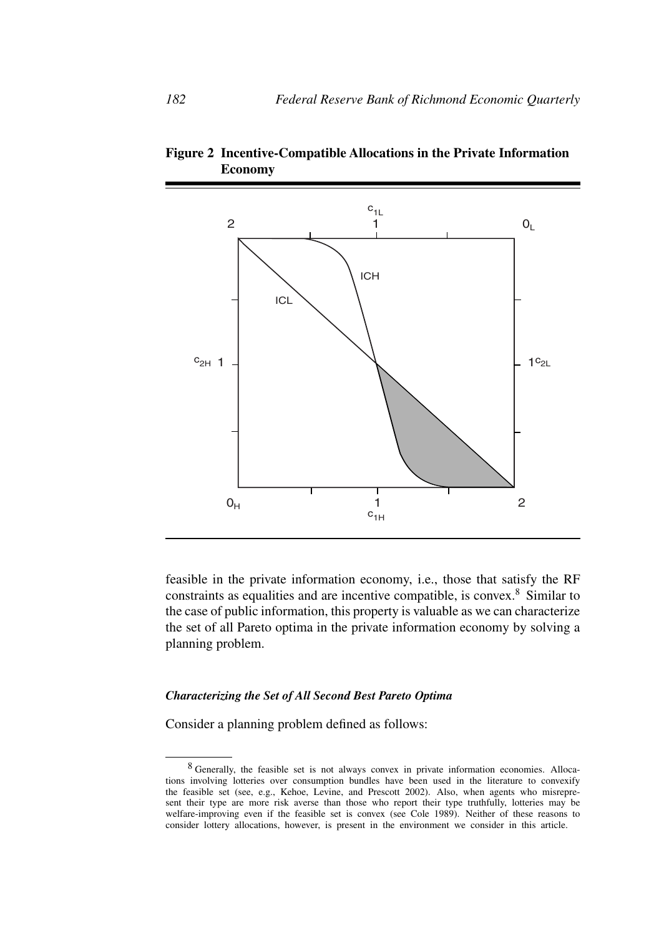

**Figure 2 Incentive-Compatible Allocations in the Private Information Economy**

feasible in the private information economy, i.e., those that satisfy the RF constraints as equalities and are incentive compatible, is convex.<sup>8</sup> Similar to the case of public information, this property is valuable as we can characterize the set of all Pareto optima in the private information economy by solving a planning problem.

### *Characterizing the Set of All Second Best Pareto Optima*

Consider a planning problem defined as follows:

<sup>8</sup> Generally, the feasible set is not always convex in private information economies. Allocations involving lotteries over consumption bundles have been used in the literature to convexify the feasible set (see, e.g., Kehoe, Levine, and Prescott 2002). Also, when agents who misrepresent their type are more risk averse than those who report their type truthfully, lotteries may be welfare-improving even if the feasible set is convex (see Cole 1989). Neither of these reasons to consider lottery allocations, however, is present in the environment we consider in this article.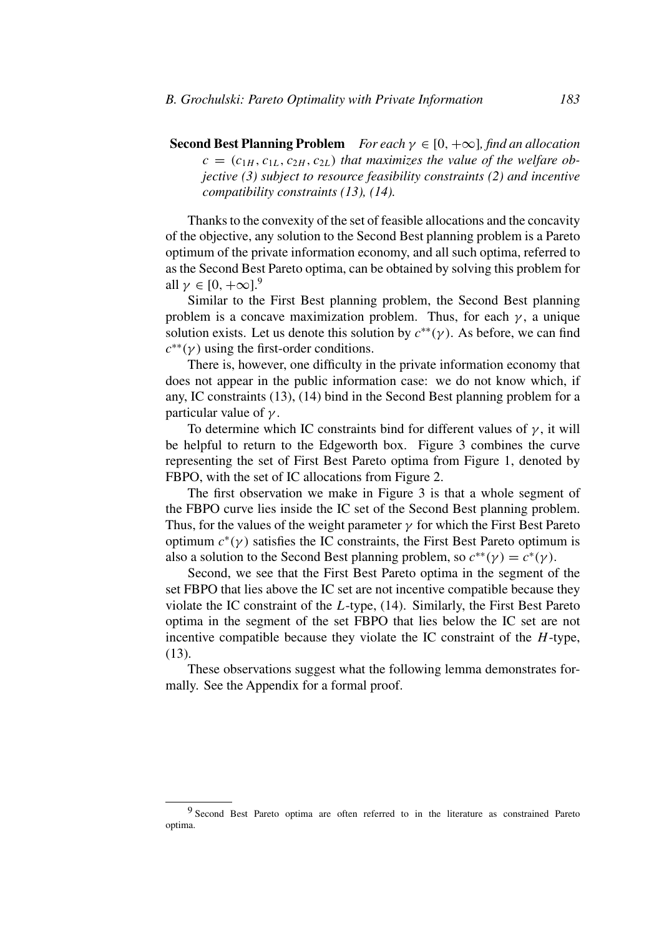**Second Best Planning Problem** *For each*  $\gamma \in [0, +\infty]$ *, find an allocation*  $c = (c_{1H}, c_{1L}, c_{2H}, c_{2L})$  *that maximizes the value of the welfare objective (3) subject to resource feasibility constraints (2) and incentive compatibility constraints (13), (14).*

Thanks to the convexity of the set of feasible allocations and the concavity of the objective, any solution to the Second Best planning problem is a Pareto optimum of the private information economy, and all such optima, referred to as the Second Best Pareto optima, can be obtained by solving this problem for all  $\gamma \in [0, +\infty]$ .<sup>9</sup>

Similar to the First Best planning problem, the Second Best planning problem is a concave maximization problem. Thus, for each  $\gamma$ , a unique solution exists. Let us denote this solution by  $c^{**}(\gamma)$ . As before, we can find  $c^{**}(\gamma)$  using the first-order conditions.

There is, however, one difficulty in the private information economy that does not appear in the public information case: we do not know which, if any, IC constraints (13), (14) bind in the Second Best planning problem for a particular value of *γ* .

To determine which IC constraints bind for different values of  $\gamma$ , it will be helpful to return to the Edgeworth box. Figure 3 combines the curve representing the set of First Best Pareto optima from Figure 1, denoted by FBPO, with the set of IC allocations from Figure 2.

The first observation we make in Figure 3 is that a whole segment of the FBPO curve lies inside the IC set of the Second Best planning problem. Thus, for the values of the weight parameter  $\gamma$  for which the First Best Pareto optimum  $c^*(y)$  satisfies the IC constraints, the First Best Pareto optimum is also a solution to the Second Best planning problem, so  $c^{**}(\gamma) = c^*(\gamma)$ .

Second, we see that the First Best Pareto optima in the segment of the set FBPO that lies above the IC set are not incentive compatible because they violate the IC constraint of the *L*-type, (14). Similarly, the First Best Pareto optima in the segment of the set FBPO that lies below the IC set are not incentive compatible because they violate the IC constraint of the *H*-type, (13).

These observations suggest what the following lemma demonstrates formally. See the Appendix for a formal proof.

<sup>&</sup>lt;sup>9</sup> Second Best Pareto optima are often referred to in the literature as constrained Pareto optima.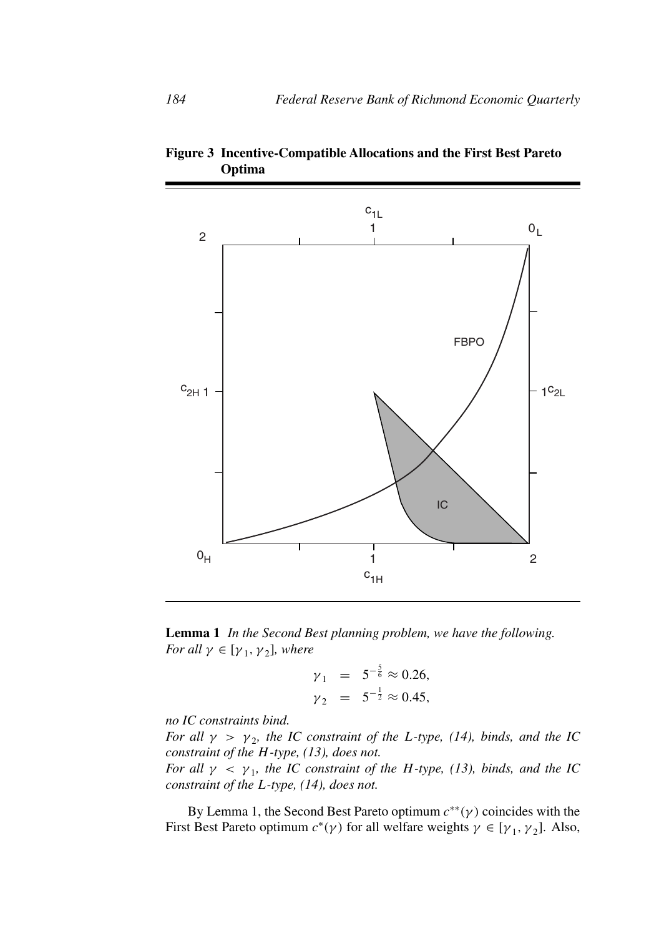

**Figure 3 Incentive-Compatible Allocations and the First Best Pareto Optima**

**Lemma 1** *In the Second Best planning problem, we have the following. For all*  $\gamma \in [\gamma_1, \gamma_2]$ *, where* 

$$
\gamma_1 = 5^{-\frac{5}{6}} \approx 0.26,
$$
  
\n $\gamma_2 = 5^{-\frac{1}{2}} \approx 0.45,$ 

*no IC constraints bind.*

*For all*  $\gamma > \gamma_2$ *, the IC constraint of the L-type, (14), binds, and the IC constraint of the H-type, (13), does not.*

*For all*  $\gamma$  <  $\gamma$ <sub>1</sub>*, the IC constraint of the H-type, (13), binds, and the IC constraint of the L-type, (14), does not.*

By Lemma 1, the Second Best Pareto optimum *c*∗∗*(γ )* coincides with the First Best Pareto optimum  $c^*(\gamma)$  for all welfare weights  $\gamma \in [\gamma_1, \gamma_2]$ . Also,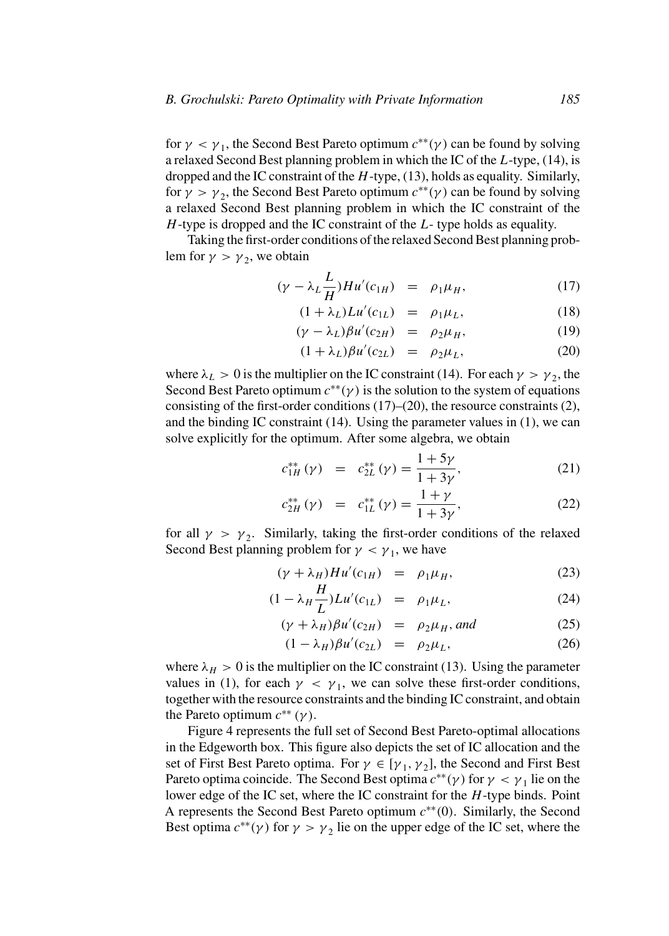for  $\gamma < \gamma_1$ , the Second Best Pareto optimum  $c^{**}(\gamma)$  can be found by solving a relaxed Second Best planning problem in which the IC of the *L*-type, (14), is dropped and the IC constraint of the *H*-type, (13), holds as equality. Similarly, for  $\gamma > \gamma_2$ , the Second Best Pareto optimum  $c^{**}(\gamma)$  can be found by solving a relaxed Second Best planning problem in which the IC constraint of the *H*-type is dropped and the IC constraint of the *L*- type holds as equality.

Taking the first-order conditions of the relaxed Second Best planning problem for  $\gamma > \gamma_2$ , we obtain

$$
(\gamma - \lambda_L \frac{L}{H}) H u'(c_{1H}) = \rho_1 \mu_H, \qquad (17)
$$

$$
(1 + \lambda_L) L u'(c_{1L}) = \rho_1 \mu_L, \tag{18}
$$

$$
(\gamma - \lambda_L)\beta u'(c_{2H}) = \rho_2 \mu_H, \qquad (19)
$$

$$
(1 + \lambda_L)\beta u'(c_{2L}) = \rho_2 \mu_L, \tag{20}
$$

where  $\lambda_L > 0$  is the multiplier on the IC constraint (14). For each  $\gamma > \gamma_2$ , the Second Best Pareto optimum  $c^{**}(\gamma)$  is the solution to the system of equations consisting of the first-order conditions (17)–(20), the resource constraints (2), and the binding IC constraint (14). Using the parameter values in (1), we can solve explicitly for the optimum. After some algebra, we obtain

$$
c_{1H}^{**}(\gamma) = c_{2L}^{**}(\gamma) = \frac{1+5\gamma}{1+3\gamma}, \qquad (21)
$$

$$
c_{2H}^{**}(\gamma) = c_{1L}^{**}(\gamma) = \frac{1+\gamma}{1+3\gamma},
$$
 (22)

for all  $\gamma > \gamma_2$ . Similarly, taking the first-order conditions of the relaxed Second Best planning problem for  $\gamma < \gamma_1$ , we have

$$
(\gamma + \lambda_H)Hu'(c_{1H}) = \rho_1\mu_H, \qquad (23)
$$

$$
(1 - \lambda_H \frac{H}{L}) L u'(c_{1L}) = \rho_1 \mu_L, \qquad (24)
$$

$$
(\gamma + \lambda_H)\beta u'(c_{2H}) = \rho_2\mu_H, \text{ and } (25)
$$

$$
(1 - \lambda_H)\beta u'(c_{2L}) = \rho_2 \mu_L, \tag{26}
$$

where  $\lambda_H > 0$  is the multiplier on the IC constraint (13). Using the parameter values in (1), for each  $\gamma < \gamma_1$ , we can solve these first-order conditions, together with the resource constraints and the binding IC constraint, and obtain the Pareto optimum  $c^{**}(\gamma)$ .

Figure 4 represents the full set of Second Best Pareto-optimal allocations in the Edgeworth box. This figure also depicts the set of IC allocation and the set of First Best Pareto optima. For  $\gamma \in [\gamma_1, \gamma_2]$ , the Second and First Best Pareto optima coincide. The Second Best optima  $c^{**}(\gamma)$  for  $\gamma < \gamma_1$  lie on the lower edge of the IC set, where the IC constraint for the *H*-type binds. Point A represents the Second Best Pareto optimum *c*∗∗*(*0*)*. Similarly, the Second Best optima  $c^{**}(\gamma)$  for  $\gamma > \gamma_2$  lie on the upper edge of the IC set, where the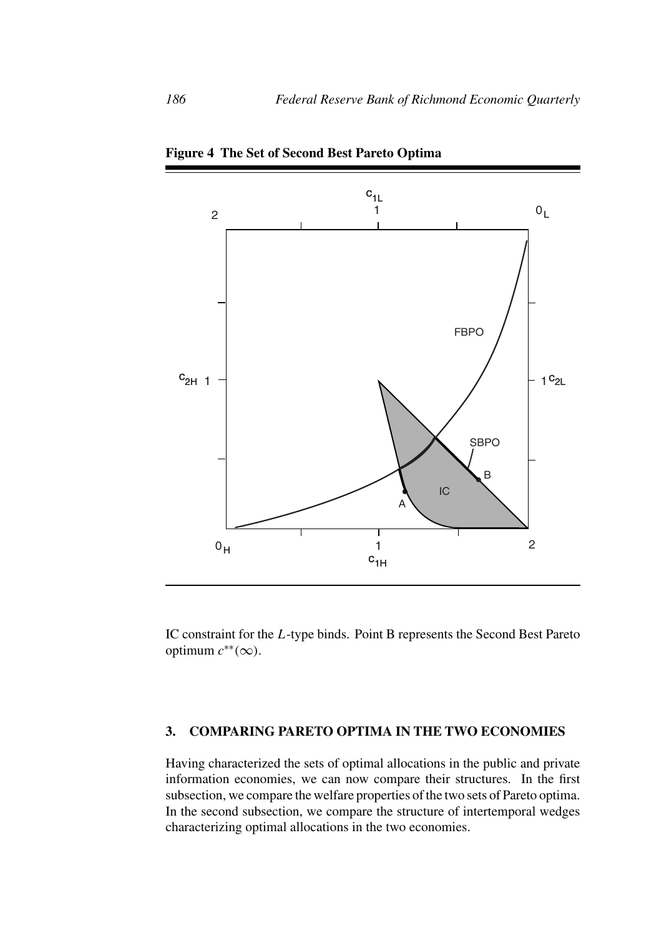

**Figure 4 The Set of Second Best Pareto Optima**

IC constraint for the *L*-type binds. Point B represents the Second Best Pareto optimum *c*∗∗*(*∞*)*.

#### **3. COMPARING PARETO OPTIMA IN THE TWO ECONOMIES**

Having characterized the sets of optimal allocations in the public and private information economies, we can now compare their structures. In the first subsection, we compare the welfare properties of the two sets of Pareto optima. In the second subsection, we compare the structure of intertemporal wedges characterizing optimal allocations in the two economies.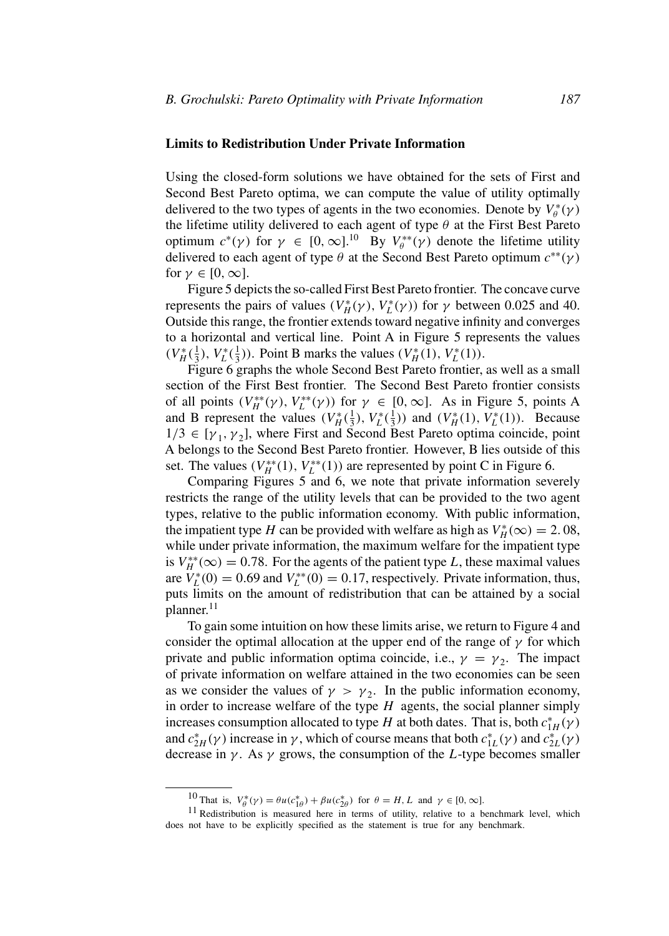## **Limits to Redistribution Under Private Information**

Using the closed-form solutions we have obtained for the sets of First and Second Best Pareto optima, we can compute the value of utility optimally delivered to the two types of agents in the two economies. Denote by  $V_{\theta}^*(\gamma)$ the lifetime utility delivered to each agent of type *θ* at the First Best Pareto optimum  $c^*(\gamma)$  for  $\gamma \in [0, \infty]$ .<sup>10</sup> By  $V_{\theta}^{**}(\gamma)$  denote the lifetime utility delivered to each agent of type *θ* at the Second Best Pareto optimum *c*∗∗*(γ )* for  $\gamma \in [0, \infty]$ .

Figure 5 depicts the so-called First Best Pareto frontier. The concave curve represents the pairs of values  $(V_H^*(\gamma), V_L^*(\gamma))$  for  $\gamma$  between 0.025 and 40. Outside this range, the frontier extends toward negative infinity and converges to a horizontal and vertical line. Point A in Figure 5 represents the values  $(V_H^*(\frac{1}{3}), V_L^*(\frac{1}{3}))$ . Point B marks the values  $(V_H^*(1), V_L^*(1))$ .

Figure 6 graphs the whole Second Best Pareto frontier, as well as a small section of the First Best frontier. The Second Best Pareto frontier consists of all points  $(V_H^{**}(\gamma), V_L^{**}(\gamma))$  for  $\gamma \in [0, \infty]$ . As in Figure 5, points A and B represent the values  $(V_H^*(\frac{1}{3}), V_L^*(\frac{1}{3}))$  and  $(V_H^*(1), V_L^*(1))$ . Because  $1/3 \in [\gamma_1, \gamma_2]$ , where First and Second Best Pareto optima coincide, point A belongs to the Second Best Pareto frontier. However, B lies outside of this set. The values  $(V_H^{**}(1), V_L^{**}(1))$  are represented by point C in Figure 6.

Comparing Figures 5 and 6, we note that private information severely restricts the range of the utility levels that can be provided to the two agent types, relative to the public information economy. With public information, the impatient type *H* can be provided with welfare as high as  $V_H^*(\infty) = 2.08$ , while under private information, the maximum welfare for the impatient type is  $V_H^{**}(\infty) = 0.78$ . For the agents of the patient type *L*, these maximal values are  $V_L^*(0) = 0.69$  and  $V_L^{**}(0) = 0.17$ , respectively. Private information, thus, puts limits on the amount of redistribution that can be attained by a social planner.<sup>11</sup>

To gain some intuition on how these limits arise, we return to Figure 4 and consider the optimal allocation at the upper end of the range of  $\gamma$  for which private and public information optima coincide, i.e.,  $\gamma = \gamma_2$ . The impact of private information on welfare attained in the two economies can be seen as we consider the values of  $\gamma > \gamma_2$ . In the public information economy, in order to increase welfare of the type *H* agents, the social planner simply increases consumption allocated to type *H* at both dates. That is, both  $c_{1H}^*(\gamma)$ and  $c_{2H}^*(\gamma)$  increase in  $\gamma$ , which of course means that both  $c_{1L}^*(\gamma)$  and  $c_{2L}^*(\gamma)$ decrease in  $\gamma$ . As  $\gamma$  grows, the consumption of the *L*-type becomes smaller

<sup>&</sup>lt;sup>10</sup> That is,  $V_{\theta}^{*}(γ) = θu(c_{1\theta}^{*}) + βu(c_{2\theta}^{*})$  for  $θ = H, L$  and  $γ \in [0, ∞]$ .

<sup>&</sup>lt;sup>11</sup> Redistribution is measured here in terms of utility, relative to a benchmark level, which does not have to be explicitly specified as the statement is true for any benchmark.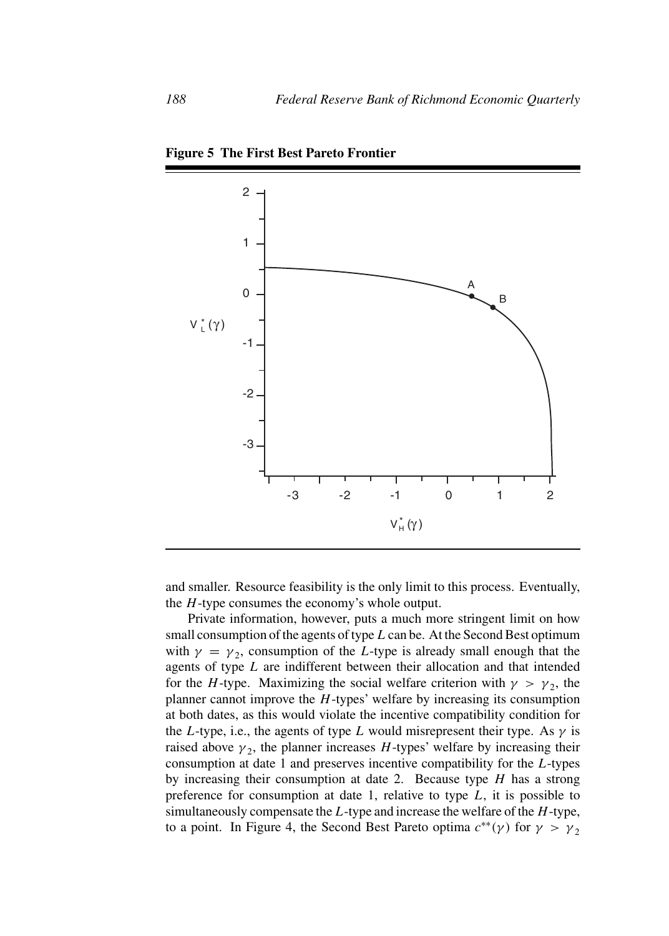

**Figure 5 The First Best Pareto Frontier**

and smaller. Resource feasibility is the only limit to this process. Eventually, the *H*-type consumes the economy's whole output.

Private information, however, puts a much more stringent limit on how small consumption of the agents of type *L* can be. At the Second Best optimum with  $\gamma = \gamma_2$ , consumption of the *L*-type is already small enough that the agents of type *L* are indifferent between their allocation and that intended for the *H*-type. Maximizing the social welfare criterion with  $\gamma > \gamma_2$ , the planner cannot improve the *H*-types' welfare by increasing its consumption at both dates, as this would violate the incentive compatibility condition for the *L*-type, i.e., the agents of type *L* would misrepresent their type. As  $\gamma$  is raised above  $\gamma_2$ , the planner increases *H*-types' welfare by increasing their consumption at date 1 and preserves incentive compatibility for the *L*-types by increasing their consumption at date 2. Because type *H* has a strong preference for consumption at date 1, relative to type *L*, it is possible to simultaneously compensate the *L*-type and increase the welfare of the *H*-type, to a point. In Figure 4, the Second Best Pareto optima  $c^{**}(\gamma)$  for  $\gamma > \gamma_2$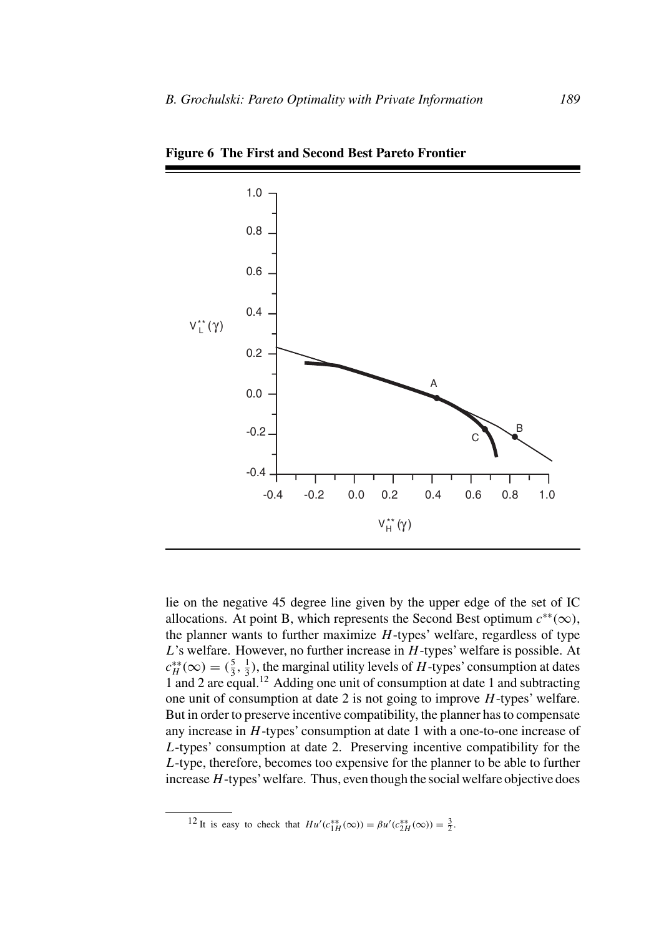

**Figure 6 The First and Second Best Pareto Frontier**

lie on the negative 45 degree line given by the upper edge of the set of IC allocations. At point B, which represents the Second Best optimum  $c^{**}(\infty)$ , the planner wants to further maximize *H*-types' welfare, regardless of type *L*'s welfare. However, no further increase in *H*-types' welfare is possible. At  $c_H^{**}(\infty) = (\frac{5}{3}, \frac{1}{3})$ , the marginal utility levels of *H*-types' consumption at dates 1 and 2 are equal.12 Adding one unit of consumption at date 1 and subtracting one unit of consumption at date 2 is not going to improve *H*-types' welfare. But in order to preserve incentive compatibility, the planner has to compensate any increase in *H*-types' consumption at date 1 with a one-to-one increase of *L*-types' consumption at date 2. Preserving incentive compatibility for the *L*-type, therefore, becomes too expensive for the planner to be able to further increase*H*-types'welfare. Thus, even though the social welfare objective does

<sup>&</sup>lt;sup>12</sup> It is easy to check that  $Hu'(c_{1H}^{**}(\infty)) = \beta u'(c_{2H}^{**}(\infty)) = \frac{3}{2}$ .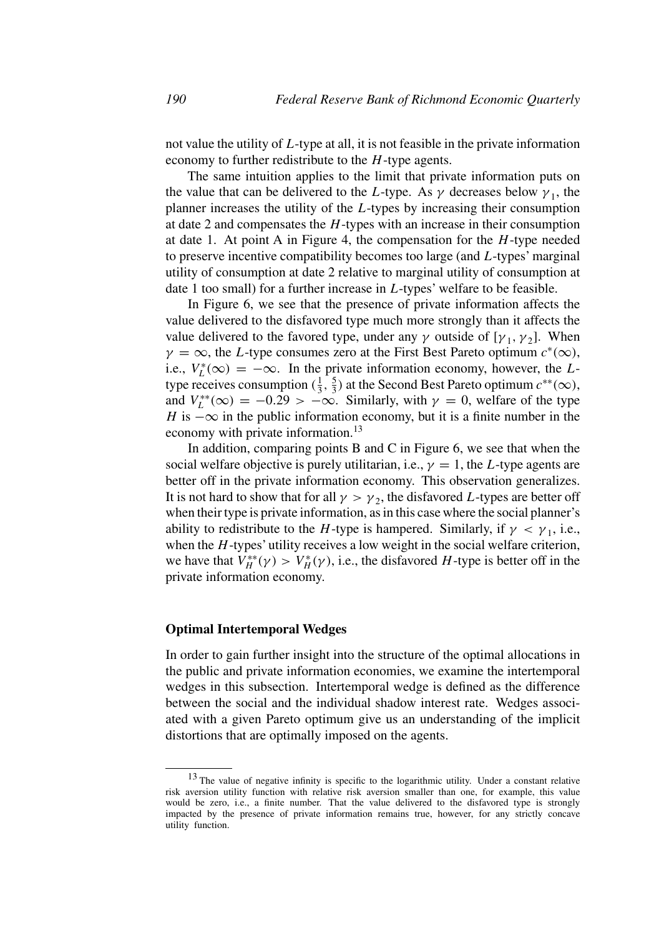not value the utility of *L*-type at all, it is not feasible in the private information economy to further redistribute to the *H*-type agents.

The same intuition applies to the limit that private information puts on the value that can be delivered to the *L*-type. As  $\gamma$  decreases below  $\gamma_1$ , the planner increases the utility of the *L*-types by increasing their consumption at date 2 and compensates the *H*-types with an increase in their consumption at date 1. At point A in Figure 4, the compensation for the *H*-type needed to preserve incentive compatibility becomes too large (and *L*-types' marginal utility of consumption at date 2 relative to marginal utility of consumption at date 1 too small) for a further increase in *L*-types' welfare to be feasible.

In Figure 6, we see that the presence of private information affects the value delivered to the disfavored type much more strongly than it affects the value delivered to the favored type, under any  $\gamma$  outside of [ $\gamma_1$ ,  $\gamma_2$ ]. When  $\gamma = \infty$ , the *L*-type consumes zero at the First Best Pareto optimum  $c^*(\infty)$ , i.e.,  $V_L^*(\infty) = -\infty$ . In the private information economy, however, the *L*type receives consumption  $(\frac{1}{3}, \frac{5}{3})$  at the Second Best Pareto optimum  $c^{**}(\infty)$ , and  $V_L^{**}(\infty) = -0.29 > -\infty$ . Similarly, with  $\gamma = 0$ , welfare of the type *H* is  $-\infty$  in the public information economy, but it is a finite number in the economy with private information.<sup>13</sup>

In addition, comparing points B and C in Figure 6, we see that when the social welfare objective is purely utilitarian, i.e.,  $\gamma = 1$ , the *L*-type agents are better off in the private information economy. This observation generalizes. It is not hard to show that for all  $\gamma > \gamma_2$ , the disfavored *L*-types are better off when their type is private information, as in this case where the social planner's ability to redistribute to the *H*-type is hampered. Similarly, if  $\gamma < \gamma_1$ , i.e., when the *H*-types' utility receives a low weight in the social welfare criterion, we have that  $V_H^{**}(\gamma) > V_H^*(\gamma)$ , i.e., the disfavored *H*-type is better off in the private information economy.

#### **Optimal Intertemporal Wedges**

In order to gain further insight into the structure of the optimal allocations in the public and private information economies, we examine the intertemporal wedges in this subsection. Intertemporal wedge is defined as the difference between the social and the individual shadow interest rate. Wedges associated with a given Pareto optimum give us an understanding of the implicit distortions that are optimally imposed on the agents.

<sup>&</sup>lt;sup>13</sup> The value of negative infinity is specific to the logarithmic utility. Under a constant relative risk aversion utility function with relative risk aversion smaller than one, for example, this value would be zero, i.e., a finite number. That the value delivered to the disfavored type is strongly impacted by the presence of private information remains true, however, for any strictly concave utility function.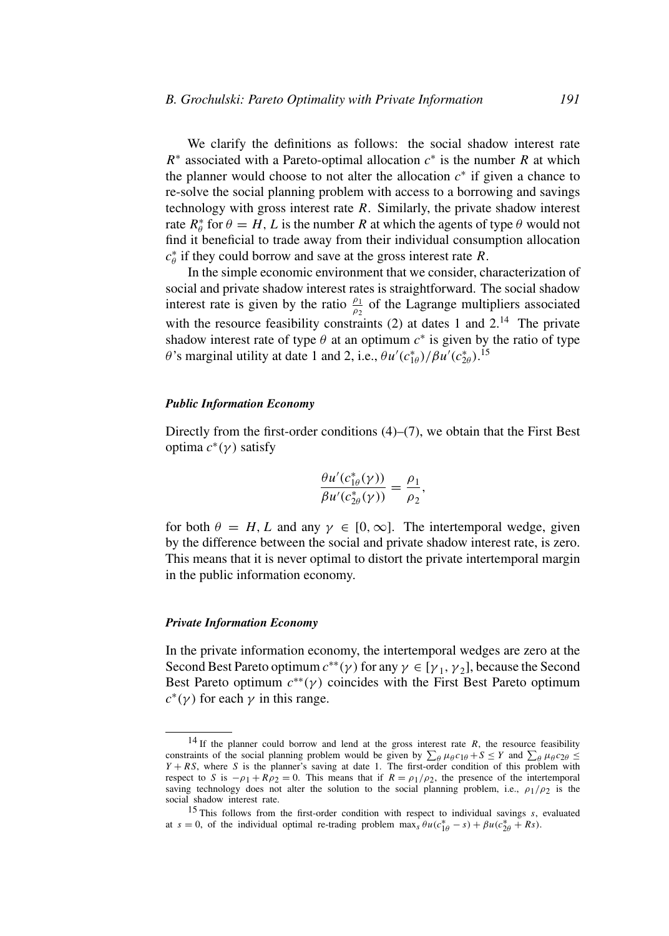We clarify the definitions as follows: the social shadow interest rate *R*<sup>∗</sup> associated with a Pareto-optimal allocation *c*<sup>∗</sup> is the number *R* at which the planner would choose to not alter the allocation  $c^*$  if given a chance to re-solve the social planning problem with access to a borrowing and savings technology with gross interest rate *R*. Similarly, the private shadow interest rate  $R^*_{\theta}$  for  $\theta = H, L$  is the number *R* at which the agents of type  $\theta$  would not find it beneficial to trade away from their individual consumption allocation *c*∗ *<sup>θ</sup>* if they could borrow and save at the gross interest rate *R*.

In the simple economic environment that we consider, characterization of social and private shadow interest rates is straightforward. The social shadow interest rate is given by the ratio  $\frac{\rho_1}{\rho_2}$  of the Lagrange multipliers associated with the resource feasibility constraints  $(2)$  at dates 1 and  $2<sup>14</sup>$ . The private shadow interest rate of type  $\theta$  at an optimum  $c^*$  is given by the ratio of type *θ*'s marginal utility at date 1 and 2, i.e.,  $\theta u'(c_{1\theta}^*) / \beta u'(c_{2\theta}^*)$ .<sup>15</sup>

#### *Public Information Economy*

Directly from the first-order conditions (4)–(7), we obtain that the First Best optima *c*<sup>∗</sup>*(γ )* satisfy

$$
\frac{\theta u'(c_{1\theta}^*(\gamma))}{\beta u'(c_{2\theta}^*(\gamma))} = \frac{\rho_1}{\rho_2},
$$

for both  $\theta = H, L$  and any  $\gamma \in [0, \infty]$ . The intertemporal wedge, given by the difference between the social and private shadow interest rate, is zero. This means that it is never optimal to distort the private intertemporal margin in the public information economy.

#### *Private Information Economy*

In the private information economy, the intertemporal wedges are zero at the Second Best Pareto optimum  $c^{**}(\gamma)$  for any  $\gamma \in [\gamma_1, \gamma_2]$ , because the Second Best Pareto optimum  $c^{**}(\gamma)$  coincides with the First Best Pareto optimum  $c^*(\gamma)$  for each  $\gamma$  in this range.

<sup>&</sup>lt;sup>14</sup> If the planner could borrow and lend at the gross interest rate  $R$ , the resource feasibility constraints of the social planning problem would be given by  $\sum_{\theta} \mu_{\theta} c_{1\theta} + S \leq Y$  and  $\sum_{\theta} \mu_{\theta} c_{2\theta} \leq Y + RS$ , where S is the planner's saving at date 1. The first-order condition of this problem with respect to *S* is  $-\rho_1 + R\rho_2 = 0$ . This means that if  $R = \rho_1/\rho_2$ , the presence of the intertemporal saving technology does not alter the solution to the social planning problem, i.e.,  $\rho_1/\rho_2$  is the social shadow interest rate.

<sup>15</sup> This follows from the first-order condition with respect to individual savings *s*, evaluated at  $s = 0$ , of the individual optimal re-trading problem  $\max_{s} \theta u(c_{1\theta}^{*} - s) + \beta u(c_{2\theta}^{*} + Rs)$ .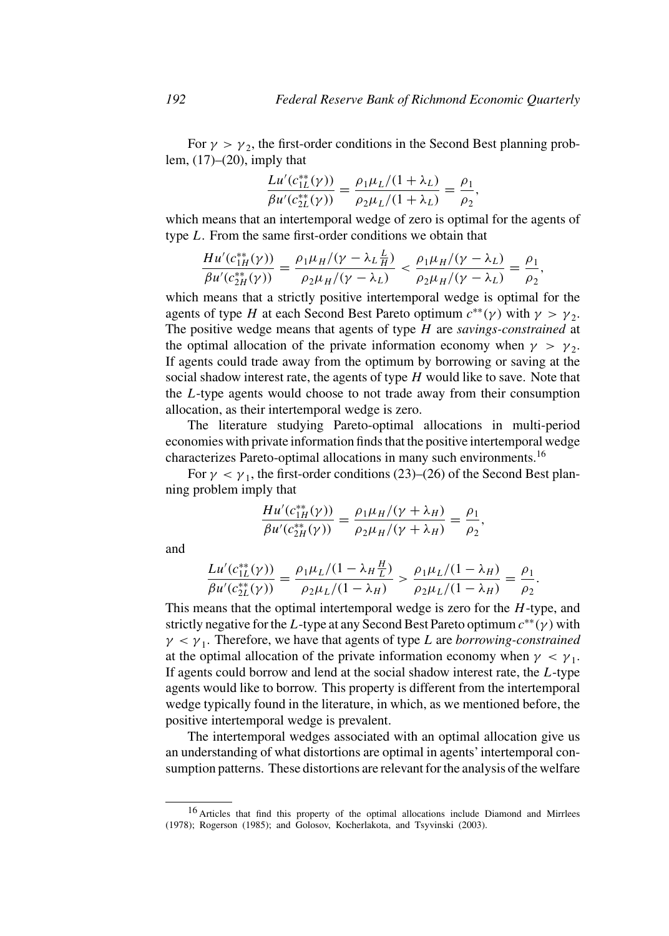For  $\gamma > \gamma_2$ , the first-order conditions in the Second Best planning problem,  $(17)$ – $(20)$ , imply that

$$
\frac{Lu'(c_{1L}^{**}(\gamma))}{\beta u'(c_{2L}^{**}(\gamma))} = \frac{\rho_1\mu_L/(1+\lambda_L)}{\rho_2\mu_L/(1+\lambda_L)} = \frac{\rho_1}{\rho_2},
$$

which means that an intertemporal wedge of zero is optimal for the agents of type *L*. From the same first-order conditions we obtain that

$$
\frac{Hu'(c_{1H}^{**}(\gamma))}{\beta u'(c_{2H}^{**}(\gamma))} = \frac{\rho_1 \mu_H/(\gamma - \lambda_L \frac{L}{H})}{\rho_2 \mu_H/(\gamma - \lambda_L)} < \frac{\rho_1 \mu_H/(\gamma - \lambda_L)}{\rho_2 \mu_H/(\gamma - \lambda_L)} = \frac{\rho_1}{\rho_2},
$$

which means that a strictly positive intertemporal wedge is optimal for the agents of type *H* at each Second Best Pareto optimum  $c^{**}(\gamma)$  with  $\gamma > \gamma_2$ . The positive wedge means that agents of type *H* are *savings-constrained* at the optimal allocation of the private information economy when  $\gamma > \gamma_2$ . If agents could trade away from the optimum by borrowing or saving at the social shadow interest rate, the agents of type *H* would like to save. Note that the *L*-type agents would choose to not trade away from their consumption allocation, as their intertemporal wedge is zero.

The literature studying Pareto-optimal allocations in multi-period economies with private information finds that the positive intertemporal wedge characterizes Pareto-optimal allocations in many such environments.16

For  $\gamma < \gamma_1$ , the first-order conditions (23)–(26) of the Second Best planning problem imply that

$$
\frac{Hu'(c_{1H}^{**}(\gamma))}{\beta u'(c_{2H}^{**}(\gamma))} = \frac{\rho_1 \mu_H/(\gamma + \lambda_H)}{\rho_2 \mu_H/(\gamma + \lambda_H)} = \frac{\rho_1}{\rho_2},
$$

and

$$
\frac{L u'(c_{1L}^{**}(\gamma))}{\beta u'(c_{2L}^{**}(\gamma))} = \frac{\rho_1 \mu_L/(1 - \lambda_H \frac{H}{L})}{\rho_2 \mu_L/(1 - \lambda_H)} > \frac{\rho_1 \mu_L/(1 - \lambda_H)}{\rho_2 \mu_L/(1 - \lambda_H)} = \frac{\rho_1}{\rho_2}.
$$

*H*

This means that the optimal intertemporal wedge is zero for the *H*-type, and strictly negative for the*L*-type at any Second Best Pareto optimum *c*∗∗*(γ )* with *γ <γ* 1. Therefore, we have that agents of type *L* are *borrowing-constrained* at the optimal allocation of the private information economy when  $\gamma < \gamma_1$ . If agents could borrow and lend at the social shadow interest rate, the *L*-type agents would like to borrow. This property is different from the intertemporal wedge typically found in the literature, in which, as we mentioned before, the positive intertemporal wedge is prevalent.

The intertemporal wedges associated with an optimal allocation give us an understanding of what distortions are optimal in agents' intertemporal consumption patterns. These distortions are relevant for the analysis of the welfare

<sup>16</sup> Articles that find this property of the optimal allocations include Diamond and Mirrlees (1978); Rogerson (1985); and Golosov, Kocherlakota, and Tsyvinski (2003).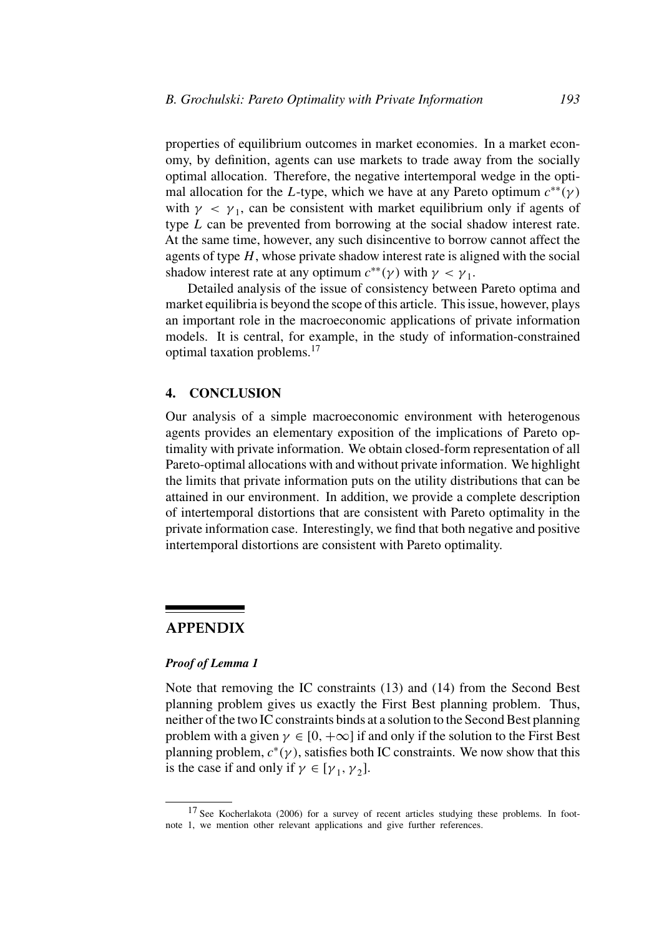properties of equilibrium outcomes in market economies. In a market economy, by definition, agents can use markets to trade away from the socially optimal allocation. Therefore, the negative intertemporal wedge in the optimal allocation for the *L*-type, which we have at any Pareto optimum  $c^{**}(\gamma)$ with  $\gamma < \gamma_1$ , can be consistent with market equilibrium only if agents of type *L* can be prevented from borrowing at the social shadow interest rate. At the same time, however, any such disincentive to borrow cannot affect the agents of type *H*, whose private shadow interest rate is aligned with the social shadow interest rate at any optimum  $c^{**}(\gamma)$  with  $\gamma < \gamma_1$ .

Detailed analysis of the issue of consistency between Pareto optima and market equilibria is beyond the scope of this article. This issue, however, plays an important role in the macroeconomic applications of private information models. It is central, for example, in the study of information-constrained optimal taxation problems.17

# **4. CONCLUSION**

Our analysis of a simple macroeconomic environment with heterogenous agents provides an elementary exposition of the implications of Pareto optimality with private information. We obtain closed-form representation of all Pareto-optimal allocations with and without private information. We highlight the limits that private information puts on the utility distributions that can be attained in our environment. In addition, we provide a complete description of intertemporal distortions that are consistent with Pareto optimality in the private information case. Interestingly, we find that both negative and positive intertemporal distortions are consistent with Pareto optimality.

# **APPENDIX**

#### *Proof of Lemma 1*

Note that removing the IC constraints (13) and (14) from the Second Best planning problem gives us exactly the First Best planning problem. Thus, neither of the two IC constraints binds at a solution to the Second Best planning problem with a given  $\gamma \in [0, +\infty]$  if and only if the solution to the First Best planning problem,  $c^*(\gamma)$ , satisfies both IC constraints. We now show that this is the case if and only if  $\gamma \in [\gamma_1, \gamma_2]$ .

 $17$  See Kocherlakota (2006) for a survey of recent articles studying these problems. In footnote 1, we mention other relevant applications and give further references.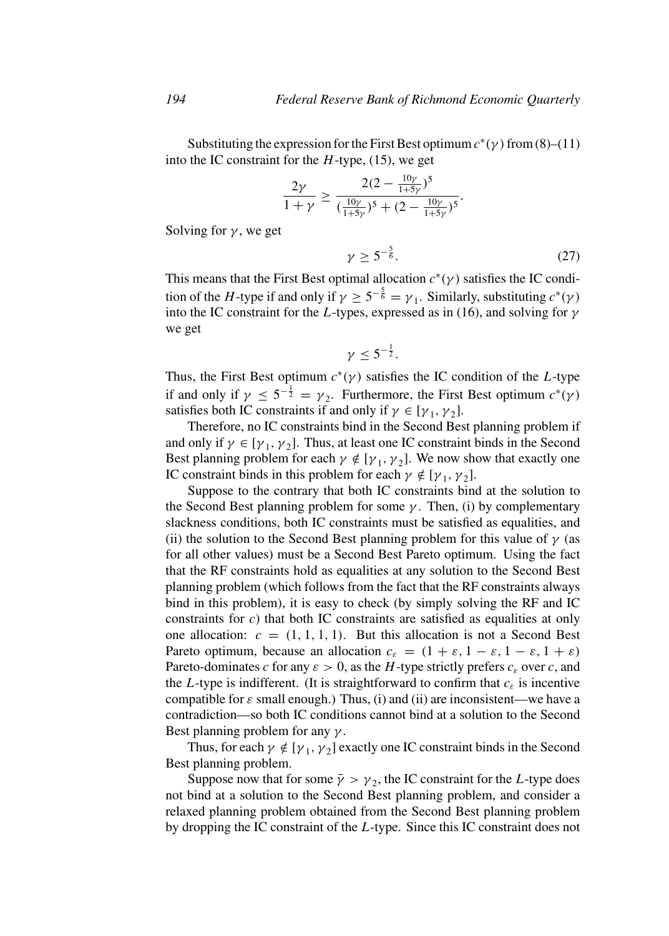Substituting the expression for the First Best optimum  $c^*(\gamma)$  from (8)–(11) into the IC constraint for the *H*-type, (15), we get

$$
\frac{2\gamma}{1+\gamma} \ge \frac{2(2-\frac{10\gamma}{1+5\gamma})^5}{(\frac{10\gamma}{1+5\gamma})^5 + (2-\frac{10\gamma}{1+5\gamma})^5}.
$$

Solving for  $\gamma$ , we get

$$
\gamma \ge 5^{-\frac{5}{6}}.\tag{27}
$$

This means that the First Best optimal allocation  $c^*(\gamma)$  satisfies the IC condition of the *H*-type if and only if  $\gamma \ge 5^{-\frac{5}{6}} = \gamma_1$ . Similarly, substituting  $c^*(\gamma)$ into the IC constraint for the *L*-types, expressed as in (16), and solving for *γ* we get

$$
\gamma \leq 5^{-\frac{1}{2}}.
$$

Thus, the First Best optimum  $c^*(y)$  satisfies the IC condition of the *L*-type if and only if  $\gamma \le 5^{-\frac{1}{2}} = \gamma_2$ . Furthermore, the First Best optimum  $c^*(\gamma)$ satisfies both IC constraints if and only if  $\gamma \in [\gamma_1, \gamma_2]$ .

Therefore, no IC constraints bind in the Second Best planning problem if and only if  $\gamma \in [\gamma_1, \gamma_2]$ . Thus, at least one IC constraint binds in the Second Best planning problem for each  $\gamma \notin [\gamma_1, \gamma_2]$ . We now show that exactly one IC constraint binds in this problem for each  $\gamma \notin [\gamma_1, \gamma_2]$ .

Suppose to the contrary that both IC constraints bind at the solution to the Second Best planning problem for some *γ* . Then, (i) by complementary slackness conditions, both IC constraints must be satisfied as equalities, and (ii) the solution to the Second Best planning problem for this value of  $\gamma$  (as for all other values) must be a Second Best Pareto optimum. Using the fact that the RF constraints hold as equalities at any solution to the Second Best planning problem (which follows from the fact that the RF constraints always bind in this problem), it is easy to check (by simply solving the RF and IC constraints for *c*) that both IC constraints are satisfied as equalities at only one allocation:  $c = (1, 1, 1, 1)$ . But this allocation is not a Second Best Pareto optimum, because an allocation  $c_{\varepsilon} = (1 + \varepsilon, 1 - \varepsilon, 1 - \varepsilon, 1 + \varepsilon)$ Pareto-dominates *c* for any  $\varepsilon > 0$ , as the *H*-type strictly prefers  $c_{\varepsilon}$  over *c*, and the *L*-type is indifferent. (It is straightforward to confirm that  $c_{\varepsilon}$  is incentive compatible for *ε* small enough.) Thus, (i) and (ii) are inconsistent—we have a contradiction—so both IC conditions cannot bind at a solution to the Second Best planning problem for any *γ* .

Thus, for each  $\gamma \notin [\gamma_1, \gamma_2]$  exactly one IC constraint binds in the Second Best planning problem.

Suppose now that for some  $\bar{\gamma} > \gamma_2$ , the IC constraint for the *L*-type does not bind at a solution to the Second Best planning problem, and consider a relaxed planning problem obtained from the Second Best planning problem by dropping the IC constraint of the *L*-type. Since this IC constraint does not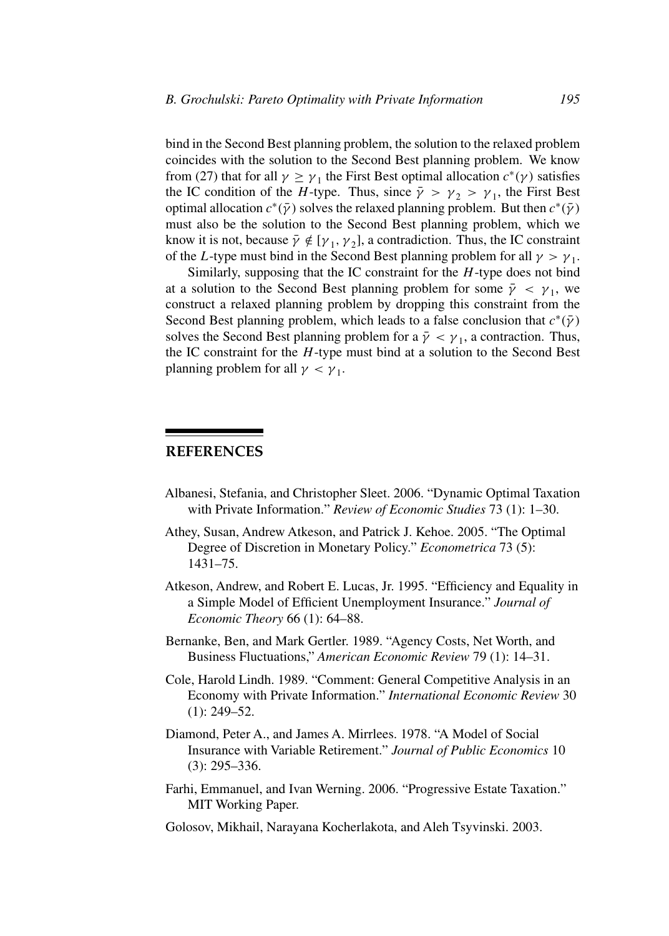bind in the Second Best planning problem, the solution to the relaxed problem coincides with the solution to the Second Best planning problem. We know from (27) that for all  $\gamma \ge \gamma_1$  the First Best optimal allocation  $c^*(\gamma)$  satisfies the IC condition of the *H*-type. Thus, since  $\bar{\gamma} > \gamma_2 > \gamma_1$ , the First Best optimal allocation  $c^*(\bar{\gamma})$  solves the relaxed planning problem. But then  $c^*(\bar{\gamma})$ must also be the solution to the Second Best planning problem, which we know it is not, because  $\bar{\gamma} \notin [\gamma_1, \gamma_2]$ , a contradiction. Thus, the IC constraint of the *L*-type must bind in the Second Best planning problem for all  $\gamma > \gamma_1$ .

Similarly, supposing that the IC constraint for the *H*-type does not bind at a solution to the Second Best planning problem for some  $\bar{\gamma} < \gamma_1$ , we construct a relaxed planning problem by dropping this constraint from the Second Best planning problem, which leads to a false conclusion that  $c^*(\bar{\gamma})$ solves the Second Best planning problem for a  $\bar{\gamma} < \gamma_1$ , a contraction. Thus, the IC constraint for the *H*-type must bind at a solution to the Second Best planning problem for all  $\gamma < \gamma_1$ .

# **REFERENCES**

- Albanesi, Stefania, and Christopher Sleet. 2006. "Dynamic Optimal Taxation with Private Information." *Review of Economic Studies* 73 (1): 1–30.
- Athey, Susan, Andrew Atkeson, and Patrick J. Kehoe. 2005. "The Optimal Degree of Discretion in Monetary Policy." *Econometrica* 73 (5): 1431–75.
- Atkeson, Andrew, and Robert E. Lucas, Jr. 1995. "Efficiency and Equality in a Simple Model of Efficient Unemployment Insurance." *Journal of Economic Theory* 66 (1): 64–88.
- Bernanke, Ben, and Mark Gertler. 1989. "Agency Costs, Net Worth, and Business Fluctuations," *American Economic Review* 79 (1): 14–31.
- Cole, Harold Lindh. 1989. "Comment: General Competitive Analysis in an Economy with Private Information." *International Economic Review* 30  $(1)$ : 249–52.
- Diamond, Peter A., and James A. Mirrlees. 1978. "A Model of Social Insurance with Variable Retirement." *Journal of Public Economics* 10 (3): 295–336.
- Farhi, Emmanuel, and Ivan Werning. 2006. "Progressive Estate Taxation." MIT Working Paper.
- Golosov, Mikhail, Narayana Kocherlakota, and Aleh Tsyvinski. 2003.